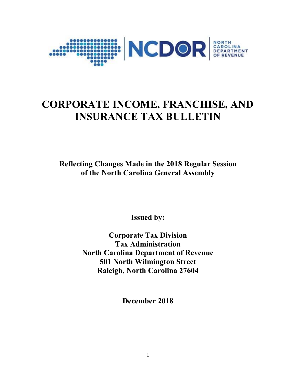

# **CORPORATE INCOME, FRANCHISE, AND INSURANCE TAX BULLETIN**

**Reflecting Changes Made in the 2018 Regular Session of the North Carolina General Assembly**

**Issued by:**

**Corporate Tax Division Tax Administration North Carolina Department of Revenue 501 North Wilmington Street Raleigh, North Carolina 27604**

**December 2018**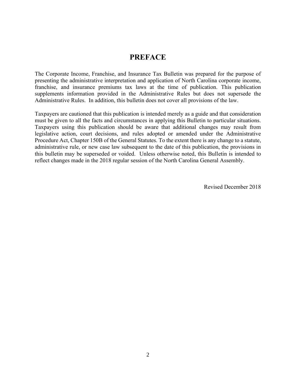# **PREFACE**

The Corporate Income, Franchise, and Insurance Tax Bulletin was prepared for the purpose of presenting the administrative interpretation and application of North Carolina corporate income, franchise, and insurance premiums tax laws at the time of publication. This publication supplements information provided in the Administrative Rules but does not supersede the Administrative Rules. In addition, this bulletin does not cover all provisions of the law.

Taxpayers are cautioned that this publication is intended merely as a guide and that consideration must be given to all the facts and circumstances in applying this Bulletin to particular situations. Taxpayers using this publication should be aware that additional changes may result from legislative action, court decisions, and rules adopted or amended under the Administrative Procedure Act, Chapter 150B of the General Statutes. To the extent there is any change to a statute, administrative rule, or new case law subsequent to the date of this publication, the provisions in this bulletin may be superseded or voided. Unless otherwise noted, this Bulletin is intended to reflect changes made in the 2018 regular session of the North Carolina General Assembly.

Revised December 2018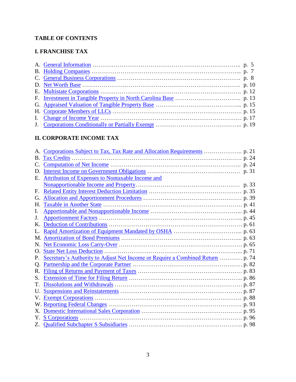# **TABLE OF CONTENTS**

# **I. FRANCHISE TAX**

# **II. CORPORATE INCOME TAX**

| D.          |                                                         |  |
|-------------|---------------------------------------------------------|--|
| Е.          | <b>Attribution of Expenses to Nontaxable Income and</b> |  |
|             |                                                         |  |
| F.          |                                                         |  |
| G.          |                                                         |  |
| Н.          |                                                         |  |
| Ι.          |                                                         |  |
| J.          |                                                         |  |
| Κ.          |                                                         |  |
|             |                                                         |  |
|             |                                                         |  |
| N.          |                                                         |  |
| $\Omega$ .  |                                                         |  |
| Р.          |                                                         |  |
| Q.          |                                                         |  |
| $R_{\cdot}$ |                                                         |  |
| S.          |                                                         |  |
| Τ.          |                                                         |  |
| U.          |                                                         |  |
| V.          |                                                         |  |
|             |                                                         |  |
|             |                                                         |  |
| Υ.          |                                                         |  |
|             |                                                         |  |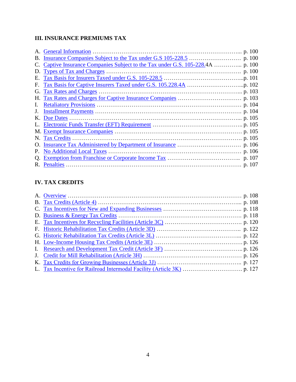# **III. INSURANCE PREMIUMS TAX**

| B. |                                  |  |
|----|----------------------------------|--|
|    |                                  |  |
| D. | <b>Types of Tax and Charges</b>  |  |
| Е. |                                  |  |
| Е. |                                  |  |
| G. | Tax Rates and Charges.           |  |
|    |                                  |  |
|    |                                  |  |
|    |                                  |  |
|    |                                  |  |
|    |                                  |  |
|    |                                  |  |
|    |                                  |  |
|    |                                  |  |
|    | <b>No Additional Local Taxes</b> |  |
|    |                                  |  |
| R. |                                  |  |

# **IV. TAX CREDITS**

| <b>B.</b> Tax Credits (Article 4) $\ldots$ $\ldots$ $\ldots$ $\ldots$ $\ldots$ $\ldots$ $\ldots$ $\ldots$ $\ldots$ $\ldots$ $\ldots$ $\ldots$ $\ldots$ $\ldots$ $\ldots$ $\ldots$ $\ldots$ $\ldots$ $\ldots$ $\ldots$ $\ldots$ $\ldots$ $\ldots$ $\ldots$ $\ldots$ $\ldots$ $\ldots$ $\ldots$ $\ldots$ $\ldots$ $\ldots$ $\ldots$ |  |
|-----------------------------------------------------------------------------------------------------------------------------------------------------------------------------------------------------------------------------------------------------------------------------------------------------------------------------------|--|
|                                                                                                                                                                                                                                                                                                                                   |  |
|                                                                                                                                                                                                                                                                                                                                   |  |
|                                                                                                                                                                                                                                                                                                                                   |  |
|                                                                                                                                                                                                                                                                                                                                   |  |
|                                                                                                                                                                                                                                                                                                                                   |  |
|                                                                                                                                                                                                                                                                                                                                   |  |
|                                                                                                                                                                                                                                                                                                                                   |  |
|                                                                                                                                                                                                                                                                                                                                   |  |
|                                                                                                                                                                                                                                                                                                                                   |  |
|                                                                                                                                                                                                                                                                                                                                   |  |
|                                                                                                                                                                                                                                                                                                                                   |  |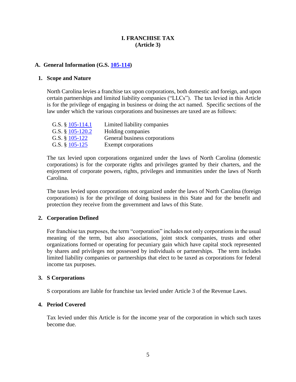#### **I. FRANCHISE TAX (Article 3)**

#### <span id="page-4-0"></span>**A. General Information (G.S. [105-114\)](http://www.ncga.state.nc.us/EnactedLegislation/Statutes/HTML/BySection/Chapter_105/GS_105-114.html)**

#### **1. Scope and Nature**

North Carolina levies a franchise tax upon corporations, both domestic and foreign, and upon certain partnerships and limited liability companies ("LLCs"). The tax levied in this Article is for the privilege of engaging in business or doing the act named. Specific sections of the law under which the various corporations and businesses are taxed are as follows:

| G.S. $§$ 105-114.1 | Limited liability companies   |
|--------------------|-------------------------------|
| G.S. $§$ 105-120.2 | Holding companies             |
| G.S. $§$ 105-122   | General business corporations |
| G.S. $§$ 105-125   | Exempt corporations           |

The tax levied upon corporations organized under the laws of North Carolina (domestic corporations) is for the corporate rights and privileges granted by their charters, and the enjoyment of corporate powers, rights, privileges and immunities under the laws of North Carolina.

The taxes levied upon corporations not organized under the laws of North Carolina (foreign corporations) is for the privilege of doing business in this State and for the benefit and protection they receive from the government and laws of this State.

#### **2. Corporation Defined**

For franchise tax purposes, the term "corporation" includes not only corporations in the usual meaning of the term, but also associations, joint stock companies, trusts and other organizations formed or operating for pecuniary gain which have capital stock represented by shares and privileges not possessed by individuals or partnerships. The term includes limited liability companies or partnerships that elect to be taxed as corporations for federal income tax purposes.

#### **3. S Corporations**

S corporations are liable for franchise tax levied under Article 3 of the Revenue Laws.

#### **4. Period Covered**

Tax levied under this Article is for the income year of the corporation in which such taxes become due.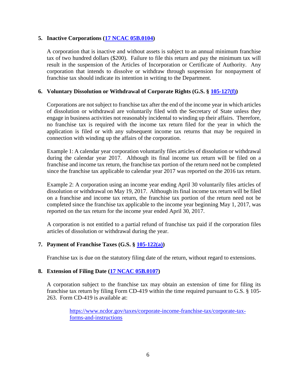#### **5. Inactive Corporations [\(17 NCAC 05B.0104\)](http://reports.oah.state.nc.us/ncac/title%2017%20-%20revenue/chapter%2005%20-%20corporate%20franchise,%20income,%20and%20insurance%20taxes/subchapter%20b/17%20ncac%2005b%20.0104.pdf)**

A corporation that is inactive and without assets is subject to an annual minimum franchise tax of two hundred dollars (\$200). Failure to file this return and pay the minimum tax will result in the suspension of the Articles of Incorporation or Certificate of Authority. Any corporation that intends to dissolve or withdraw through suspension for nonpayment of franchise tax should indicate its intention in writing to the Department.

#### **6. Voluntary Dissolution or Withdrawal of Corporate Rights (G.S. § [105-127\(f\)\)](http://www.ncga.state.nc.us/EnactedLegislation/Statutes/PDF/BySection/Chapter_105/GS_105-127.pdf)**

Corporations are not subject to franchise tax after the end of the income year in which articles of dissolution or withdrawal are voluntarily filed with the Secretary of State unless they engage in business activities not reasonably incidental to winding up their affairs. Therefore, no franchise tax is required with the income tax return filed for the year in which the application is filed or with any subsequent income tax returns that may be required in connection with winding up the affairs of the corporation.

Example 1: A calendar year corporation voluntarily files articles of dissolution or withdrawal during the calendar year 2017. Although its final income tax return will be filed on a franchise and income tax return, the franchise tax portion of the return need not be completed since the franchise tax applicable to calendar year 2017 was reported on the 2016 tax return.

Example 2: A corporation using an income year ending April 30 voluntarily files articles of dissolution or withdrawal on May 19, 2017. Although its final income tax return will be filed on a franchise and income tax return, the franchise tax portion of the return need not be completed since the franchise tax applicable to the income year beginning May 1, 2017, was reported on the tax return for the income year ended April 30, 2017.

A corporation is not entitled to a partial refund of franchise tax paid if the corporation files articles of dissolution or withdrawal during the year.

#### **7. Payment of Franchise Taxes (G.S. § [105-122\(a\)\)](http://www.ncga.state.nc.us/EnactedLegislation/Statutes/HTML/BySection/Chapter_105/GS_105-122.html)**

Franchise tax is due on the statutory filing date of the return, without regard to extensions.

#### **8. Extension of Filing Date [\(17 NCAC 05B.0107\)](http://reports.oah.state.nc.us/ncac/title%2017%20-%20revenue/chapter%2005%20-%20corporate%20franchise,%20income,%20and%20insurance%20taxes/subchapter%20b/17%20ncac%2005b%20.0107.pdf)**

A corporation subject to the franchise tax may obtain an extension of time for filing its franchise tax return by filing Form CD-419 within the time required pursuant to G.S. § 105- 263. Form CD-419 is available at:

> [https://www.ncdor.gov/taxes/corporate-income-franchise-tax/corporate-tax](https://www.ncdor.gov/taxes/corporate-income-franchise-tax/corporate-tax-forms-and-instructions)[forms-and-instructions](https://www.ncdor.gov/taxes/corporate-income-franchise-tax/corporate-tax-forms-and-instructions)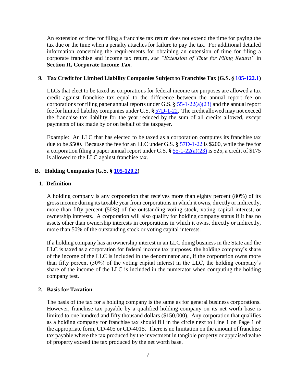An extension of time for filing a franchise tax return does not extend the time for paying the tax due or the time when a penalty attaches for failure to pay the tax. For additional detailed information concerning the requirements for obtaining an extension of time for filing a corporate franchise and income tax return, *see "Extension of Time for Filing Return"* in **Section II, Corporate Income Tax**.

#### **9. Tax Credit for Limited Liability Companies Subject to Franchise Tax (G.S. § [105-122.1\)](http://www.ncga.state.nc.us/EnactedLegislation/Statutes/HTML/BySection/Chapter_105/GS_105-122.1.html)**

LLCs that elect to be taxed as corporations for federal income tax purposes are allowed a tax credit against franchise tax equal to the difference between the annual report fee on corporations for filing paper annual reports under G.S. **§** [55-1-22\(a\)\(23\)](http://www.ncga.state.nc.us/EnactedLegislation/Statutes/PDF/BySection/Chapter_55/GS_55-1-22.pdf) and the annual report fee for limited liability companies under G.S. **§** [57D-1-22.](http://www.ncga.state.nc.us/EnactedLegislation/Statutes/PDF/BySection/Chapter_57D/GS_57D-1-22.pdf) The credit allowed may not exceed the franchise tax liability for the year reduced by the sum of all credits allowed, except payments of tax made by or on behalf of the taxpayer.

Example: An LLC that has elected to be taxed as a corporation computes its franchise tax due to be \$500. Because the fee for an LLC under G.S. **§** [57D-1-22](http://www.ncga.state.nc.us/EnactedLegislation/Statutes/PDF/BySection/Chapter_57D/GS_57D-1-22.pdf) is \$200, while the fee for a corporation filing a paper annual report under G.S. **§** [55-1-22\(a\)\(23\)](http://www.ncga.state.nc.us/EnactedLegislation/Statutes/PDF/BySection/Chapter_55/GS_55-1-22.pdf) is \$25, a credit of \$175 is allowed to the LLC against franchise tax.

#### <span id="page-6-0"></span>**B. Holding Companies (G.S. § [105-120.2\)](http://www.ncga.state.nc.us/EnactedLegislation/Statutes/HTML/BySection/Chapter_105/GS_105-120.2.html)**

#### **1. Definition**

A holding company is any corporation that receives more than eighty percent (80%) of its gross income during its taxable year from corporations in which it owns, directly or indirectly, more than fifty percent (50%) of the outstanding voting stock, voting capital interest, or ownership interests. A corporation will also qualify for holding company status if it has no assets other than ownership interests in corporations in which it owns, directly or indirectly, more than 50% of the outstanding stock or voting capital interests.

If a holding company has an ownership interest in an LLC doing business in the State and the LLC is taxed as a corporation for federal income tax purposes, the holding company's share of the income of the LLC is included in the denominator and, if the corporation owns more than fifty percent (50%) of the voting capital interest in the LLC, the holding company's share of the income of the LLC is included in the numerator when computing the holding company test.

#### **2. Basis for Taxation**

The basis of the tax for a holding company is the same as for general business corporations. However, franchise tax payable by a qualified holding company on its net worth base is limited to one hundred and fifty thousand dollars (\$150,000). Any corporation that qualifies as a holding company for franchise tax should fill in the circle next to Line 1 on Page 1 of the appropriate form, CD-405 or CD-401S. There is no limitation on the amount of franchise tax payable where the tax produced by the investment in tangible property or appraised value of property exceed the tax produced by the net worth base.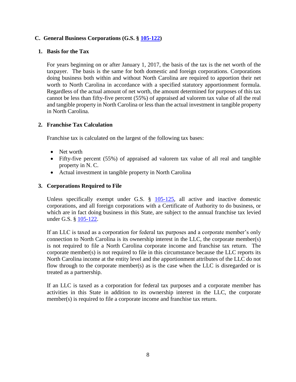#### <span id="page-7-0"></span>**C. General Business Corporations (G.S. § [105-122\)](http://www.ncga.state.nc.us/EnactedLegislation/Statutes/HTML/BySection/Chapter_105/GS_105-122.html)**

#### **1. Basis for the Tax**

For years beginning on or after January 1, 2017, the basis of the tax is the net worth of the taxpayer. The basis is the same for both domestic and foreign corporations. Corporations doing business both within and without North Carolina are required to apportion their net worth to North Carolina in accordance with a specified statutory apportionment formula. Regardless of the actual amount of net worth, the amount determined for purposes of this tax cannot be less than fifty-five percent (55%) of appraised ad valorem tax value of all the real and tangible property in North Carolina or less than the actual investment in tangible property in North Carolina.

#### **2. Franchise Tax Calculation**

Franchise tax is calculated on the largest of the following tax bases:

- Net worth
- Fifty-five percent (55%) of appraised ad valorem tax value of all real and tangible property in N. C.
- Actual investment in tangible property in North Carolina

#### **3. Corporations Required to File**

Unless specifically exempt under G.S. § [105-125,](http://www.ncga.state.nc.us/EnactedLegislation/Statutes/HTML/BySection/Chapter_105/GS_105-125.html) all active and inactive domestic corporations, and all foreign corporations with a Certificate of Authority to do business, or which are in fact doing business in this State, are subject to the annual franchise tax levied under G.S. § [105-122.](http://www.ncga.state.nc.us/EnactedLegislation/Statutes/PDF/BySection/Chapter_105/GS_105-122.pdf)

If an LLC is taxed as a corporation for federal tax purposes and a corporate member's only connection to North Carolina is its ownership interest in the LLC, the corporate member(s) is not required to file a North Carolina corporate income and franchise tax return. The corporate member(s) is not required to file in this circumstance because the LLC reports its North Carolina income at the entity level and the apportionment attributes of the LLC do not flow through to the corporate member(s) as is the case when the LLC is disregarded or is treated as a partnership.

If an LLC is taxed as a corporation for federal tax purposes and a corporate member has activities in this State in addition to its ownership interest in the LLC, the corporate member(s) is required to file a corporate income and franchise tax return.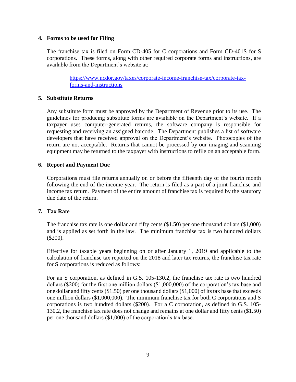#### **4. Forms to be used for Filing**

The franchise tax is filed on Form CD-405 for C corporations and Form CD-401S for S corporations. These forms, along with other required corporate forms and instructions, are available from the Department's website at:

> [https://www.ncdor.gov/taxes/corporate-income-franchise-tax/corporate-tax](https://www.ncdor.gov/taxes/corporate-income-franchise-tax/corporate-tax-forms-and-instructions)[forms-and-instructions](https://www.ncdor.gov/taxes/corporate-income-franchise-tax/corporate-tax-forms-and-instructions)

#### **5. Substitute Returns**

Any substitute form must be approved by the Department of Revenue prior to its use. The guidelines for producing substitute forms are available on the Department's website. If a taxpayer uses computer-generated returns, the software company is responsible for requesting and receiving an assigned barcode. The Department publishes a list of software developers that have received approval on the Department's website. Photocopies of the return are not acceptable. Returns that cannot be processed by our imaging and scanning equipment may be returned to the taxpayer with instructions to refile on an acceptable form.

#### **6. Report and Payment Due**

Corporations must file returns annually on or before the fifteenth day of the fourth month following the end of the income year. The return is filed as a part of a joint franchise and income tax return. Payment of the entire amount of franchise tax is required by the statutory due date of the return.

#### **7. Tax Rate**

The franchise tax rate is one dollar and fifty cents (\$1.50) per one thousand dollars (\$1,000) and is applied as set forth in the law. The minimum franchise tax is two hundred dollars (\$200).

Effective for taxable years beginning on or after January 1, 2019 and applicable to the calculation of franchise tax reported on the 2018 and later tax returns, the franchise tax rate for S corporations is reduced as follows:

For an S corporation, as defined in G.S. 105-130.2, the franchise tax rate is two hundred dollars (\$200) for the first one million dollars (\$1,000,000) of the corporation's tax base and one dollar and fifty cents (\$1.50) per one thousand dollars (\$1,000) of its tax base that exceeds one million dollars (\$1,000,000). The minimum franchise tax for both C corporations and S corporations is two hundred dollars (\$200). For a C corporation, as defined in G.S. 105- 130.2, the franchise tax rate does not change and remains at one dollar and fifty cents (\$1.50) per one thousand dollars (\$1,000) of the corporation's tax base.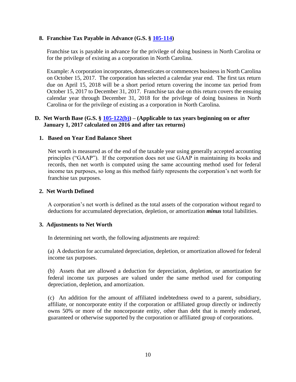#### **8. Franchise Tax Payable in Advance (G.S. § [105-114\)](http://www.ncga.state.nc.us/EnactedLegislation/Statutes/HTML/BySection/Chapter_105/GS_105-114.html)**

Franchise tax is payable in advance for the privilege of doing business in North Carolina or for the privilege of existing as a corporation in North Carolina.

Example: A corporation incorporates, domesticates or commences business in North Carolina on October 15, 2017. The corporation has selected a calendar year end. The first tax return due on April 15, 2018 will be a short period return covering the income tax period from October 15, 2017 to December 31, 2017. Franchise tax due on this return covers the ensuing calendar year through December 31, 2018 for the privilege of doing business in North Carolina or for the privilege of existing as a corporation in North Carolina.

#### <span id="page-9-0"></span>**D. Net Worth Base (G.S. § [105-122\(b\)\)](http://www.ncga.state.nc.us/EnactedLegislation/Statutes/PDF/BySection/Chapter_105/GS_105-122.pdf) – (Applicable to tax years beginning on or after January 1, 2017 calculated on 2016 and after tax returns)**

#### **1. Based on Year End Balance Sheet**

Net worth is measured as of the end of the taxable year using generally accepted accounting principles ("GAAP"). If the corporation does not use GAAP in maintaining its books and records, then net worth is computed using the same accounting method used for federal income tax purposes, so long as this method fairly represents the corporation's net worth for franchise tax purposes.

#### **2. Net Worth Defined**

A corporation's net worth is defined as the total assets of the corporation without regard to deductions for accumulated depreciation, depletion, or amortization *minus* total liabilities.

#### **3. Adjustments to Net Worth**

In determining net worth, the following adjustments are required:

(a) A deduction for accumulated depreciation, depletion, or amortization allowed for federal income tax purposes.

(b) Assets that are allowed a deduction for depreciation, depletion, or amortization for federal income tax purposes are valued under the same method used for computing depreciation, depletion, and amortization.

(c) An addition for the amount of affiliated indebtedness owed to a parent, subsidiary, affiliate, or noncorporate entity if the corporation or affiliated group directly or indirectly owns 50% or more of the noncorporate entity, other than debt that is merely endorsed, guaranteed or otherwise supported by the corporation or affiliated group of corporations.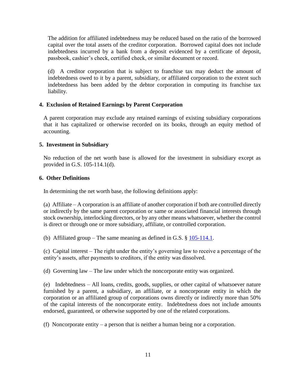The addition for affiliated indebtedness may be reduced based on the ratio of the borrowed capital over the total assets of the creditor corporation. Borrowed capital does not include indebtedness incurred by a bank from a deposit evidenced by a certificate of deposit, passbook, cashier's check, certified check, or similar document or record.

(d) A creditor corporation that is subject to franchise tax may deduct the amount of indebtedness owed to it by a parent, subsidiary, or affiliated corporation to the extent such indebtedness has been added by the debtor corporation in computing its franchise tax liability.

#### **4. Exclusion of Retained Earnings by Parent Corporation**

A parent corporation may exclude any retained earnings of existing subsidiary corporations that it has capitalized or otherwise recorded on its books, through an equity method of accounting.

#### **5. Investment in Subsidiary**

No reduction of the net worth base is allowed for the investment in subsidiary except as provided in G.S. 105-114.1(d).

#### **6. Other Definitions**

In determining the net worth base, the following definitions apply:

(a) Affiliate – A corporation is an affiliate of another corporation if both are controlled directly or indirectly by the same parent corporation or same or associated financial interests through stock ownership, interlocking directors, or by any other means whatsoever, whether the control is direct or through one or more subsidiary, affiliate, or controlled corporation.

(b) Affiliated group – The same meaning as defined in G.S.  $\S 105-114.1$ .

(c) Capital interest – The right under the entity's governing law to receive a percentage of the entity's assets, after payments to creditors, if the entity was dissolved.

(d) Governing law – The law under which the noncorporate entity was organized.

(e) Indebtedness – All loans, credits, goods, supplies, or other capital of whatsoever nature furnished by a parent, a subsidiary, an affiliate, or a noncorporate entity in which the corporation or an affiliated group of corporations owns directly or indirectly more than 50% of the capital interests of the noncorporate entity. Indebtedness does not include amounts endorsed, guaranteed, or otherwise supported by one of the related corporations.

(f) Noncorporate entity – a person that is neither a human being nor a corporation.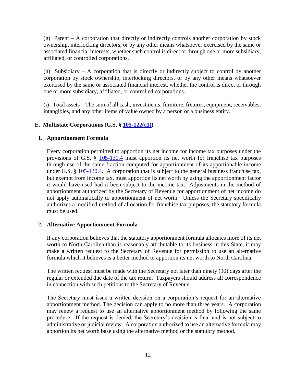$(g)$  Parent – A corporation that directly or indirectly controls another corporation by stock ownership, interlocking directors, or by any other means whatsoever exercised by the same or associated financial interests, whether such control is direct or through one or more subsidiary, affiliated, or controlled corporations.

(h) Subsidiary – A corporation that is directly or indirectly subject to control by another corporation by stock ownership, interlocking directors, or by any other means whatsoever exercised by the same or associated financial interest, whether the control is direct or through one or more subsidiary, affiliated, or controlled corporations.

(i) Total assets – The sum of all cash, investments, furniture, fixtures, equipment, receivables, intangibles, and any other items of value owned by a person or a business entity.

## <span id="page-11-0"></span>**E. Multistate Corporations (G.S. § [105-122\(c1\)\)](http://www.ncga.state.nc.us/EnactedLegislation/Statutes/PDF/BySection/Chapter_105/GS_105-122.pdf)**

## **1. Apportionment Formula**

Every corporation permitted to apportion its net income for income tax purposes under the provisions of G.S. § [105-130.4](http://www.ncga.state.nc.us/EnactedLegislation/Statutes/PDF/BySection/Chapter_105/GS_105-130.4.pdf) must apportion its net worth for franchise tax purposes through use of the same fraction computed for apportionment of its apportionable income under G.S. § [105-130.4.](http://www.ncga.state.nc.us/EnactedLegislation/Statutes/PDF/BySection/Chapter_105/GS_105-130.4.pdf) A corporation that is subject to the general business franchise tax, but exempt from income tax, must apportion its net worth by using the apportionment factor it would have used had it been subject to the income tax. Adjustments in the method of apportionment authorized by the Secretary of Revenue for apportionment of net income do not apply automatically to apportionment of net worth. Unless the Secretary specifically authorizes a modified method of allocation for franchise tax purposes, the statutory formula must be used.

## **2. Alternative Apportionment Formula**

If any corporation believes that the statutory apportionment formula allocates more of its net worth to North Carolina than is reasonably attributable to its business in this State, it may make a written request to the Secretary of Revenue for permission to use an alternative formula which it believes is a better method to apportion its net worth to North Carolina.

The written request must be made with the Secretary not later than ninety (90) days after the regular or extended due date of the tax return. Taxpayers should address all correspondence in connection with such petitions to the Secretary of Revenue.

The Secretary must issue a written decision on a corporation's request for an alternative apportionment method. The decision can apply to no more than three years. A corporation may renew a request to use an alternative apportionment method by following the same procedure. If the request is denied, the Secretary's decision is final and is not subject to administrative or judicial review. A corporation authorized to use an alternative formula may apportion its net worth base using the alternative method or the statutory method.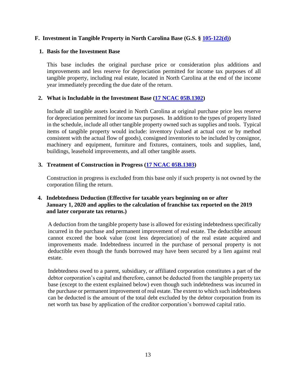## <span id="page-12-0"></span>**F. Investment in Tangible Property in North Carolina Base (G.S. § [105-122\(d\)\)](http://www.ncga.state.nc.us/EnactedLegislation/Statutes/PDF/BySection/Chapter_105/GS_105-122.pdf)**

#### **1. Basis for the Investment Base**

This base includes the original purchase price or consideration plus additions and improvements and less reserve for depreciation permitted for income tax purposes of all tangible property, including real estate, located in North Carolina at the end of the income year immediately preceding the due date of the return.

#### **2. What is Includable in the Investment Base [\(17 NCAC 05B.1302\)](http://reports.oah.state.nc.us/ncac/title%2017%20-%20revenue/chapter%2005%20-%20corporate%20franchise,%20income,%20and%20insurance%20taxes/subchapter%20b/17%20ncac%2005b%20.1302.pdf)**

Include all tangible assets located in North Carolina at original purchase price less reserve for depreciation permitted for income tax purposes. In addition to the types of property listed in the schedule, include all other tangible property owned such as supplies and tools. Typical items of tangible property would include: inventory (valued at actual cost or by method consistent with the actual flow of goods), consigned inventories to be included by consignor, machinery and equipment, furniture and fixtures, containers, tools and supplies, land, buildings, leasehold improvements, and all other tangible assets.

#### **3. Treatment of Construction in Progress [\(17 NCAC 05B.1303\)](http://reports.oah.state.nc.us/ncac/title%2017%20-%20revenue/chapter%2005%20-%20corporate%20franchise,%20income,%20and%20insurance%20taxes/subchapter%20b/17%20ncac%2005b%20.1303.pdf)**

Construction in progress is excluded from this base only if such property is not owned by the corporation filing the return.

#### **4. Indebtedness Deduction (Effective for taxable years beginning on or after January 1, 2020 and applies to the calculation of franchise tax reported on the 2019 and later corporate tax returns.)**

A deduction from the tangible property base is allowed for existing indebtedness specifically incurred in the purchase and permanent improvement of real estate. The deductible amount cannot exceed the book value (cost less depreciation) of the real estate acquired and improvements made. Indebtedness incurred in the purchase of personal property is not deductible even though the funds borrowed may have been secured by a lien against real estate.

Indebtedness owed to a parent, subsidiary, or affiliated corporation constitutes a part of the debtor corporation's capital and therefore, cannot be deducted from the tangible property tax base (except to the extent explained below) even though such indebtedness was incurred in the purchase or permanent improvement of real estate. The extent to which such indebtedness can be deducted is the amount of the total debt excluded by the debtor corporation from its net worth tax base by application of the creditor corporation's borrowed capital ratio.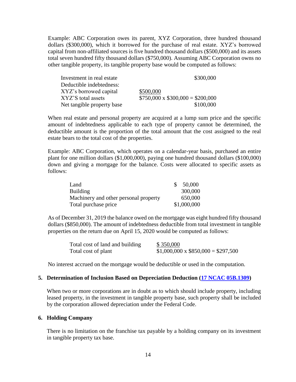Example: ABC Corporation owes its parent, XYZ Corporation, three hundred thousand dollars (\$300,000), which it borrowed for the purchase of real estate. XYZ's borrowed capital from non-affiliated sources is five hundred thousand dollars (\$500,000) and its assets total seven hundred fifty thousand dollars (\$750,000). Assuming ABC Corporation owns no other tangible property, its tangible property base would be computed as follows:

| Investment in real estate  | \$300,000                             |
|----------------------------|---------------------------------------|
| Deductible indebtedness:   |                                       |
| XYZ's borrowed capital     | \$500,000                             |
| XYZ'S total assets         | $$750,000 \times $300,000 = $200,000$ |
| Net tangible property base | \$100,000                             |

When real estate and personal property are acquired at a lump sum price and the specific amount of indebtedness applicable to each type of property cannot be determined, the deductible amount is the proportion of the total amount that the cost assigned to the real estate bears to the total cost of the properties.

Example: ABC Corporation, which operates on a calendar-year basis, purchased an entire plant for one million dollars (\$1,000,000), paying one hundred thousand dollars (\$100,000) down and giving a mortgage for the balance. Costs were allocated to specific assets as follows:

| Land                                  | -S | 50,000      |
|---------------------------------------|----|-------------|
| Building                              |    | 300,000     |
| Machinery and other personal property |    | 650,000     |
| Total purchase price                  |    | \$1,000,000 |

As of December 31, 2019 the balance owed on the mortgage was eight hundred fifty thousand dollars (\$850,000). The amount of indebtedness deductible from total investment in tangible properties on the return due on April 15, 2020 would be computed as follows:

| Total cost of land and building | \$350,000                               |
|---------------------------------|-----------------------------------------|
| Total cost of plant             | $$1,000,000 \times $850,000 = $297,500$ |

No interest accrued on the mortgage would be deductible or used in the computation.

#### **5. Determination of Inclusion Based on Depreciation Deduction [\(17 NCAC 05B.1309\)](http://reports.oah.state.nc.us/ncac/title%2017%20-%20revenue/chapter%2005%20-%20corporate%20franchise,%20income,%20and%20insurance%20taxes/subchapter%20b/17%20ncac%2005b%20.1309.pdf)**

When two or more corporations are in doubt as to which should include property, including leased property, in the investment in tangible property base, such property shall be included by the corporation allowed depreciation under the Federal Code.

#### **6. Holding Company**

There is no limitation on the franchise tax payable by a holding company on its investment in tangible property tax base.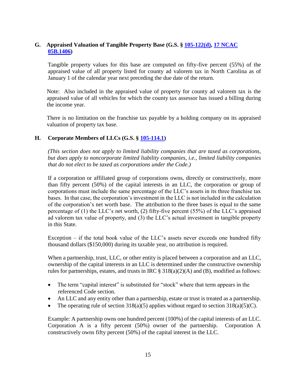## <span id="page-14-0"></span>**G. Appraised Valuation of Tangible Property Base (G.S. § [105-122\(d\),](http://www.ncga.state.nc.us/EnactedLegislation/Statutes/HTML/BySection/Chapter_105/GS_105-122.html) [17 NCAC](http://reports.oah.state.nc.us/ncac/title%2017%20-%20revenue/chapter%2005%20-%20corporate%20franchise,%20income,%20and%20insurance%20taxes/subchapter%20b/17%20ncac%2005b%20.1406.pdf) [05B.1406\)](http://reports.oah.state.nc.us/ncac/title%2017%20-%20revenue/chapter%2005%20-%20corporate%20franchise,%20income,%20and%20insurance%20taxes/subchapter%20b/17%20ncac%2005b%20.1406.pdf)**

Tangible property values for this base are computed on fifty-five percent (55%) of the appraised value of all property listed for county ad valorem tax in North Carolina as of January 1 of the calendar year next preceding the due date of the return.

Note: Also included in the appraised value of property for county ad valorem tax is the appraised value of all vehicles for which the county tax assessor has issued a billing during the income year.

There is no limitation on the franchise tax payable by a holding company on its appraised valuation of property tax base.

# <span id="page-14-1"></span>**H. Corporate Members of LLCs (G.S. § [105-114.1\)](http://www.ncga.state.nc.us/EnactedLegislation/Statutes/HTML/BySection/Chapter_105/GS_105-114.1.html)**

*(This section does not apply to limited liability companies that are taxed as corporations, but does apply to noncorporate limited liability companies, i.e., limited liability companies that do not elect to be taxed as corporations under the Code.)*

If a corporation or affiliated group of corporations owns, directly or constructively, more than fifty percent (50%) of the capital interests in an LLC, the corporation or group of corporations must include the same percentage of the LLC's assets in its three franchise tax bases. In that case, the corporation's investment in the LLC is not included in the calculation of the corporation's net worth base. The attribution to the three bases is equal to the same percentage of (1) the LLC's net worth, (2) fifty-five percent (55%) of the LLC's appraised ad valorem tax value of property, and (3) the LLC's actual investment in tangible property in this State.

Exception – if the total book value of the LLC's assets never exceeds one hundred fifty thousand dollars (\$150,000) during its taxable year, no attribution is required.

When a partnership, trust, LLC, or other entity is placed between a corporation and an LLC, ownership of the capital interests in an LLC is determined under the constructive ownership rules for partnerships, estates, and trusts in IRC  $\S 318(a)(2)(A)$  and (B), modified as follows:

- The term "capital interest" is substituted for "stock" where that term appears in the referenced Code section.
- An LLC and any entity other than a partnership, estate or trust is treated as a partnership.
- The operating rule of section  $318(a)(5)$  applies without regard to section  $318(a)(5)(C)$ .

Example: A partnership owns one hundred percent (100%) of the capital interests of an LLC. Corporation A is a fifty percent (50%) owner of the partnership. Corporation A constructively owns fifty percent (50%) of the capital interest in the LLC.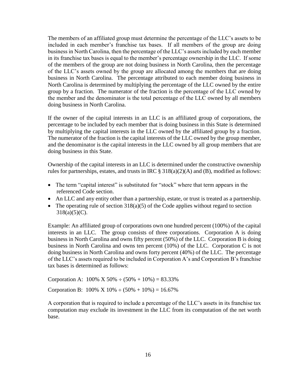The members of an affiliated group must determine the percentage of the LLC's assets to be included in each member's franchise tax bases. If all members of the group are doing business in North Carolina, then the percentage of the LLC's assets included by each member in its franchise tax bases is equal to the member's percentage ownership in the LLC. If some of the members of the group are not doing business in North Carolina, then the percentage of the LLC's assets owned by the group are allocated among the members that are doing business in North Carolina. The percentage attributed to each member doing business in North Carolina is determined by multiplying the percentage of the LLC owned by the entire group by a fraction. The numerator of the fraction is the percentage of the LLC owned by the member and the denominator is the total percentage of the LLC owned by all members doing business in North Carolina.

If the owner of the capital interests in an LLC is an affiliated group of corporations, the percentage to be included by each member that is doing business in this State is determined by multiplying the capital interests in the LLC owned by the affiliated group by a fraction. The numerator of the fraction is the capital interests of the LLC owned by the group member, and the denominator is the capital interests in the LLC owned by all group members that are doing business in this State.

Ownership of the capital interests in an LLC is determined under the constructive ownership rules for partnerships, estates, and trusts in IRC  $\S 318(a)(2)(A)$  and (B), modified as follows:

- The term "capital interest" is substituted for "stock" where that term appears in the referenced Code section.
- An LLC and any entity other than a partnership, estate, or trust is treated as a partnership.
- The operating rule of section  $318(a)(5)$  of the Code applies without regard to section  $318(a)(5)(C)$ .

Example: An affiliated group of corporations own one hundred percent (100%) of the capital interests in an LLC. The group consists of three corporations. Corporation A is doing business in North Carolina and owns fifty percent (50%) of the LLC. Corporation B is doing business in North Carolina and owns ten percent (10%) of the LLC. Corporation C is not doing business in North Carolina and owns forty percent (40%) of the LLC. The percentage of the LLC's assets required to be included in Corporation A's and Corporation B's franchise tax bases is determined as follows:

Corporation A:  $100\%$  X 50%  $\div$  (50% + 10%) = 83.33%

Corporation B:  $100\% \times 10\% \div (50\% + 10\%) = 16.67\%$ 

A corporation that is required to include a percentage of the LLC's assets in its franchise tax computation may exclude its investment in the LLC from its computation of the net worth base.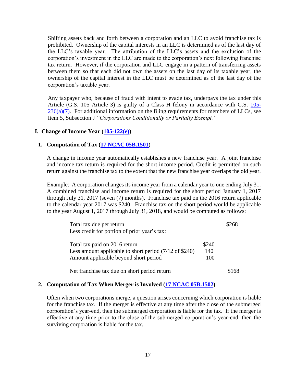Shifting assets back and forth between a corporation and an LLC to avoid franchise tax is prohibited. Ownership of the capital interests in an LLC is determined as of the last day of the LLC's taxable year. The attribution of the LLC's assets and the exclusion of the corporation's investment in the LLC are made to the corporation's next following franchise tax return. However, if the corporation and LLC engage in a pattern of transferring assets between them so that each did not own the assets on the last day of its taxable year, the ownership of the capital interest in the LLC must be determined as of the last day of the corporation's taxable year.

Any taxpayer who, because of fraud with intent to evade tax, underpays the tax under this Article (G.S. 105 Article 3) is guilty of a Class H felony in accordance with G.S. [105-](http://www.ncga.state.nc.us/EnactedLegislation/Statutes/HTML/BySection/Chapter_105/GS_105-236.html)  $236(a)(7)$ . For additional information on the filing requirements for members of LLCs, see Item 5, Subsection J *"Corporations Conditionally or Partially Exempt."*

#### <span id="page-16-0"></span>**I. Change of Income Year [\(105-122\(e\)\)](http://www.ncga.state.nc.us/EnactedLegislation/Statutes/HTML/BySection/Chapter_105/GS_105-122.html)**

#### **1. Computation of Tax [\(17 NCAC 05B.1501\)](http://reports.oah.state.nc.us/ncac/title%2017%20-%20revenue/chapter%2005%20-%20corporate%20franchise,%20income,%20and%20insurance%20taxes/subchapter%20b/17%20ncac%2005b%20.1501.pdf)**

A change in income year automatically establishes a new franchise year. A joint franchise and income tax return is required for the short income period. Credit is permitted on such return against the franchise tax to the extent that the new franchise year overlaps the old year.

Example: A corporation changes its income year from a calendar year to one ending July 31. A combined franchise and income return is required for the short period January 1, 2017 through July 31, 2017 (seven (7) months). Franchise tax paid on the 2016 return applicable to the calendar year 2017 was \$240. Franchise tax on the short period would be applicable to the year August 1, 2017 through July 31, 2018, and would be computed as follows:

| Total tax due per return                                                                          | \$268        |
|---------------------------------------------------------------------------------------------------|--------------|
| Less credit for portion of prior year's tax:                                                      |              |
| Total tax paid on 2016 return<br>Less amount applicable to short period $(7/12 \text{ of } $240)$ | \$240<br>140 |
| Amount applicable beyond short period                                                             | 100          |
| Net franchise tax due on short period return                                                      | \$168        |

#### **2. Computation of Tax When Merger is Involved [\(17 NCAC 05B.1502\)](http://reports.oah.state.nc.us/ncac/title%2017%20-%20revenue/chapter%2005%20-%20corporate%20franchise,%20income,%20and%20insurance%20taxes/subchapter%20b/17%20ncac%2005b%20.1502.pdf)**

Often when two corporations merge, a question arises concerning which corporation is liable for the franchise tax. If the merger is effective at any time after the close of the submerged corporation's year-end, then the submerged corporation is liable for the tax. If the merger is effective at any time prior to the close of the submerged corporation's year-end, then the surviving corporation is liable for the tax.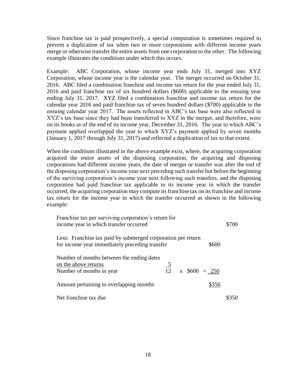Since franchise tax is paid prospectively, a special computation is sometimes required to prevent a duplication of tax when two or more corporations with different income years merge or otherwise transfer the entire assets from one corporation to the other. The following example illustrates the conditions under which this occurs.

Example: ABC Corporation, whose income year ends July 31, merged into XYZ Corporation, whose income year is the calendar year. The merger occurred on October 31, 2016. ABC filed a combination franchise and income tax return for the year ended July 31, 2016 and paid franchise tax of six hundred dollars (\$600) applicable to the ensuing year ending July 31, 2017. XYZ filed a combination franchise and income tax return for the calendar year 2016 and paid franchise tax of seven hundred dollars (\$700) applicable to the ensuing calendar year 2017. The assets reflected in ABC's tax base were also reflected in XYZ's tax base since they had been transferred to XYZ in the merger, and therefore, were on its books as of the end of its income year, December 31, 2016. The year to which ABC's payment applied overlapped the year to which XYZ's payment applied by seven months (January 1, 2017 through July 31, 2017) and reflected a duplication of tax to that extent.

When the conditions illustrated in the above example exist, where, the acquiring corporation acquired the entire assets of the disposing corporation, the acquiring and disposing corporations had different income years, the date of merger or transfer was after the end of the disposing corporation's income year next preceding such transfer but before the beginning of the surviving corporation's income year next following such transfers, and the disposing corporation had paid franchise tax applicable to its income year in which the transfer occurred, the acquiring corporation may compute its franchise tax on its franchise and income tax return for the income year in which the transfer occurred as shown in the following example:

| Franchise tax per surviving corporation's return for<br>income year in which transfer occurred                 |  |                                     | \$700 |
|----------------------------------------------------------------------------------------------------------------|--|-------------------------------------|-------|
| Less: Franchise tax paid by submerged corporation per return<br>for income year immediately preceding transfer |  | \$600                               |       |
| Number of months between the ending dates<br>on the above returns<br>Number of months in year                  |  | $\frac{5}{12}$ x \$600 = <u>250</u> |       |
| Amount pertaining to overlapping months                                                                        |  | \$350                               |       |
| Net franchise tax due                                                                                          |  |                                     |       |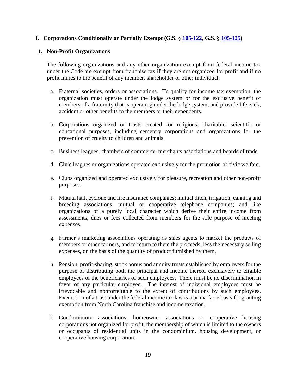## <span id="page-18-0"></span>**J. Corporations Conditionally or Partially Exempt (G.S. § [105-122,](http://www.ncga.state.nc.us/EnactedLegislation/Statutes/HTML/BySection/Chapter_105/GS_105-122.html) G.S. § [105-125\)](http://www.ncga.state.nc.us/EnactedLegislation/Statutes/HTML/BySection/Chapter_105/GS_105-125.html)**

#### **1. Non-Profit Organizations**

The following organizations and any other organization exempt from federal income tax under the Code are exempt from franchise tax if they are not organized for profit and if no profit inures to the benefit of any member, shareholder or other individual:

- a. Fraternal societies, orders or associations. To qualify for income tax exemption, the organization must operate under the lodge system or for the exclusive benefit of members of a fraternity that is operating under the lodge system, and provide life, sick, accident or other benefits to the members or their dependents.
- b. Corporations organized or trusts created for religious, charitable, scientific or educational purposes, including cemetery corporations and organizations for the prevention of cruelty to children and animals.
- c. Business leagues, chambers of commerce, merchants associations and boards of trade.
- d. Civic leagues or organizations operated exclusively for the promotion of civic welfare.
- e. Clubs organized and operated exclusively for pleasure, recreation and other non-profit purposes.
- f. Mutual hail, cyclone and fire insurance companies; mutual ditch, irrigation, canning and breeding associations; mutual or cooperative telephone companies; and like organizations of a purely local character which derive their entire income from assessments, dues or fees collected from members for the sole purpose of meeting expenses.
- g. Farmer's marketing associations operating as sales agents to market the products of members or other farmers, and to return to them the proceeds, less the necessary selling expenses, on the basis of the quantity of product furnished by them.
- h. Pension, profit-sharing, stock bonus and annuity trusts established by employers for the purpose of distributing both the principal and income thereof exclusively to eligible employees or the beneficiaries of such employees. There must be no discrimination in favor of any particular employee. The interest of individual employees must be irrevocable and nonforfeitable to the extent of contributions by such employees. Exemption of a trust under the federal income tax law is a prima facie basis for granting exemption from North Carolina franchise and income taxation.
- i. Condominium associations, homeowner associations or cooperative housing corporations not organized for profit, the membership of which is limited to the owners or occupants of residential units in the condominium, housing development, or cooperative housing corporation.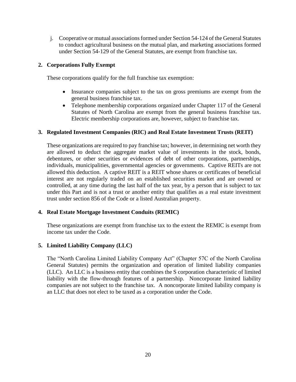j. Cooperative or mutual associations formed under Section 54-124 of the General Statutes to conduct agricultural business on the mutual plan, and marketing associations formed under Section 54-129 of the General Statutes, are exempt from franchise tax.

#### **2. Corporations Fully Exempt**

These corporations qualify for the full franchise tax exemption:

- Insurance companies subject to the tax on gross premiums are exempt from the general business franchise tax.
- Telephone membership corporations organized under Chapter 117 of the General Statutes of North Carolina are exempt from the general business franchise tax. Electric membership corporations are, however, subject to franchise tax.

#### **3. Regulated Investment Companies (RIC) and Real Estate Investment Trusts (REIT)**

These organizations are required to pay franchise tax; however, in determining net worth they are allowed to deduct the aggregate market value of investments in the stock, bonds, debentures, or other securities or evidences of debt of other corporations, partnerships, individuals, municipalities, governmental agencies or governments. Captive REITs are not allowed this deduction. A captive REIT is a REIT whose shares or certificates of beneficial interest are not regularly traded on an established securities market and are owned or controlled, at any time during the last half of the tax year, by a person that is subject to tax under this Part and is not a trust or another entity that qualifies as a real estate investment trust under section 856 of the Code or a listed Australian property.

#### **4. Real Estate Mortgage Investment Conduits (REMIC)**

These organizations are exempt from franchise tax to the extent the REMIC is exempt from income tax under the Code.

## **5. Limited Liability Company (LLC)**

The "North Carolina Limited Liability Company Act" (Chapter 57C of the North Carolina General Statutes) permits the organization and operation of limited liability companies (LLC). An LLC is a business entity that combines the S corporation characteristic of limited liability with the flow-through features of a partnership. Noncorporate limited liability companies are not subject to the franchise tax. A noncorporate limited liability company is an LLC that does not elect to be taxed as a corporation under the Code.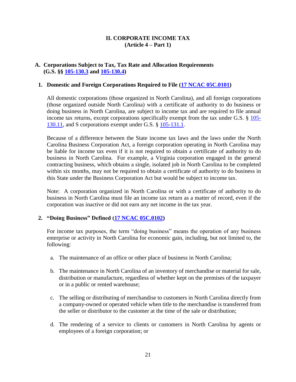#### **II. CORPORATE INCOME TAX (Article 4 – Part 1)**

#### <span id="page-20-0"></span>**A. Corporations Subject to Tax, Tax Rate and Allocation Requirements (G.S. §§ [105-130.3](http://www.ncga.state.nc.us/EnactedLegislation/Statutes/HTML/BySection/Chapter_105/GS_105-130.3.html) and [105-130.4\)](http://www.ncga.state.nc.us/EnactedLegislation/Statutes/HTML/BySection/Chapter_105/GS_105-130.4.html)**

#### **1. Domestic and Foreign Corporations Required to File [\(17 NCAC 05C.0101\)](http://reports.oah.state.nc.us/ncac/title%2017%20-%20revenue/chapter%2005%20-%20corporate%20franchise,%20income,%20and%20insurance%20taxes/subchapter%20c/17%20ncac%2005c%20.0101.pdf)**

All domestic corporations (those organized in North Carolina), and all foreign corporations (those organized outside North Carolina) with a certificate of authority to do business or doing business in North Carolina, are subject to income tax and are required to file annual income tax returns, except corporations specifically exempt from the tax under G.S. § [105-](http://www.ncga.state.nc.us/EnactedLegislation/Statutes/HTML/BySection/Chapter_105/GS_105-130.11.html) [130.11,](http://www.ncga.state.nc.us/EnactedLegislation/Statutes/HTML/BySection/Chapter_105/GS_105-130.11.html) and S corporations exempt under G.S. § [105-131.1.](http://www.ncga.state.nc.us/EnactedLegislation/Statutes/HTML/BySection/Chapter_105/GS_105-131.1.html)

Because of a difference between the State income tax laws and the laws under the North Carolina Business Corporation Act, a foreign corporation operating in North Carolina may be liable for income tax even if it is not required to obtain a certificate of authority to do business in North Carolina. For example, a Virginia corporation engaged in the general contracting business, which obtains a single, isolated job in North Carolina to be completed within six months, may not be required to obtain a certificate of authority to do business in this State under the Business Corporation Act but would be subject to income tax.

Note: A corporation organized in North Carolina or with a certificate of authority to do business in North Carolina must file an income tax return as a matter of record, even if the corporation was inactive or did not earn any net income in the tax year.

#### **2. "Doing Business" Defined [\(17 NCAC 05C.0102\)](http://reports.oah.state.nc.us/ncac/title%2017%20-%20revenue/chapter%2005%20-%20corporate%20franchise,%20income,%20and%20insurance%20taxes/subchapter%20c/17%20ncac%2005c%20.0102.pdf)**

For income tax purposes, the term "doing business" means the operation of any business enterprise or activity in North Carolina for economic gain, including, but not limited to, the following:

- a. The maintenance of an office or other place of business in North Carolina;
- b. The maintenance in North Carolina of an inventory of merchandise or material for sale, distribution or manufacture, regardless of whether kept on the premises of the taxpayer or in a public or rented warehouse;
- c. The selling or distributing of merchandise to customers in North Carolina directly from a company-owned or operated vehicle when title to the merchandise is transferred from the seller or distributor to the customer at the time of the sale or distribution;
- d. The rendering of a service to clients or customers in North Carolina by agents or employees of a foreign corporation; or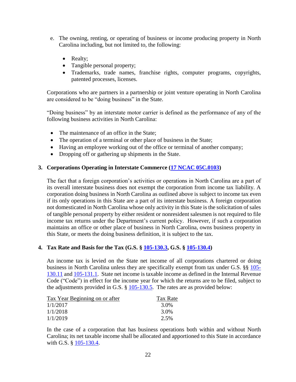- e. The owning, renting, or operating of business or income producing property in North Carolina including, but not limited to, the following:
	- Realty;
	- Tangible personal property;
	- Trademarks, trade names, franchise rights, computer programs, copyrights, patented processes, licenses.

Corporations who are partners in a partnership or joint venture operating in North Carolina are considered to be "doing business" in the State.

"Doing business" by an interstate motor carrier is defined as the performance of any of the following business activities in North Carolina:

- The maintenance of an office in the State;
- The operation of a terminal or other place of business in the State;
- Having an employee working out of the office or terminal of another company;
- Dropping off or gathering up shipments in the State.

#### **3. Corporations Operating in Interstate Commerce [\(17 NCAC 05C.0103\)](http://reports.oah.state.nc.us/ncac/title%2017%20-%20revenue/chapter%2005%20-%20corporate%20franchise,%20income,%20and%20insurance%20taxes/subchapter%20c/17%20ncac%2005c%20.0103.pdf)**

The fact that a foreign corporation's activities or operations in North Carolina are a part of its overall interstate business does not exempt the corporation from income tax liability. A corporation doing business in North Carolina as outlined above is subject to income tax even if its only operations in this State are a part of its interstate business. A foreign corporation not domesticated in North Carolina whose only activity in this State is the solicitation of sales of tangible personal property by either resident or nonresident salesmen is not required to file income tax returns under the Department's current policy. However, if such a corporation maintains an office or other place of business in North Carolina, owns business property in this State, or meets the doing business definition, it is subject to the tax.

#### **4. Tax Rate and Basis for the Tax (G.S. § [105-130.3,](http://www.ncga.state.nc.us/EnactedLegislation/Statutes/HTML/BySection/Chapter_105/GS_105-130.3.html) G.S. § [105-130.4\)](http://www.ncga.state.nc.us/EnactedLegislation/Statutes/HTML/BySection/Chapter_105/GS_105-130.4.html)**

An income tax is levied on the State net income of all corporations chartered or doing business in North Carolina unless they are specifically exempt from tax under G.S. §§ [105-](http://www.ncga.state.nc.us/EnactedLegislation/Statutes/HTML/BySection/Chapter_105/GS_105-130.11.html) [130.11](http://www.ncga.state.nc.us/EnactedLegislation/Statutes/HTML/BySection/Chapter_105/GS_105-130.11.html) and [105-131.1.](http://www.ncga.state.nc.us/EnactedLegislation/Statutes/HTML/BySection/Chapter_105/GS_105-131.1.html) State net income is taxable income as defined in the Internal Revenue Code ("Code") in effect for the income year for which the returns are to be filed, subject to the adjustments provided in G.S. § [105-130.5.](http://www.ncga.state.nc.us/EnactedLegislation/Statutes/HTML/BySection/Chapter_105/GS_105-130.5.html) The rates are as provided below:

| Tax Year Beginning on or after | Tax Rate |
|--------------------------------|----------|
| 1/1/2017                       | 3.0%     |
| 1/1/2018                       | 3.0%     |
| 1/1/2019                       | 2.5%     |

In the case of a corporation that has business operations both within and without North Carolina; its net taxable income shall be allocated and apportioned to this State in accordance with G.S. § [105-130.4.](http://www.ncga.state.nc.us/EnactedLegislation/Statutes/HTML/BySection/Chapter_105/GS_105-130.4.html)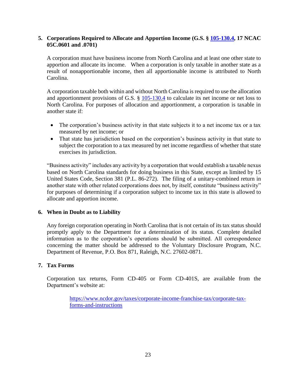#### **5. Corporations Required to Allocate and Apportion Income (G.S. § [105-130.4,](http://www.ncga.state.nc.us/EnactedLegislation/Statutes/HTML/BySection/Chapter_105/GS_105-130.4.html) 17 NCAC 05C.0601 and .0701)**

A corporation must have business income from North Carolina and at least one other state to apportion and allocate its income. When a corporation is only taxable in another state as a result of nonapportionable income, then all apportionable income is attributed to North Carolina.

A corporation taxable both within and without North Carolina is required to use the allocation and apportionment provisions of G.S. § [105-130.4](http://www.ncga.state.nc.us/EnactedLegislation/Statutes/HTML/BySection/Chapter_105/GS_105-130.4.html) to calculate its net income or net loss to North Carolina. For purposes of allocation and apportionment, a corporation is taxable in another state if:

- The corporation's business activity in that state subjects it to a net income tax or a tax measured by net income; or
- That state has jurisdiction based on the corporation's business activity in that state to subject the corporation to a tax measured by net income regardless of whether that state exercises its jurisdiction.

"Business activity" includes any activity by a corporation that would establish a taxable nexus based on North Carolina standards for doing business in this State, except as limited by 15 United States Code, Section 381 (P.L. 86-272). The filing of a unitary-combined return in another state with other related corporations does not, by itself, constitute "business activity" for purposes of determining if a corporation subject to income tax in this state is allowed to allocate and apportion income.

## **6. When in Doubt as to Liability**

Any foreign corporation operating in North Carolina that is not certain of its tax status should promptly apply to the Department for a determination of its status. Complete detailed information as to the corporation's operations should be submitted. All correspondence concerning the matter should be addressed to the Voluntary Disclosure Program, N.C. Department of Revenue, P.O. Box 871, Raleigh, N.C. 27602-0871.

#### **7. Tax Forms**

Corporation tax returns, Form CD-405 or Form CD-401S, are available from the Department's website at:

> [https://www.ncdor.gov/taxes/corporate-income-franchise-tax/corporate-tax](https://www.ncdor.gov/taxes/corporate-income-franchise-tax/corporate-tax-forms-and-instructions)[forms-and-instructions](https://www.ncdor.gov/taxes/corporate-income-franchise-tax/corporate-tax-forms-and-instructions)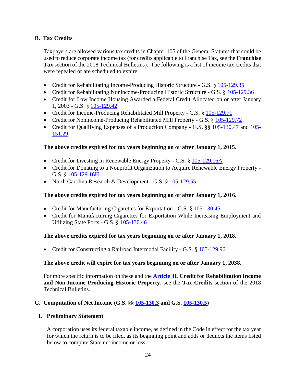# <span id="page-23-0"></span>**B. Tax Credits**

Taxpayers are allowed various tax credits in Chapter 105 of the General Statutes that could be used to reduce corporate income tax (for credits applicable to Franchise Tax, see the **Franchise Tax** section of the 2018 Technical Bulletins). The following is a list of income tax credits that were repealed or are scheduled to expire:

- Credit for Rehabilitating Income-Producing Historic Structure G.S. § [105-129.35](http://www.ncga.state.nc.us/EnactedLegislation/Statutes/HTML/BySection/Chapter_105/GS_105-129.35.html)
- Credit for Rehabilitating Nonincome-Producing Historic Structure G.S. § [105-129.36](http://www.ncga.state.nc.us/EnactedLegislation/Statutes/HTML/BySection/Chapter_105/GS_105-129.36.html)
- Credit for Low Income Housing Awarded a Federal Credit Allocated on or after January 1, 2003 - G.S. § [105-129.42](http://www.ncga.state.nc.us/EnactedLegislation/Statutes/HTML/BySection/Chapter_105/GS_105-129.42.html)
- Credit for Income-Producing Rehabilitated Mill Property G.S. § [105-129.71](http://www.ncga.state.nc.us/EnactedLegislation/Statutes/HTML/BySection/Chapter_105/GS_105-129.71.html)
- Credit for Nonincome-Producing Rehabilitated Mill Property G.S. § [105-129.72](http://www.ncga.state.nc.us/EnactedLegislation/Statutes/HTML/BySection/Chapter_105/GS_105-129.72.html)
- Credit for Qualifying Expenses of a Production Company G.S. §§ [105-130.47](http://www.ncga.state.nc.us/EnactedLegislation/Statutes/HTML/BySection/Chapter_105/GS_105-130.47.html) and [105-](http://www.ncga.state.nc.us/EnactedLegislation/Statutes/HTML/BySection/Chapter_105/GS_105-151.29.html) [151.29](http://www.ncga.state.nc.us/EnactedLegislation/Statutes/HTML/BySection/Chapter_105/GS_105-151.29.html)

## **The above credits expired for tax years beginning on or after January 1, 2015.**

- Credit for Investing in Renewable Energy Property G.S. § [105-129.16A](http://www.ncga.state.nc.us/EnactedLegislation/Statutes/HTML/BySection/Chapter_105/GS_105-129.16A.html)
- Credit for Donating to a Nonprofit Organization to Acquire Renewable Energy Property -G.S. § [105-129.16H](http://www.ncga.state.nc.us/EnactedLegislation/Statutes/HTML/BySection/Chapter_105/GS_105-129.16H.html)
- North Carolina Research & Development G.S. § [105-129.55](http://www.ncga.state.nc.us/EnactedLegislation/Statutes/HTML/BySection/Chapter_105/GS_105-129.55.html)

## **The above credits expired for tax years beginning on or after January 1, 2016.**

- Credit for Manufacturing Cigarettes for Exportation G.S. § [105-130.45](http://www.ncga.state.nc.us/EnactedLegislation/Statutes/HTML/BySection/Chapter_105/GS_105-130.45.html)
- Credit for Manufacturing Cigarettes for Exportation While Increasing Employment and Utilizing State Ports - G.S. § [105-130.46](http://www.ncga.state.nc.us/EnactedLegislation/Statutes/HTML/BySection/Chapter_105/GS_105-130.46.html)

## **The above credits expired for tax years beginning on or after January 1, 2018.**

• Credit for Constructing a Railroad Intermodal Facility - G.S. § [105-129.96](http://www.ncga.state.nc.us/EnactedLegislation/Statutes/HTML/BySection/Chapter_105/GS_105-129.96.html)

## **The above credit will expire for tax years beginning on or after January 1, 2038.**

For more specific information on these and the **[Article 3L](http://www.ncga.state.nc.us/EnactedLegislation/Statutes/HTML/ByArticle/Chapter_105/Article_3L.html) Credit for Rehabilitation Income and Non-Income Producing Historic Property**, see the **Tax Credits** section of the 2018 Technical Bulletins.

## <span id="page-23-1"></span>**C. Computation of Net Income (G.S. §§ [105-130.3](http://www.ncga.state.nc.us/EnactedLegislation/Statutes/HTML/BySection/Chapter_105/GS_105-130.3.html) and G.S. [105-130.5\)](http://www.ncga.state.nc.us/EnactedLegislation/Statutes/HTML/BySection/Chapter_105/GS_105-130.5.html)**

## **1. Preliminary Statement**

A corporation uses its federal taxable income, as defined in the Code in effect for the tax year for which the return is to be filed, as its beginning point and adds or deducts the items listed below to compute State net income or loss.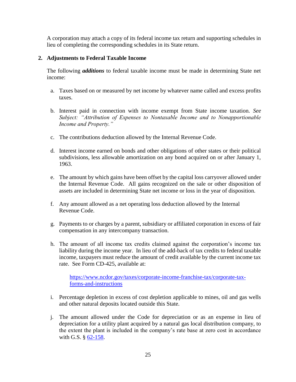A corporation may attach a copy of its federal income tax return and supporting schedules in lieu of completing the corresponding schedules in its State return.

#### **2. Adjustments to Federal Taxable Income**

The following *additions* to federal taxable income must be made in determining State net income:

- a. Taxes based on or measured by net income by whatever name called and excess profits taxes.
- b. Interest paid in connection with income exempt from State income taxation. *See Subject: "Attribution of Expenses to Nontaxable Income and to Nonapportionable Income and Property."*
- c. The contributions deduction allowed by the Internal Revenue Code.
- d. Interest income earned on bonds and other obligations of other states or their political subdivisions, less allowable amortization on any bond acquired on or after January 1, 1963.
- e. The amount by which gains have been offset by the capital loss carryover allowed under the Internal Revenue Code. All gains recognized on the sale or other disposition of assets are included in determining State net income or loss in the year of disposition.
- f. Any amount allowed as a net operating loss deduction allowed by the Internal Revenue Code.
- g. Payments to or charges by a parent, subsidiary or affiliated corporation in excess of fair compensation in any intercompany transaction.
- h. The amount of all income tax credits claimed against the corporation's income tax liability during the income year. In lieu of the add-back of tax credits to federal taxable income, taxpayers must reduce the amount of credit available by the current income tax rate. See Form CD-425, available at:

[https://www.ncdor.gov/taxes/corporate-income-franchise-tax/corporate-tax](https://www.ncdor.gov/taxes/corporate-income-franchise-tax/corporate-tax-forms-and-instructions)[forms-and-instructions](https://www.ncdor.gov/taxes/corporate-income-franchise-tax/corporate-tax-forms-and-instructions)

- i. Percentage depletion in excess of cost depletion applicable to mines, oil and gas wells and other natural deposits located outside this State.
- j. The amount allowed under the Code for depreciation or as an expense in lieu of depreciation for a utility plant acquired by a natural gas local distribution company, to the extent the plant is included in the company's rate base at zero cost in accordance with G.S. § [62-158.](http://www.ncga.state.nc.us/EnactedLegislation/Statutes/HTML/BySection/Chapter_62/GS_62-158.html)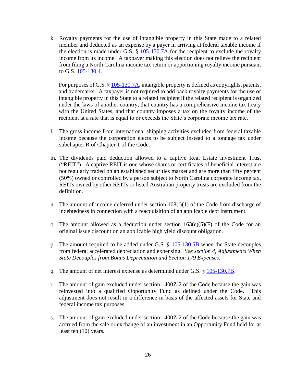k. Royalty payments for the use of intangible property in this State made to a related member and deducted as an expense by a payer in arriving at federal taxable income if the election is made under G.S.  $\S$  [105-130.7A](http://www.ncga.state.nc.us/EnactedLegislation/Statutes/HTML/BySection/Chapter_105/GS_105-130.7A.html) for the recipient to exclude the royalty income from its income. A taxpayer making this election does not relieve the recipient from filing a North Carolina income tax return or apportioning royalty income pursuant to G.S. [105-130.4.](http://www.ncga.state.nc.us/EnactedLegislation/Statutes/HTML/BySection/Chapter_105/GS_105-130.4.html)

For purposes of G.S. § [105-130.7A,](http://www.ncga.state.nc.us/EnactedLegislation/Statutes/HTML/BySection/Chapter_105/GS_105-130.7A.html) intangible property is defined as copyrights, patents, and trademarks. A taxpayer is not required to add back royalty payments for the use of intangible property in this State to a related recipient if the related recipient is organized under the laws of another country, that country has a comprehensive income tax treaty with the United States, and that country imposes a tax on the royalty income of the recipient at a rate that is equal to or exceeds the State's corporate income tax rate.

- l. The gross income from international shipping activities excluded from federal taxable income because the corporation elects to be subject instead to a tonnage tax under subchapter R of Chapter 1 of the Code.
- m. The dividends paid deduction allowed to a captive Real Estate Investment Trust ("REIT"). A captive REIT is one whose shares or certificates of beneficial interest are not regularly traded on an established securities market and are more than fifty percent (50%) owned or controlled by a person subject to North Carolina corporate income tax. REITs owned by other REITs or listed Australian property trusts are excluded from the definition.
- n. The amount of income deferred under section  $108(i)(1)$  of the Code from discharge of indebtedness in connection with a reacquisition of an applicable debt instrument.
- o. The amount allowed as a deduction under section  $163(e)(5)(F)$  of the Code for an original issue discount on an applicable high yield discount obligation.
- p. The amount required to be added under G.S.  $\S$  [105-130.5B](http://www.ncga.state.nc.us/EnactedLegislation/Statutes/HTML/BySection/Chapter_105/GS_105-130.5B.html) when the State decouples from federal accelerated depreciation and expensing. *See section 4, Adjustments When State Decouples from Bonus Depreciation and Section 179 Expenses*.
- q. The amount of net interest expense as determined under G.S. § [105-130.7B.](http://www.ncga.state.nc.us/EnactedLegislation/Statutes/PDF/BySection/Chapter_105/GS_105-130.7B.pdf)
- r. The amount of gain excluded under section 1400Z-2 of the Code because the gain was reinvested into a qualified Opportunity Fund as defined under the Code. This adjustment does not result in a difference in basis of the affected assets for State and federal income tax purposes.
- s. The amount of gain excluded under section 1400Z-2 of the Code because the gain was accrued from the sale or exchange of an investment in an Opportunity Fund held for at least ten (10) years.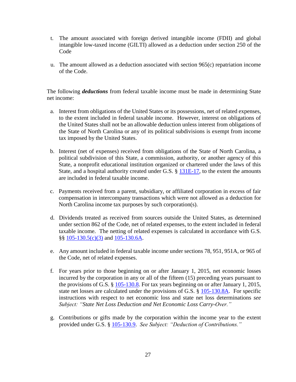- t. The amount associated with foreign derived intangible income (FDII) and global intangible low-taxed income (GILTI) allowed as a deduction under section 250 of the Code
- u. The amount allowed as a deduction associated with section 965(c) repatriation income of the Code.

The following *deductions* from federal taxable income must be made in determining State net income:

- a. Interest from obligations of the United States or its possessions, net of related expenses, to the extent included in federal taxable income. However, interest on obligations of the United States shall not be an allowable deduction unless interest from obligations of the State of North Carolina or any of its political subdivisions is exempt from income tax imposed by the United States.
- b. Interest (net of expenses) received from obligations of the State of North Carolina, a political subdivision of this State, a commission, authority, or another agency of this State, a nonprofit educational institution organized or chartered under the laws of this State, and a hospital authority created under G.S. § [131E-17,](http://www.ncga.state.nc.us/EnactedLegislation/Statutes/PDF/BySection/Chapter_131E/GS_131E-17.pdf) to the extent the amounts are included in federal taxable income.
- c. Payments received from a parent, subsidiary, or affiliated corporation in excess of fair compensation in intercompany transactions which were not allowed as a deduction for North Carolina income tax purposes by such corporation(s).
- d. Dividends treated as received from sources outside the United States, as determined under section 862 of the Code, net of related expenses, to the extent included in federal taxable income. The netting of related expenses is calculated in accordance with G.S. §§ [105-130.5\(c\)\(3\)](http://www.ncga.state.nc.us/EnactedLegislation/Statutes/HTML/BySection/Chapter_105/GS_105-130.5.html) and [105-130.6A.](http://www.ncga.state.nc.us/EnactedLegislation/Statutes/HTML/BySection/Chapter_105/GS_105-130.6A.html)
- e. Any amount included in federal taxable income under sections 78, 951, 951A, or 965 of the Code, net of related expenses.
- f. For years prior to those beginning on or after January 1, 2015, net economic losses incurred by the corporation in any or all of the fifteen (15) preceding years pursuant to the provisions of G.S. § [105-130.8.](http://www.ncga.state.nc.us/EnactedLegislation/Statutes/HTML/BySection/Chapter_105/GS_105-130.8.html) For tax years beginning on or after January 1, 2015, state net losses are calculated under the provisions of G.S. § [105-130.8A.](http://www.ncga.state.nc.us/EnactedLegislation/Statutes/HTML/BySection/Chapter_105/GS_105-130.8A.html) For specific instructions with respect to net economic loss and state net loss determinations *see Subject: "State Net Loss Deduction and Net Economic Loss Carry-Over."*
- g. Contributions or gifts made by the corporation within the income year to the extent provided under G.S. § [105-130.9.](http://www.ncga.state.nc.us/EnactedLegislation/Statutes/HTML/BySection/Chapter_105/GS_105-130.9.html) *See Subject: "Deduction of Contributions."*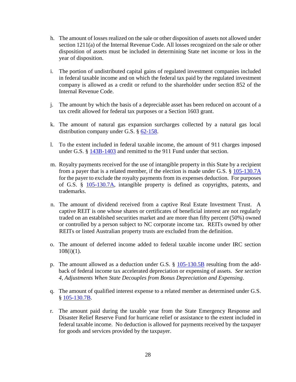- h. The amount of losses realized on the sale or other disposition of assets not allowed under section 1211(a) of the Internal Revenue Code. All losses recognized on the sale or other disposition of assets must be included in determining State net income or loss in the year of disposition.
- i. The portion of undistributed capital gains of regulated investment companies included in federal taxable income and on which the federal tax paid by the regulated investment company is allowed as a credit or refund to the shareholder under section 852 of the Internal Revenue Code.
- j. The amount by which the basis of a depreciable asset has been reduced on account of a tax credit allowed for federal tax purposes or a Section 1603 grant.
- k. The amount of natural gas expansion surcharges collected by a natural gas local distribution company under G.S. § [62-158.](http://www.ncga.state.nc.us/EnactedLegislation/Statutes/HTML/BySection/Chapter_62/GS_62-158.html)
- l. To the extent included in federal taxable income, the amount of 911 charges imposed under G.S. § [143B-1403](https://www.ncleg.gov/EnactedLegislation/Statutes/HTML/BySection/Chapter_143B/GS_143B-1403.html) and remitted to the 911 Fund under that section.
- m. Royalty payments received for the use of intangible property in this State by a recipient from a payer that is a related member, if the election is made under G.S. § [105-130.7A](http://www.ncga.state.nc.us/EnactedLegislation/Statutes/HTML/BySection/Chapter_105/GS_105-130.7A.html) for the payer to exclude the royalty payments from its expenses deduction. For purposes of G.S. § [105-130.7A,](http://www.ncga.state.nc.us/EnactedLegislation/Statutes/HTML/BySection/Chapter_105/GS_105-130.7A.html) intangible property is defined as copyrights, patents, and trademarks.
- n. The amount of dividend received from a captive Real Estate Investment Trust. A captive REIT is one whose shares or certificates of beneficial interest are not regularly traded on an established securities market and are more than fifty percent (50%) owned or controlled by a person subject to NC corporate income tax. REITs owned by other REITs or listed Australian property trusts are excluded from the definition.
- o. The amount of deferred income added to federal taxable income under IRC section  $108(i)(1)$ .
- p. The amount allowed as a deduction under G.S. § [105-130.5B](http://www.ncga.state.nc.us/EnactedLegislation/Statutes/HTML/BySection/Chapter_105/GS_105-130.5B.html) resulting from the addback of federal income tax accelerated depreciation or expensing of assets. *See section 4, Adjustments When State Decouples from Bonus Depreciation and Expensing*.
- q. The amount of qualified interest expense to a related member as determined under G.S. § [105-130.7B.](http://www.ncga.state.nc.us/EnactedLegislation/Statutes/PDF/BySection/Chapter_105/GS_105-130.7B.pdf)
- r. The amount paid during the taxable year from the State Emergency Response and Disaster Relief Reserve Fund for hurricane relief or assistance to the extent included in federal taxable income. No deduction is allowed for payments received by the taxpayer for goods and services provided by the taxpayer.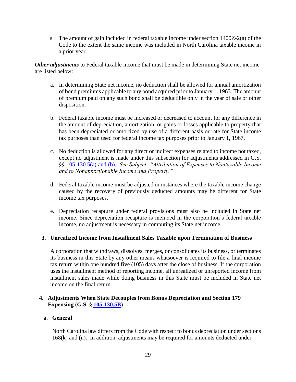s. The amount of gain included in federal taxable income under section 1400Z-2(a) of the Code to the extent the same income was included in North Carolina taxable income in a prior year.

*Other adjustments* to Federal taxable income that must be made in determining State net income are listed below:

- a. In determining State net income, no deduction shall be allowed for annual amortization of bond premiums applicable to any bond acquired prior to January 1, 1963. The amount of premium paid on any such bond shall be deductible only in the year of sale or other disposition.
- b. Federal taxable income must be increased or decreased to account for any difference in the amount of depreciation, amortization, or gains or losses applicable to property that has been depreciated or amortized by use of a different basis or rate for State income tax purposes than used for federal income tax purposes prior to January 1, 1967.
- c. No deduction is allowed for any direct or indirect expenses related to income not taxed, except no adjustment is made under this subsection for adjustments addressed in G.S. §§ [105-130.5\(a\) and \(b\).](http://www.ncga.state.nc.us/EnactedLegislation/Statutes/HTML/BySection/Chapter_105/GS_105-130.5.html) *See Subject: "Attribution of Expenses to Nontaxable Income and to Nonapportionable Income and Property."*
- d. Federal taxable income must be adjusted in instances where the taxable income change caused by the recovery of previously deducted amounts may be different for State income tax purposes.
- e. Depreciation recapture under federal provisions must also be included in State net income. Since depreciation recapture is included in the corporation's federal taxable income, no adjustment is necessary in computing its State net income.

#### **3. Unrealized Income from Installment Sales Taxable upon Termination of Business**

A corporation that withdraws, dissolves, merges, or consolidates its business, or terminates its business in this State by any other means whatsoever is required to file a final income tax return within one hundred five (105) days after the close of business. If the corporation uses the installment method of reporting income, all unrealized or unreported income from installment sales made while doing business in this State must be included in State net income on the final return.

#### **4. Adjustments When State Decouples from Bonus Depreciation and Section 179 Expensing (G.S. § [105-130.5B\)](http://www.ncga.state.nc.us/EnactedLegislation/Statutes/HTML/BySection/Chapter_105/GS_105-130.5B.html)**

#### **a. General**

North Carolina law differs from the Code with respect to bonus depreciation under sections 168(k) and (n). In addition, adjustments may be required for amounts deducted under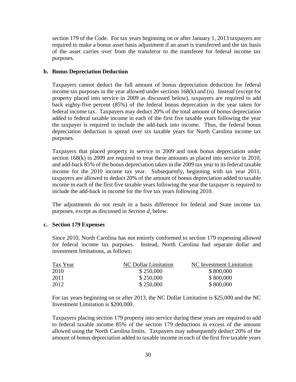section 179 of the Code. For tax years beginning on or after January 1, 2013 taxpayers are required to make a bonus asset basis adjustment if an asset is transferred and the tax basis of the asset carries over from the transferor to the transferee for federal income tax purposes.

#### **b. Bonus Depreciation Deduction**

Taxpayers cannot deduct the full amount of bonus depreciation deduction for federal income tax purposes in the year allowed under sections 168(k) and (n). Instead (except for property placed into service in 2009 as discussed below), taxpayers are required to add back eighty-five percent (85%) of the federal bonus deprecation in the year taken for federal income tax. Taxpayers may deduct 20% of the total amount of bonus depreciation added to federal taxable income in each of the first five taxable years following the year the taxpayer is required to include the add-back into income. Thus, the federal bonus depreciation deduction is spread over six taxable years for North Carolina income tax purposes.

Taxpayers that placed property in service in 2009 and took bonus depreciation under section 168(k) in 2009 are required to treat these amounts as placed into service in 2010, and add-back 85% of the bonus depreciation taken in the 2009 tax year to its federal taxable income for the 2010 income tax year. Subsequently, beginning with tax year 2011, taxpayers are allowed to deduct 20% of the amount of bonus depreciation added to taxable income in each of the first five taxable years following the year the taxpayer is required to include the add-back in income for the five tax years following 2010.

The adjustments do not result in a basis difference for federal and State income tax purposes, except as discussed in *Section d*, below.

#### **c. Section 179 Expenses**

Since 2010, North Carolina has not entirely conformed to section 179 expensing allowed for federal income tax purposes. Instead, North Carolina had separate dollar and investment limitations, as follows:

| Tax Year | NC Dollar Limitation | NC Investment Limitation |
|----------|----------------------|--------------------------|
| 2010     | \$250,000            | \$800,000                |
| 2011     | \$250,000            | \$800,000                |
| 2012     | \$250,000            | \$800,000                |

For tax years beginning on or after 2013, the NC Dollar Limitation is \$25,000 and the NC Investment Limitation is \$200,000.

Taxpayers placing section 179 property into service during these years are required to add to federal taxable income 85% of the section 179 deductions in excess of the amount allowed using the North Carolina limits. Taxpayers may subsequently deduct 20% of the amount of bonus depreciation added to taxable income in each of the first five taxable years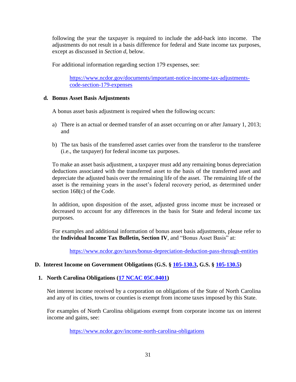following the year the taxpayer is required to include the add-back into income. The adjustments do not result in a basis difference for federal and State income tax purposes, except as discussed in *Section d*, below.

For additional information regarding section 179 expenses, see:

[https://www.ncdor.gov/documents/important-notice-income-tax-adjustments](https://www.ncdor.gov/documents/important-notice-income-tax-adjustments-code-section-179-expenses)[code-section-179-expenses](https://www.ncdor.gov/documents/important-notice-income-tax-adjustments-code-section-179-expenses)

#### **d. Bonus Asset Basis Adjustments**

A bonus asset basis adjustment is required when the following occurs:

- a) There is an actual or deemed transfer of an asset occurring on or after January 1, 2013; and
- b) The tax basis of the transferred asset carries over from the transferor to the transferee (i.e., the taxpayer) for federal income tax purposes.

To make an asset basis adjustment, a taxpayer must add any remaining bonus depreciation deductions associated with the transferred asset to the basis of the transferred asset and depreciate the adjusted basis over the remaining life of the asset. The remaining life of the asset is the remaining years in the asset's federal recovery period, as determined under section 168(c) of the Code.

In addition, upon disposition of the asset, adjusted gross income must be increased or decreased to account for any differences in the basis for State and federal income tax purposes.

For examples and additional information of bonus asset basis adjustments, please refer to the **Individual Income Tax Bulletin, Section IV**, and "Bonus Asset Basis" at:

[https://www.ncdor.gov/taxes/bonus-depreciation-deduction-pass-through-entities](https://files.nc.gov/ncdor/documents/files/2018_personal_tax_bulletins_final_1-7-19.pdf)

## <span id="page-30-0"></span>**D. Interest Income on Government Obligations (G.S. § [105-130.3,](http://www.ncga.state.nc.us/EnactedLegislation/Statutes/HTML/BySection/Chapter_105/GS_105-130.3.html) G.S. § [105-130.5\)](http://www.ncga.state.nc.us/EnactedLegislation/Statutes/HTML/BySection/Chapter_105/GS_105-130.5.html)**

## **1. North Carolina Obligations [\(17 NCAC 05C.0401\)](http://reports.oah.state.nc.us/ncac/title%2017%20-%20revenue/chapter%2005%20-%20corporate%20franchise,%20income,%20and%20insurance%20taxes/subchapter%20c/17%20ncac%2005c%20.0401.pdf)**

Net interest income received by a corporation on obligations of the State of North Carolina and any of its cities, towns or counties is exempt from income taxes imposed by this State.

For examples of North Carolina obligations exempt from corporate income tax on interest income and gains, see:

<https://www.ncdor.gov/income-north-carolina-obligations>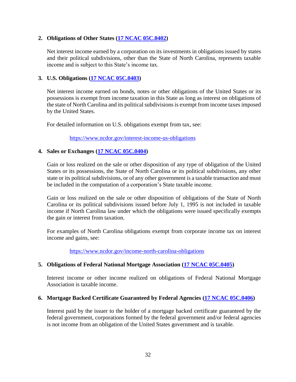#### **2. Obligations of Other States [\(17 NCAC 05C.0402\)](http://reports.oah.state.nc.us/ncac/title%2017%20-%20revenue/chapter%2005%20-%20corporate%20franchise,%20income,%20and%20insurance%20taxes/subchapter%20c/17%20ncac%2005c%20.0402.pdf)**

Net interest income earned by a corporation on its investments in obligations issued by states and their political subdivisions, other than the State of North Carolina, represents taxable income and is subject to this State's income tax.

#### **3. U.S. Obligations [\(17 NCAC 05C.0403\)](http://reports.oah.state.nc.us/ncac/title%2017%20-%20revenue/chapter%2005%20-%20corporate%20franchise,%20income,%20and%20insurance%20taxes/subchapter%20c/17%20ncac%2005c%20.0403.pdf)**

Net interest income earned on bonds, notes or other obligations of the United States or its possessions is exempt from income taxation in this State as long as interest on obligations of the state of North Carolina and its political subdivisions is exempt from income taxes imposed by the United States.

For detailed information on U.S. obligations exempt from tax, see:

<https://www.ncdor.gov/interest-income-us-obligations>

#### **4. Sales or Exchanges [\(17 NCAC 05C.0404\)](http://reports.oah.state.nc.us/ncac/title%2017%20-%20revenue/chapter%2005%20-%20corporate%20franchise,%20income,%20and%20insurance%20taxes/subchapter%20c/17%20ncac%2005c%20.0404.pdf)**

Gain or loss realized on the sale or other disposition of any type of obligation of the United States or its possessions, the State of North Carolina or its political subdivisions, any other state or its political subdivisions, or of any other government is a taxable transaction and must be included in the computation of a corporation's State taxable income.

Gain or loss realized on the sale or other disposition of obligations of the State of North Carolina or its political subdivisions issued before July 1, 1995 is not included in taxable income if North Carolina law under which the obligations were issued specifically exempts the gain or interest from taxation.

For examples of North Carolina obligations exempt from corporate income tax on interest income and gains, see:

<https://www.ncdor.gov/income-north-carolina-obligations>

## **5. Obligations of Federal National Mortgage Association [\(17 NCAC 05C.0405\)](http://reports.oah.state.nc.us/ncac/title%2017%20-%20revenue/chapter%2005%20-%20corporate%20franchise,%20income,%20and%20insurance%20taxes/subchapter%20c/17%20ncac%2005c%20.0405.pdf)**

Interest income or other income realized on obligations of Federal National Mortgage Association is taxable income.

#### **6. Mortgage Backed Certificate Guaranteed by Federal Agencies [\(17 NCAC 05C.0406\)](http://reports.oah.state.nc.us/ncac/title%2017%20-%20revenue/chapter%2005%20-%20corporate%20franchise,%20income,%20and%20insurance%20taxes/subchapter%20c/17%20ncac%2005c%20.0406.pdf)**

Interest paid by the issuer to the holder of a mortgage backed certificate guaranteed by the federal government, corporations formed by the federal government and/or federal agencies is not income from an obligation of the United States government and is taxable.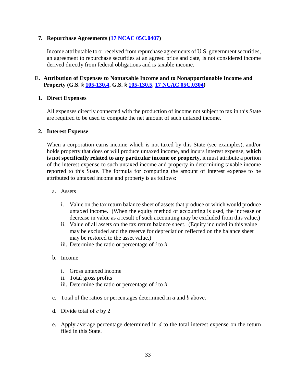#### **7. Repurchase Agreements [\(17 NCAC 05C.0407\)](http://reports.oah.state.nc.us/ncac/title%2017%20-%20revenue/chapter%2005%20-%20corporate%20franchise,%20income,%20and%20insurance%20taxes/subchapter%20c/17%20ncac%2005c%20.0407.pdf)**

Income attributable to or received from repurchase agreements of U.S. government securities, an agreement to repurchase securities at an agreed price and date, is not considered income derived directly from federal obligations and is taxable income.

## <span id="page-32-0"></span>**E. Attribution of Expenses to Nontaxable Income and to Nonapportionable Income and Property (G.S. § [105-130.4,](http://www.ncga.state.nc.us/EnactedLegislation/Statutes/HTML/BySection/Chapter_105/GS_105-130.4.html) G.S. § [105-130.5,](http://www.ncga.state.nc.us/EnactedLegislation/Statutes/HTML/BySection/Chapter_105/GS_105-130.5.html) [17 NCAC 05C.0304\)](http://reports.oah.state.nc.us/ncac/title%2017%20-%20revenue/chapter%2005%20-%20corporate%20franchise,%20income,%20and%20insurance%20taxes/subchapter%20c/17%20ncac%2005c%20.0304.pdf)**

#### **1. Direct Expenses**

All expenses directly connected with the production of income not subject to tax in this State are required to be used to compute the net amount of such untaxed income.

#### **2. Interest Expense**

When a corporation earns income which is not taxed by this State (see examples), and/or holds property that does or will produce untaxed income, and incurs interest expense, **which is not specifically related to any particular income or property,** it must attribute a portion of the interest expense to such untaxed income and property in determining taxable income reported to this State. The formula for computing the amount of interest expense to be attributed to untaxed income and property is as follows:

- a. Assets
	- i. Value on the tax return balance sheet of assets that produce or which would produce untaxed income. (When the equity method of accounting is used, the increase or decrease in value as a result of such accounting may be excluded from this value.)
	- ii. Value of all assets on the tax return balance sheet. (Equity included in this value may be excluded and the reserve for depreciation reflected on the balance sheet may be restored to the asset value.)
	- iii. Determine the ratio or percentage of *i* to *ii*
- b. Income
	- i. Gross untaxed income
	- ii. Total gross profits
	- iii. Determine the ratio or percentage of *i* to *ii*
- c. Total of the ratios or percentages determined in *a* and *b* above.
- d. Divide total of *c* by 2
- e. Apply average percentage determined in *d* to the total interest expense on the return filed in this State.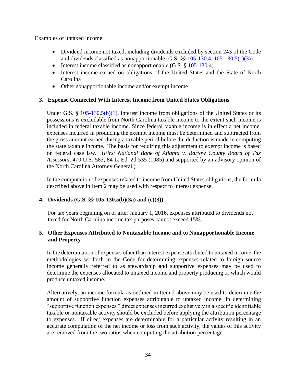Examples of untaxed income:

- Dividend income not taxed, including dividends excluded by section 243 of the Code and dividends classified as nonapportionable (G.S.  $\S$ § [105-130.4,](http://www.ncga.state.nc.us/EnactedLegislation/Statutes/HTML/BySection/Chapter_105/GS_105-130.4.html) [105-130.5\(c\)\(3\)\)](http://www.ncga.state.nc.us/EnactedLegislation/Statutes/HTML/BySection/Chapter_105/GS_105-130.5.html)
- Interest income classified as nonapportionable  $(G.S. \S 105-130.4)$  $(G.S. \S 105-130.4)$
- Interest income earned on obligations of the United States and the State of North Carolina
- Other nonapportionable income and/or exempt income

# **3. Expense Connected With Interest Income from United States Obligations**

Under G.S.  $\S$  [105-130.5\(b\)\(1\),](http://www.ncga.state.nc.us/EnactedLegislation/Statutes/HTML/BySection/Chapter_105/GS_105-130.5.html) interest income from obligations of the United States or its possessions is excludable from North Carolina taxable income to the extent such income is included in federal taxable income. Since federal taxable income is in effect a net income, expenses incurred in producing the exempt income must be determined and subtracted from the gross amount earned during a taxable period before the deduction is made in computing the state taxable income. The basis for requiring this adjustment to exempt income is based on federal case law. (*First National Bank of Atlanta v. Bartow County Board of Tax Assessors*, 470 U.S. 583, 84 L. Ed. 2d 535 (1985) and supported by an advisory opinion of the North Carolina Attorney General.)

In the computation of expenses related to income from United States obligations, the formula described above in Item 2 may be used with respect to interest expense.

## **4. Dividends (G.S. §§ 105-130.5(b)(3a) and (c)(3))**

For tax years beginning on or after January 1, 2016, expenses attributed to dividends not taxed for North Carolina income tax purposes cannot exceed 15%.

## **5. Other Expenses Attributed to Nontaxable Income and to Nonapportionable Income and Property**

In the determination of expenses other than interest expense attributed to untaxed income, the methodologies set forth in the Code for determining expenses related to foreign source income generally referred to as stewardship and supportive expenses may be used to determine the expenses allocated to untaxed income and property producing or which would produce untaxed income.

Alternatively, an income formula as outlined in Item 2 above may be used to determine the amount of supportive function expenses attributable to untaxed income. In determining "supportive function expenses," direct expenses incurred exclusively in a specific identifiable taxable or nontaxable activity should be excluded before applying the attribution percentage to expenses. If direct expenses are determinable for a particular activity resulting in an accurate computation of the net income or loss from such activity, the values of this activity are removed from the two ratios when computing the attribution percentage.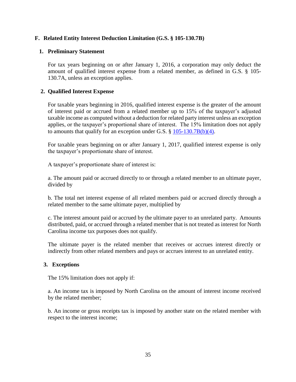#### <span id="page-34-0"></span>**F. Related Entity Interest Deduction Limitation (G.S. § 105-130.7B)**

#### **1. Preliminary Statement**

For tax years beginning on or after January 1, 2016, a corporation may only deduct the amount of qualified interest expense from a related member, as defined in G.S. § 105- 130.7A, unless an exception applies.

#### **2. Qualified Interest Expense**

For taxable years beginning in 2016, qualified interest expense is the greater of the amount of interest paid or accrued from a related member up to 15% of the taxpayer's adjusted taxable income as computed without a deduction for related party interest unless an exception applies, or the taxpayer's proportional share of interest. The 15% limitation does not apply to amounts that qualify for an exception under G.S. § [105-130.7B\(b\)\(4\).](http://www.ncga.state.nc.us/EnactedLegislation/Statutes/PDF/BySection/Chapter_105/GS_105-130.7B.pdf)

For taxable years beginning on or after January 1, 2017, qualified interest expense is only the taxpayer's proportionate share of interest.

A taxpayer's proportionate share of interest is:

a. The amount paid or accrued directly to or through a related member to an ultimate payer, divided by

b. The total net interest expense of all related members paid or accrued directly through a related member to the same ultimate payer, multiplied by

c. The interest amount paid or accrued by the ultimate payer to an unrelated party. Amounts distributed, paid, or accrued through a related member that is not treated as interest for North Carolina income tax purposes does not qualify.

The ultimate payer is the related member that receives or accrues interest directly or indirectly from other related members and pays or accrues interest to an unrelated entity.

#### **3. Exceptions**

The 15% limitation does not apply if:

a. An income tax is imposed by North Carolina on the amount of interest income received by the related member;

b. An income or gross receipts tax is imposed by another state on the related member with respect to the interest income;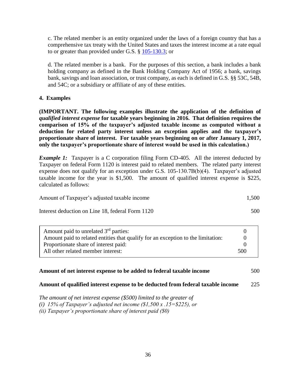c. The related member is an entity organized under the laws of a foreign country that has a comprehensive tax treaty with the United States and taxes the interest income at a rate equal to or greater than provided under G.S. § [105-130.3;](http://www.ncga.state.nc.us/EnactedLegislation/Statutes/PDF/BySection/Chapter_105/GS_105-130.3.pdf) or

d. The related member is a bank. For the purposes of this section, a bank includes a bank holding company as defined in the Bank Holding Company Act of 1956; a bank, savings bank, savings and loan association, or trust company, as each is defined in G.S. §§ 53C, 54B, and 54C; or a subsidiary or affiliate of any of these entities.

#### **4. Examples**

**(IMPORTANT. The following examples illustrate the application of the definition of**  *qualified interest expense* **for taxable years beginning in 2016. That definition requires the comparison of 15% of the taxpayer's adjusted taxable income as computed without a deduction for related party interest unless an exception applies and the taxpayer's proportionate share of interest. For taxable years beginning on or after January 1, 2017, only the taxpayer's proportionate share of interest would be used in this calculation.)**

*Example 1:* Taxpayer is a C corporation filing Form CD-405. All the interest deducted by Taxpayer on federal Form 1120 is interest paid to related members. The related party interest expense does not qualify for an exception under G.S. 105-130.7B(b)(4). Taxpayer's adjusted taxable income for the year is \$1,500. The amount of qualified interest expense is \$225, calculated as follows:

| Amount of Taxpayer's adjusted taxable income | 1,500 |
|----------------------------------------------|-------|
|                                              |       |

Interest deduction on Line 18, federal Form 1120 500

| Amount paid to unrelated 3 <sup>rd</sup> parties:                                |  |  |
|----------------------------------------------------------------------------------|--|--|
| Amount paid to related entities that qualify for an exception to the limitation: |  |  |
| Proportionate share of interest paid:                                            |  |  |
| All other related member interest:                                               |  |  |

#### **Amount of net interest expense to be added to federal taxable income** 500

#### **Amount of qualified interest expense to be deducted from federal taxable income** 225

*The amount of net interest expense (\$500) limited to the greater of (i) 15% of Taxpayer's adjusted net income (\$1,500 x .15=\$225), or (ii) Taxpayer's proportionate share of interest paid (\$0)*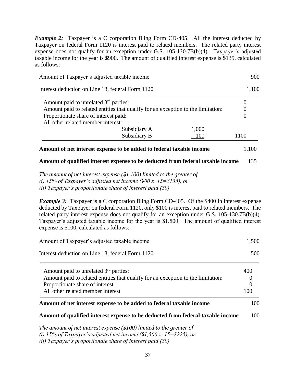*Example 2:* Taxpayer is a C corporation filing Form CD-405. All the interest deducted by Taxpayer on federal Form 1120 is interest paid to related members. The related party interest expense does not qualify for an exception under G.S. 105-130.7B(b)(4). Taxpayer's adjusted taxable income for the year is \$900. The amount of qualified interest expense is \$135, calculated as follows:

| Amount of Taxpayer's adjusted taxable income | 900 |
|----------------------------------------------|-----|
|                                              |     |

Interest deduction on Line 18, federal Form 1120 1,100

| Amount paid to unrelated 3 <sup>rd</sup> parties:<br>Amount paid to related entities that qualify for an exception to the limitation:<br>Proportionate share of interest paid:<br>All other related member interest: |      |
|----------------------------------------------------------------------------------------------------------------------------------------------------------------------------------------------------------------------|------|
| 1,000<br>Subsidiary A<br>Subsidiary B<br>100                                                                                                                                                                         | 1100 |

# **Amount of net interest expense to be added to federal taxable income** 1,100

### **Amount of qualified interest expense to be deducted from federal taxable income** 135

*The amount of net interest expense (\$1,100) limited to the greater of (i) 15% of Taxpayer's adjusted net income (900 x .15=\$135), or (ii) Taxpayer's proportionate share of interest paid (\$0)*

*Example 3:* Taxpayer is a C corporation filing Form CD-405. Of the \$400 in interest expense deducted by Taxpayer on federal Form 1120, only \$100 is interest paid to related members. The related party interest expense does not qualify for an exception under G.S. 105-130.7B(b)(4). Taxpayer's adjusted taxable income for the year is \$1,500. The amount of qualified interest expense is \$100, calculated as follows:

| Amount of Taxpayer's adjusted taxable income     | 1,500 |
|--------------------------------------------------|-------|
| Interest deduction on Line 18, federal Form 1120 | 500   |

| Amount paid to unrelated 3 <sup>rd</sup> parties:                                | 400 |
|----------------------------------------------------------------------------------|-----|
| Amount paid to related entities that qualify for an exception to the limitation: |     |
| Proportionate share of interest                                                  |     |
| All other related member interest                                                | 100 |

### **Amount of net interest expense to be added to federal taxable income** 100

### **Amount of qualified interest expense to be deducted from federal taxable income** 100

*The amount of net interest expense (\$100) limited to the greater of (i) 15% of Taxpayer's adjusted net income (\$1,500 x .15=\$225), or (ii) Taxpayer's proportionate share of interest paid (\$0)*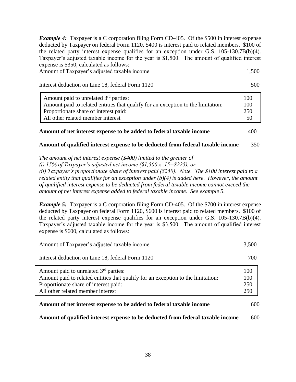*Example 4:* Taxpayer is a C corporation filing Form CD-405. Of the \$500 in interest expense deducted by Taxpayer on federal Form 1120, \$400 is interest paid to related members. \$100 of the related party interest expense qualifies for an exception under G.S. 105-130.7B(b)(4). Taxpayer's adjusted taxable income for the year is \$1,500. The amount of qualified interest expense is \$350, calculated as follows:

Amount of Taxpayer's adjusted taxable income 1,500

Interest deduction on Line 18, federal Form 1120 500

| Amount paid to unrelated 3 <sup>rd</sup> parties:                                | 100 |
|----------------------------------------------------------------------------------|-----|
| Amount paid to related entities that qualify for an exception to the limitation: | 100 |
| Proportionate share of interest paid:                                            | 250 |
| All other related member interest                                                | 50  |

## **Amount of net interest expense to be added to federal taxable income** 400

### **Amount of qualified interest expense to be deducted from federal taxable income** 350

*The amount of net interest expense (\$400) limited to the greater of* 

*(i) 15% of Taxpayer's adjusted net income (\$1,500 x .15=\$225), or* 

*(ii) Taxpayer's proportionate share of interest paid (\$250). Note. The \$100 interest paid to a related entity that qualifies for an exception under (b)(4) is added here. However, the amount of qualified interest expense to be deducted from federal taxable income cannot exceed the amount of net interest expense added to federal taxable income. See example 5.*

*Example 5:* Taxpayer is a C corporation filing Form CD-405. Of the \$700 in interest expense deducted by Taxpayer on federal Form 1120, \$600 is interest paid to related members. \$100 of the related party interest expense qualifies for an exception under G.S. 105-130.7B(b)(4). Taxpayer's adjusted taxable income for the year is \$3,500. The amount of qualified interest expense is \$600, calculated as follows:

| Amount of Taxpayer's adjusted taxable income                                     | 3,500 |
|----------------------------------------------------------------------------------|-------|
| Interest deduction on Line 18, federal Form 1120                                 | 700   |
| Amount paid to unrelated 3 <sup>rd</sup> parties:                                | 100   |
| Amount paid to related entities that qualify for an exception to the limitation: | 100   |
| Proportionate share of interest paid:                                            | 250   |
| All other related member interest                                                | 250   |
| Amount of net interest expense to be added to federal taxable income             | 600   |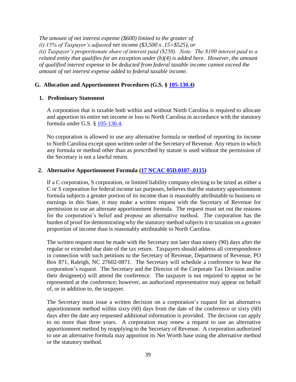*The amount of net interest expense (\$600) limited to the greater of (i) 15% of Taxpayer's adjusted net income (\$3,500 x .15=\$525), or (ii) Taxpayer's proportionate share of interest paid (\$250). Note. The \$100 interest paid to a related entity that qualifies for an exception under (b)(4) is added here. However, the amount of qualified interest expense to be deducted from federal taxable income cannot exceed the amount of net interest expense added to federal taxable income.*

### **G. Allocation and Apportionment Procedures (G.S. § [105-130.4\)](http://www.ncga.state.nc.us/EnactedLegislation/Statutes/HTML/BySection/Chapter_105/GS_105-130.4.html)**

#### **1. Preliminary Statement**

A corporation that is taxable both within and without North Carolina is required to allocate and apportion its entire net income or loss to North Carolina in accordance with the statutory formula under G.S. § [105-130.4.](http://www.ncga.state.nc.us/EnactedLegislation/Statutes/HTML/BySection/Chapter_105/GS_105-130.4.html)

No corporation is allowed to use any alternative formula or method of reporting its income to North Carolina except upon written order of the Secretary of Revenue. Any return in which any formula or method other than as prescribed by statute is used without the permission of the Secretary is not a lawful return.

#### **2. Alternative Apportionment Formula [\(17 NCAC 05D.0107-.0115\)](http://reports.oah.state.nc.us/ncac/title%2017%20-%20revenue/chapter%2005%20-%20corporate%20franchise,%20income,%20and%20insurance%20taxes/subchapter%20d/subchapter%20d%20rules.pdf)**

If a C corporation, S corporation, or limited liability company electing to be taxed as either a C or S corporation for federal income tax purposes, believes that the statutory apportionment formula subjects a greater portion of its income than is reasonably attributable to business or earnings in this State, it may make a written request with the Secretary of Revenue for permission to use an alternate apportionment formula. The request must set out the reasons for the corporation's belief and propose an alternative method. The corporation has the burden of proof for demonstrating why the statutory method subjects it to taxation on a greater proportion of income than is reasonably attributable to North Carolina.

The written request must be made with the Secretary not later than ninety (90) days after the regular or extended due date of the tax return. Taxpayers should address all correspondence in connection with such petitions to the Secretary of Revenue, Department of Revenue, PO Box 871, Raleigh, NC 27602-0871. The Secretary will schedule a conference to hear the corporation's request. The Secretary and the Director of the Corporate Tax Division and/or their designee(s) will attend the conference. The taxpayer is not required to appear or be represented at the conference; however, an authorized representative may appear on behalf of, or in addition to, the taxpayer.

The Secretary must issue a written decision on a corporation's request for an alternative apportionment method within sixty (60) days from the date of the conference or sixty (60) days after the date any requested additional information is provided. The decision can apply to no more than three years. A corporation may renew a request to use an alternative apportionment method by reapplying to the Secretary of Revenue. A corporation authorized to use an alternative formula may apportion its Net Worth base using the alternative method or the statutory method.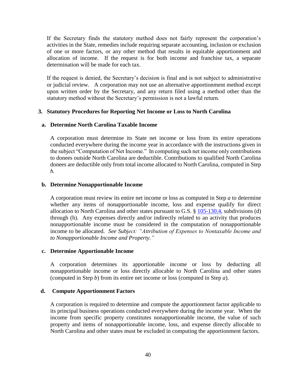If the Secretary finds the statutory method does not fairly represent the corporation's activities in the State, remedies include requiring separate accounting, inclusion or exclusion of one or more factors, or any other method that results in equitable apportionment and allocation of income. If the request is for both income and franchise tax, a separate determination will be made for each tax.

If the request is denied, the Secretary's decision is final and is not subject to administrative or judicial review. A corporation may not use an alternative apportionment method except upon written order by the Secretary, and any return filed using a method other than the statutory method without the Secretary's permission is not a lawful return.

### **3. Statutory Procedures for Reporting Net Income or Loss to North Carolina**

### **a. Determine North Carolina Taxable Income**

A corporation must determine its State net income or loss from its entire operations conducted everywhere during the income year in accordance with the instructions given in the subject "Computation of Net Income." In computing such net income only contributions to donees outside North Carolina are deductible. Contributions to qualified North Carolina donees are deductible only from total income allocated to North Carolina, computed in Step *h.*

### **b. Determine Nonapportionable Income**

A corporation must review its entire net income or loss as computed in Step *a* to determine whether any items of nonapportionable income, loss and expense qualify for direct allocation to North Carolina and other states pursuant to G.S.  $\S 105-130.4$ , subdivisions (d) through (h). Any expenses directly and/or indirectly related to an activity that produces nonapportionable income must be considered in the computation of nonapportionable income to be allocated. *See Subject: "Attribution of Expenses to Nontaxable Income and to Nonapportionable Income and Property."*

### **c. Determine Apportionable Income**

A corporation determines its apportionable income or loss by deducting all nonapportionable income or loss directly allocable to North Carolina and other states (computed in Step *b*) from its entire net income or loss (computed in Step *a*).

### **d. Compute Apportionment Factors**

A corporation is required to determine and compute the apportionment factor applicable to its principal business operations conducted everywhere during the income year. When the income from specific property constitutes nonapportionable income, the value of such property and items of nonapportionable income, loss, and expense directly allocable to North Carolina and other states must be excluded in computing the apportionment factors.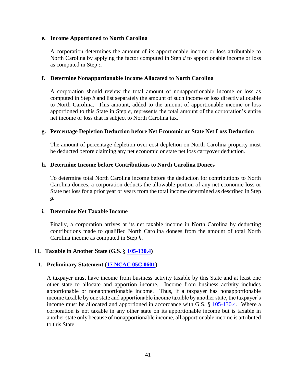#### **e. Income Apportioned to North Carolina**

A corporation determines the amount of its apportionable income or loss attributable to North Carolina by applying the factor computed in Step *d* to apportionable income or loss as computed in Step *c*.

### **f. Determine Nonapportionable Income Allocated to North Carolina**

A corporation should review the total amount of nonapportionable income or loss as computed in Step *b* and list separately the amount of such income or loss directly allocable to North Carolina. This amount, added to the amount of apportionable income or loss apportioned to this State in Step *e*, represents the total amount of the corporation's entire net income or loss that is subject to North Carolina tax.

#### **g. Percentage Depletion Deduction before Net Economic or State Net Loss Deduction**

The amount of percentage depletion over cost depletion on North Carolina property must be deducted before claiming any net economic or state net loss carryover deduction.

#### **h. Determine Income before Contributions to North Carolina Donees**

To determine total North Carolina income before the deduction for contributions to North Carolina donees, a corporation deducts the allowable portion of any net economic loss or State net loss for a prior year or years from the total income determined as described in Step *g.*

### **i. Determine Net Taxable Income**

Finally, a corporation arrives at its net taxable income in North Carolina by deducting contributions made to qualified North Carolina donees from the amount of total North Carolina income as computed in Step *h*.

### **H. Taxable in Another State (G.S. § [105-130.4\)](http://www.ncga.state.nc.us/EnactedLegislation/Statutes/HTML/BySection/Chapter_105/GS_105-130.4.html)**

### **1. Preliminary Statement [\(17 NCAC 05C.0601\)](http://reports.oah.state.nc.us/ncac/title%2017%20-%20revenue/chapter%2005%20-%20corporate%20franchise,%20income,%20and%20insurance%20taxes/subchapter%20c/17%20ncac%2005c%20.0601.pdf)**

A taxpayer must have income from business activity taxable by this State and at least one other state to allocate and apportion income. Income from business activity includes apportionable or nonappportionable income. Thus, if a taxpayer has nonapportionable income taxable by one state and apportionable income taxable by another state, the taxpayer's income must be allocated and apportioned in accordance with G.S. § [105-130.4.](http://www.ncga.state.nc.us/EnactedLegislation/Statutes/HTML/BySection/Chapter_105/GS_105-130.4.html) Where a corporation is not taxable in any other state on its apportionable income but is taxable in another state only because of nonapportionable income, all apportionable income is attributed to this State.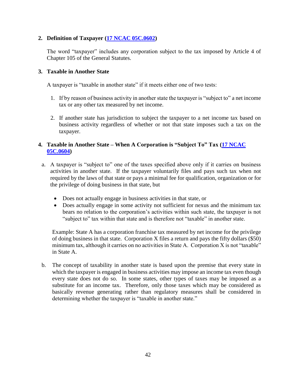## **2. Definition of Taxpayer [\(17 NCAC 05C.0602\)](http://reports.oah.state.nc.us/ncac/title%2017%20-%20revenue/chapter%2005%20-%20corporate%20franchise,%20income,%20and%20insurance%20taxes/subchapter%20c/17%20ncac%2005c%20.0602.pdf)**

The word "taxpayer" includes any corporation subject to the tax imposed by Article 4 of Chapter 105 of the General Statutes.

### **3. Taxable in Another State**

A taxpayer is "taxable in another state" if it meets either one of two tests:

- 1. If by reason of business activity in another state the taxpayer is "subject to" a net income tax or any other tax measured by net income.
- 2. If another state has jurisdiction to subject the taxpayer to a net income tax based on business activity regardless of whether or not that state imposes such a tax on the taxpayer.

## **4. Taxable in Another State – When A Corporation is "Subject To" Tax [\(17 NCAC](http://reports.oah.state.nc.us/ncac/title%2017%20-%20revenue/chapter%2005%20-%20corporate%20franchise,%20income,%20and%20insurance%20taxes/subchapter%20c/17%20ncac%2005c%20.0604.pdf)  [05C.0604\)](http://reports.oah.state.nc.us/ncac/title%2017%20-%20revenue/chapter%2005%20-%20corporate%20franchise,%20income,%20and%20insurance%20taxes/subchapter%20c/17%20ncac%2005c%20.0604.pdf)**

- a. A taxpayer is "subject to" one of the taxes specified above only if it carries on business activities in another state. If the taxpayer voluntarily files and pays such tax when not required by the laws of that state or pays a minimal fee for qualification, organization or for the privilege of doing business in that state, but
	- Does not actually engage in business activities in that state, or
	- Does actually engage in some activity not sufficient for nexus and the minimum tax bears no relation to the corporation's activities within such state, the taxpayer is not "subject to" tax within that state and is therefore not "taxable" in another state.

Example: State A has a corporation franchise tax measured by net income for the privilege of doing business in that state. Corporation X files a return and pays the fifty dollars (\$50) minimum tax, although it carries on no activities in State A. Corporation X is not "taxable" in State A.

b. The concept of taxability in another state is based upon the premise that every state in which the taxpayer is engaged in business activities may impose an income tax even though every state does not do so. In some states, other types of taxes may be imposed as a substitute for an income tax. Therefore, only those taxes which may be considered as basically revenue generating rather than regulatory measures shall be considered in determining whether the taxpayer is "taxable in another state."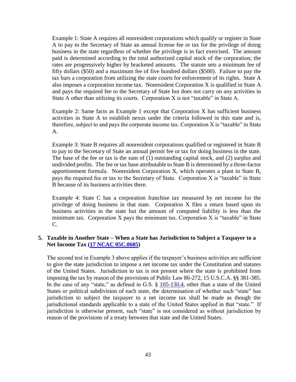Example 1: State A requires all nonresident corporations which qualify or register in State A to pay to the Secretary of State an annual license fee or tax for the privilege of doing business in the state regardless of whether the privilege is in fact exercised. The amount paid is determined according to the total authorized capital stock of the corporation; the rates are progressively higher by bracketed amounts. The statute sets a minimum fee of fifty dollars (\$50) and a maximum fee of five hundred dollars (\$500). Failure to pay the tax bars a corporation from utilizing the state courts for enforcement of its rights. State A also imposes a corporation income tax. Nonresident Corporation X is qualified in State A and pays the required fee to the Secretary of State but does not carry on any activities in State A other than utilizing its courts. Corporation X is not "taxable" in State A.

Example 2: Same facts as Example 1 except that Corporation X has sufficient business activities in State A to establish nexus under the criteria followed in this state and is, therefore, subject to and pays the corporate income tax. Corporation X is "taxable" in State A.

Example 3: State B requires all nonresident corporations qualified or registered in State B to pay to the Secretary of State an annual permit fee or tax for doing business in the state. The base of the fee or tax is the sum of (1) outstanding capital stock, and (2) surplus and undivided profits. The fee or tax base attributable to State B is determined by a three-factor apportionment formula. Nonresident Corporation X, which operates a plant in State B, pays the required fee or tax to the Secretary of State. Corporation X is "taxable" in State B because of its business activities there.

Example 4: State C has a corporation franchise tax measured by net income for the privilege of doing business in that state. Corporation X files a return based upon its business activities in the state but the amount of computed liability is less than the minimum tax. Corporation X pays the minimum tax. Corporation X is "taxable" in State C.

### **5. Taxable in Another State – When a State has Jurisdiction to Subject a Taxpayer to a Net Income Tax [\(17 NCAC 05C.0605\)](http://reports.oah.state.nc.us/ncac/title%2017%20-%20revenue/chapter%2005%20-%20corporate%20franchise,%20income,%20and%20insurance%20taxes/subchapter%20c/17%20ncac%2005c%20.0605.pdf)**

The second test in Example 3 above applies if the taxpayer's business activities are sufficient to give the state jurisdiction to impose a net income tax under the Constitution and statutes of the United States. Jurisdiction to tax is not present where the state is prohibited from imposing the tax by reason of the provisions of Public Law 86-272, 15 U.S.C.A. §§ 381-385. In the case of any "state," as defined in G.S. § [105-130.4,](http://www.ncga.state.nc.us/EnactedLegislation/Statutes/HTML/BySection/Chapter_105/GS_105-130.4.html) other than a state of the United States or political subdivision of each state, the determination of whether such "state" has jurisdiction to subject the taxpayer to a net income tax shall be made as though the jurisdictional standards applicable to a state of the United States applied in that "state." If jurisdiction is otherwise present, such "state" is not considered as without jurisdiction by reason of the provisions of a treaty between that state and the United States.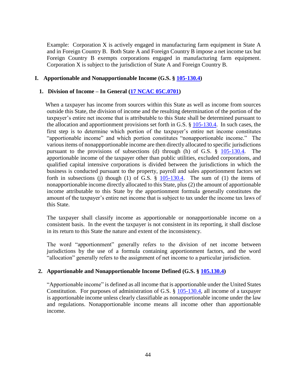Example: Corporation X is actively engaged in manufacturing farm equipment in State A and in Foreign Country B. Both State A and Foreign Country B impose a net income tax but Foreign Country B exempts corporations engaged in manufacturing farm equipment. Corporation X is subject to the jurisdiction of State A and Foreign Country B.

### **I. Apportionable and Nonapportionable Income (G.S. § [105-130.4\)](http://www.ncga.state.nc.us/EnactedLegislation/Statutes/HTML/BySection/Chapter_105/GS_105-130.4.html)**

### **1. Division of Income – In General [\(17 NCAC 05C.0701\)](http://reports.oah.state.nc.us/ncac/title%2017%20-%20revenue/chapter%2005%20-%20corporate%20franchise,%20income,%20and%20insurance%20taxes/subchapter%20c/17%20ncac%2005c%20.0701.pdf)**

 When a taxpayer has income from sources within this State as well as income from sources outside this State, the division of income and the resulting determination of the portion of the taxpayer's entire net income that is attributable to this State shall be determined pursuant to the allocation and apportionment provisions set forth in G.S.  $\S$  [105-130.4.](http://www.ncga.state.nc.us/EnactedLegislation/Statutes/HTML/BySection/Chapter_105/GS_105-130.4.html) In such cases, the first step is to determine which portion of the taxpayer's entire net income constitutes "apportionable income" and which portion constitutes "nonapportionable income." The various items of nonappportionable income are then directly allocated to specific jurisdictions pursuant to the provisions of subsections (d) through (h) of G.S. § [105-130.4.](http://www.ncga.state.nc.us/EnactedLegislation/Statutes/HTML/BySection/Chapter_105/GS_105-130.4.html) The apportionable income of the taxpayer other than public utilities, excluded corporations, and qualified capital intensive corporations is divided between the jurisdictions in which the business is conducted pursuant to the property, payroll and sales apportionment factors set forth in subsections (j) though (1) of G.S.  $\S$  [105-130.4.](http://www.ncga.state.nc.us/EnactedLegislation/Statutes/HTML/BySection/Chapter_105/GS_105-130.4.html) The sum of (1) the items of nonapportionable income directly allocated to this State, plus (2) the amount of apportionable income attributable to this State by the apportionment formula generally constitutes the amount of the taxpayer's entire net income that is subject to tax under the income tax laws of this State.

The taxpayer shall classify income as apportionable or nonapportionable income on a consistent basis. In the event the taxpayer is not consistent in its reporting, it shall disclose in its return to this State the nature and extent of the inconsistency.

The word "apportionment" generally refers to the division of net income between jurisdictions by the use of a formula containing apportionment factors, and the word "allocation" generally refers to the assignment of net income to a particular jurisdiction.

### **2. Apportionable and Nonapportionable Income Defined (G.S. § [105.130.4\)](http://www.ncga.state.nc.us/EnactedLegislation/Statutes/HTML/BySection/Chapter_105/GS_105-130.4.html)**

"Apportionable income" is defined as all income that is apportionable under the United States Constitution. For purposes of administration of G.S. § [105-130.4,](http://www.ncga.state.nc.us/EnactedLegislation/Statutes/HTML/BySection/Chapter_105/GS_105-130.4.html) all income of a taxpayer is apportionable income unless clearly classifiable as nonapportionable income under the law and regulations. Nonapportionable income means all income other than apportionable income.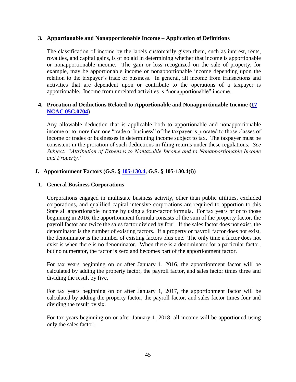### **3. Apportionable and Nonapportionable Income – Application of Definitions**

The classification of income by the labels customarily given them, such as interest, rents, royalties, and capital gains, is of no aid in determining whether that income is apportionable or nonapportionable income. The gain or loss recognized on the sale of property, for example, may be apportionable income or nonapportionable income depending upon the relation to the taxpayer's trade or business. In general, all income from transactions and activities that are dependent upon or contribute to the operations of a taxpayer is apportionable. Income from unrelated activities is "nonapportionable" income.

## **4. Proration of Deductions Related to Apportionable and Nonapportionable Income [\(17](http://reports.oah.state.nc.us/ncac/title%2017%20-%20revenue/chapter%2005%20-%20corporate%20franchise,%20income,%20and%20insurance%20taxes/subchapter%20c/17%20ncac%2005c%20.0704.pdf)  [NCAC 05C.0704\)](http://reports.oah.state.nc.us/ncac/title%2017%20-%20revenue/chapter%2005%20-%20corporate%20franchise,%20income,%20and%20insurance%20taxes/subchapter%20c/17%20ncac%2005c%20.0704.pdf)**

Any allowable deduction that is applicable both to apportionable and nonapportionable income or to more than one "trade or business" of the taxpayer is prorated to those classes of income or trades or businesses in determining income subject to tax. The taxpayer must be consistent in the proration of such deductions in filing returns under these regulations. *See Subject: "Attribution of Expenses to Nontaxable Income and to Nonapportionable Income and Property."*

## **J. Apportionment Factors (G.S. § [105-130.4,](http://www.ncga.state.nc.us/EnactedLegislation/Statutes/HTML/BySection/Chapter_105/GS_105-130.4.html) G.S. § 105-130.4(i))**

### **1. General Business Corporations**

Corporations engaged in multistate business activity, other than public utilities, excluded corporations, and qualified capital intensive corporations are required to apportion to this State all apportionable income by using a four-factor formula. For tax years prior to those beginning in 2016, the apportionment formula consists of the sum of the property factor, the payroll factor and twice the sales factor divided by four. If the sales factor does not exist, the denominator is the number of existing factors. If a property or payroll factor does not exist, the denominator is the number of existing factors plus one. The only time a factor does not exist is when there is no denominator. When there is a denominator for a particular factor, but no numerator, the factor is zero and becomes part of the apportionment factor.

For tax years beginning on or after January 1, 2016, the apportionment factor will be calculated by adding the property factor, the payroll factor, and sales factor times three and dividing the result by five.

For tax years beginning on or after January 1, 2017, the apportionment factor will be calculated by adding the property factor, the payroll factor, and sales factor times four and dividing the result by six.

For tax years beginning on or after January 1, 2018, all income will be apportioned using only the sales factor.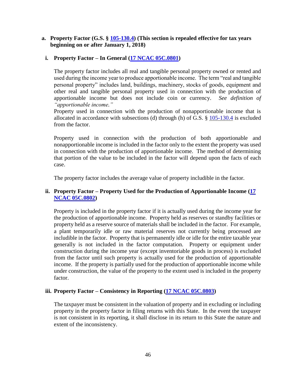### **a. Property Factor (G.S. § [105-130.4\)](http://www.ncga.state.nc.us/EnactedLegislation/Statutes/HTML/BySection/Chapter_105/GS_105-130.4.html) (This section is repealed effective for tax years beginning on or after January 1, 2018)**

## **i. Property Factor – In General [\(17 NCAC 05C.0801\)](http://reports.oah.state.nc.us/ncac/title%2017%20-%20revenue/chapter%2005%20-%20corporate%20franchise,%20income,%20and%20insurance%20taxes/subchapter%20c/17%20ncac%2005c%20.0801.pdf)**

The property factor includes all real and tangible personal property owned or rented and used during the income year to produce apportionable income. The term "real and tangible personal property" includes land, buildings, machinery, stocks of goods, equipment and other real and tangible personal property used in connection with the production of apportionable income but does not include coin or currency. *See definition of "apportionable income."*

Property used in connection with the production of nonapportionable income that is allocated in accordance with subsections (d) through (h) of G.S. § [105-130.4](http://www.ncga.state.nc.us/EnactedLegislation/Statutes/HTML/BySection/Chapter_105/GS_105-130.4.html) is excluded from the factor.

Property used in connection with the production of both apportionable and nonapportionable income is included in the factor only to the extent the property was used in connection with the production of apportionable income. The method of determining that portion of the value to be included in the factor will depend upon the facts of each case.

The property factor includes the average value of property includible in the factor.

## **ii. Property Factor – Property Used for the Production of Apportionable Income [\(17](http://reports.oah.state.nc.us/ncac/title%2017%20-%20revenue/chapter%2005%20-%20corporate%20franchise,%20income,%20and%20insurance%20taxes/subchapter%20c/17%20ncac%2005c%20.0802.pdf)  [NCAC 05C.0802\)](http://reports.oah.state.nc.us/ncac/title%2017%20-%20revenue/chapter%2005%20-%20corporate%20franchise,%20income,%20and%20insurance%20taxes/subchapter%20c/17%20ncac%2005c%20.0802.pdf)**

Property is included in the property factor if it is actually used during the income year for the production of apportionable income. Property held as reserves or standby facilities or property held as a reserve source of materials shall be included in the factor. For example, a plant temporarily idle or raw material reserves not currently being processed are includible in the factor. Property that is permanently idle or idle for the entire taxable year generally is not included in the factor computation. Property or equipment under construction during the income year (except inventoriable goods in process) is excluded from the factor until such property is actually used for the production of apportionable income. If the property is partially used for the production of apportionable income while under construction, the value of the property to the extent used is included in the property factor.

### **iii. Property Factor – Consistency in Reporting [\(17 NCAC 05C.0803\)](http://reports.oah.state.nc.us/ncac/title%2017%20-%20revenue/chapter%2005%20-%20corporate%20franchise,%20income,%20and%20insurance%20taxes/subchapter%20c/17%20ncac%2005c%20.0803.pdf)**

The taxpayer must be consistent in the valuation of property and in excluding or including property in the property factor in filing returns with this State. In the event the taxpayer is not consistent in its reporting, it shall disclose in its return to this State the nature and extent of the inconsistency.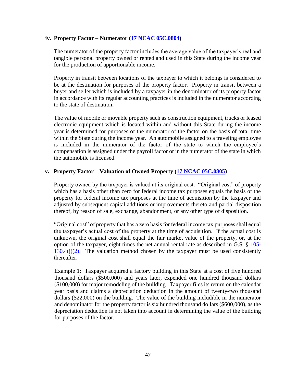### **iv. Property Factor – Numerator [\(17 NCAC 05C.0804\)](http://reports.oah.state.nc.us/ncac/title%2017%20-%20revenue/chapter%2005%20-%20corporate%20franchise,%20income,%20and%20insurance%20taxes/subchapter%20c/17%20ncac%2005c%20.0804.pdf)**

The numerator of the property factor includes the average value of the taxpayer's real and tangible personal property owned or rented and used in this State during the income year for the production of apportionable income.

Property in transit between locations of the taxpayer to which it belongs is considered to be at the destination for purposes of the property factor. Property in transit between a buyer and seller which is included by a taxpayer in the denominator of its property factor in accordance with its regular accounting practices is included in the numerator according to the state of destination.

The value of mobile or movable property such as construction equipment, trucks or leased electronic equipment which is located within and without this State during the income year is determined for purposes of the numerator of the factor on the basis of total time within the State during the income year. An automobile assigned to a traveling employee is included in the numerator of the factor of the state to which the employee's compensation is assigned under the payroll factor or in the numerator of the state in which the automobile is licensed.

## **v. Property Factor – Valuation of Owned Property [\(17 NCAC 05C.0805\)](http://reports.oah.state.nc.us/ncac/title%2017%20-%20revenue/chapter%2005%20-%20corporate%20franchise,%20income,%20and%20insurance%20taxes/subchapter%20c/17%20ncac%2005c%20.0805.pdf)**

Property owned by the taxpayer is valued at its original cost. "Original cost" of property which has a basis other than zero for federal income tax purposes equals the basis of the property for federal income tax purposes at the time of acquisition by the taxpayer and adjusted by subsequent capital additions or improvements thereto and partial disposition thereof, by reason of sale, exchange, abandonment, or any other type of disposition.

"Original cost" of property that has a zero basis for federal income tax purposes shall equal the taxpayer's actual cost of the property at the time of acquisition. If the actual cost is unknown, the original cost shall equal the fair market value of the property, or, at the option of the taxpayer, eight times the net annual rental rate as described in G.S. § [105-](http://www.ncga.state.nc.us/EnactedLegislation/Statutes/HTML/BySection/Chapter_105/GS_105-130.4.html)  $130.4(i)(2)$ . The valuation method chosen by the taxpayer must be used consistently thereafter.

Example 1: Taxpayer acquired a factory building in this State at a cost of five hundred thousand dollars (\$500,000) and years later, expended one hundred thousand dollars (\$100,000) for major remodeling of the building. Taxpayer files its return on the calendar year basis and claims a depreciation deduction in the amount of twenty-two thousand dollars (\$22,000) on the building. The value of the building includible in the numerator and denominator for the property factor is six hundred thousand dollars (\$600,000), as the depreciation deduction is not taken into account in determining the value of the building for purposes of the factor.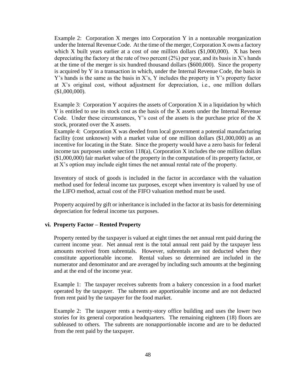Example 2: Corporation X merges into Corporation Y in a nontaxable reorganization under the Internal Revenue Code. At the time of the merger, Corporation X owns a factory which X built years earlier at a cost of one million dollars (\$1,000,000). X has been depreciating the factory at the rate of two percent  $(2%)$  per year, and its basis in X's hands at the time of the merger is six hundred thousand dollars (\$600,000). Since the property is acquired by Y in a transaction in which, under the Internal Revenue Code, the basis in Y's hands is the same as the basis in X's, Y includes the property in Y's property factor at X's original cost, without adjustment for depreciation, i.e., one million dollars (\$1,000,000).

Example 3: Corporation Y acquires the assets of Corporation X in a liquidation by which Y is entitled to use its stock cost as the basis of the X assets under the Internal Revenue Code. Under these circumstances, Y's cost of the assets is the purchase price of the X stock, prorated over the X assets.

Example 4: Corporation X was deeded from local government a potential manufacturing facility (cost unknown) with a market value of one million dollars (\$1,000,000) as an incentive for locating in the State. Since the property would have a zero basis for federal income tax purposes under section 118(a), Corporation X includes the one million dollars (\$1,000,000) fair market value of the property in the computation of its property factor, or at X's option may include eight times the net annual rental rate of the property.

Inventory of stock of goods is included in the factor in accordance with the valuation method used for federal income tax purposes, except when inventory is valued by use of the LIFO method, actual cost of the FIFO valuation method must be used.

Property acquired by gift or inheritance is included in the factor at its basis for determining depreciation for federal income tax purposes.

### **vi. Property Factor – Rented Property**

Property rented by the taxpayer is valued at eight times the net annual rent paid during the current income year. Net annual rent is the total annual rent paid by the taxpayer less amounts received from subrentals. However, subrentals are not deducted when they constitute apportionable income. Rental values so determined are included in the numerator and denominator and are averaged by including such amounts at the beginning and at the end of the income year.

Example 1: The taxpayer receives subrents from a bakery concession in a food market operated by the taxpayer. The subrents are apportionable income and are not deducted from rent paid by the taxpayer for the food market.

Example 2: The taxpayer rents a twenty-story office building and uses the lower two stories for its general corporation headquarters. The remaining eighteen (18) floors are subleased to others. The subrents are nonapportionable income and are to be deducted from the rent paid by the taxpayer.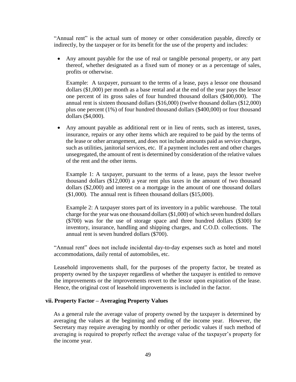"Annual rent" is the actual sum of money or other consideration payable, directly or indirectly, by the taxpayer or for its benefit for the use of the property and includes:

 Any amount payable for the use of real or tangible personal property, or any part thereof, whether designated as a fixed sum of money or as a percentage of sales, profits or otherwise.

Example: A taxpayer, pursuant to the terms of a lease, pays a lessor one thousand dollars (\$1,000) per month as a base rental and at the end of the year pays the lessor one percent of its gross sales of four hundred thousand dollars (\$400,000). The annual rent is sixteen thousand dollars (\$16,000) (twelve thousand dollars (\$12,000) plus one percent (1%) of four hundred thousand dollars (\$400,000) or four thousand dollars (\$4,000).

 Any amount payable as additional rent or in lieu of rents, such as interest, taxes, insurance, repairs or any other items which are required to be paid by the terms of the lease or other arrangement, and does not include amounts paid as service charges, such as utilities, janitorial services, etc. If a payment includes rent and other charges unsegregated, the amount of rent is determined by consideration of the relative values of the rent and the other items.

Example 1: A taxpayer, pursuant to the terms of a lease, pays the lessor twelve thousand dollars (\$12,000) a year rent plus taxes in the amount of two thousand dollars (\$2,000) and interest on a mortgage in the amount of one thousand dollars (\$1,000). The annual rent is fifteen thousand dollars (\$15,000).

Example 2: A taxpayer stores part of its inventory in a public warehouse. The total charge for the year was one thousand dollars (\$1,000) of which seven hundred dollars (\$700) was for the use of storage space and three hundred dollars (\$300) for inventory, insurance, handling and shipping charges, and C.O.D. collections. The annual rent is seven hundred dollars (\$700).

"Annual rent" does not include incidental day-to-day expenses such as hotel and motel accommodations, daily rental of automobiles, etc.

Leasehold improvements shall, for the purposes of the property factor, be treated as property owned by the taxpayer regardless of whether the taxpayer is entitled to remove the improvements or the improvements revert to the lessor upon expiration of the lease. Hence, the original cost of leasehold improvements is included in the factor.

#### **vii. Property Factor – Averaging Property Values**

As a general rule the average value of property owned by the taxpayer is determined by averaging the values at the beginning and ending of the income year. However, the Secretary may require averaging by monthly or other periodic values if such method of averaging is required to properly reflect the average value of the taxpayer's property for the income year.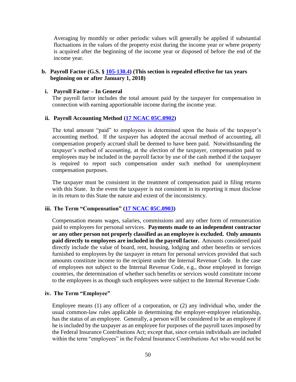Averaging by monthly or other periodic values will generally be applied if substantial fluctuations in the values of the property exist during the income year or where property is acquired after the beginning of the income year or disposed of before the end of the income year.

### **b. Payroll Factor (G.S. § [105-130.4\)](http://www.ncga.state.nc.us/EnactedLegislation/Statutes/HTML/BySection/Chapter_105/GS_105-130.4.html) (This section is repealed effective for tax years beginning on or after January 1, 2018)**

#### **i. Payroll Factor – In General**

The payroll factor includes the total amount paid by the taxpayer for compensation in connection with earning apportionable income during the income year.

#### **ii. Payroll Accounting Method [\(17 NCAC 05C.0902\)](http://reports.oah.state.nc.us/ncac/title%2017%20-%20revenue/chapter%2005%20-%20corporate%20franchise,%20income,%20and%20insurance%20taxes/subchapter%20c/17%20ncac%2005c%20.0902.pdf)**

The total amount "paid" to employees is determined upon the basis of the taxpayer's accounting method. If the taxpayer has adopted the accrual method of accounting, all compensation properly accrued shall be deemed to have been paid. Notwithstanding the taxpayer's method of accounting, at the election of the taxpayer, compensation paid to employees may be included in the payroll factor by use of the cash method if the taxpayer is required to report such compensation under such method for unemployment compensation purposes.

The taxpayer must be consistent in the treatment of compensation paid in filing returns with this State. In the event the taxpayer is not consistent in its reporting it must disclose in its return to this State the nature and extent of the inconsistency.

### **iii. The Term "Compensation" [\(17 NCAC 05C.0903\)](http://reports.oah.state.nc.us/ncac/title%2017%20-%20revenue/chapter%2005%20-%20corporate%20franchise,%20income,%20and%20insurance%20taxes/subchapter%20c/17%20ncac%2005c%20.0903.pdf)**

Compensation means wages, salaries, commissions and any other form of remuneration paid to employees for personal services. **Payments made to an independent contractor or any other person not properly classified as an employee is excluded. Only amounts paid directly to employees are included in the payroll factor.** Amounts considered paid directly include the value of board, rent, housing, lodging and other benefits or services furnished to employees by the taxpayer in return for personal services provided that such amounts constitute income to the recipient under the Internal Revenue Code. In the case of employees not subject to the Internal Revenue Code, e.g., those employed in foreign countries, the determination of whether such benefits or services would constitute income to the employees is as though such employees were subject to the Internal Revenue Code.

#### **iv. The Term "Employee"**

Employee means (1) any officer of a corporation, or (2) any individual who, under the usual common-law rules applicable in determining the employer-employee relationship, has the status of an employee. Generally, a person will be considered to be an employee if he is included by the taxpayer as an employee for purposes of the payroll taxes imposed by the Federal Insurance Contributions Act; except that, since certain individuals are included within the term "employees" in the Federal Insurance Contributions Act who would not be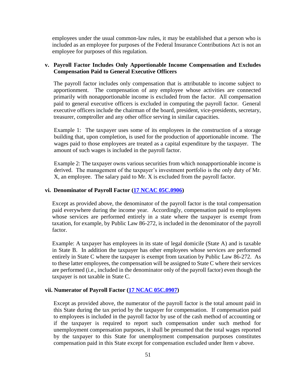employees under the usual common-law rules, it may be established that a person who is included as an employee for purposes of the Federal Insurance Contributions Act is not an employee for purposes of this regulation.

### **v. Payroll Factor Includes Only Apportionable Income Compensation and Excludes Compensation Paid to General Executive Officers**

The payroll factor includes only compensation that is attributable to income subject to apportionment. The compensation of any employee whose activities are connected primarily with nonapportionable income is excluded from the factor. All compensation paid to general executive officers is excluded in computing the payroll factor. General executive officers include the chairman of the board, president, vice-presidents, secretary, treasurer, comptroller and any other office serving in similar capacities.

Example 1: The taxpayer uses some of its employees in the construction of a storage building that, upon completion, is used for the production of apportionable income. The wages paid to those employees are treated as a capital expenditure by the taxpayer. The amount of such wages is included in the payroll factor.

Example 2: The taxpayer owns various securities from which nonapportionable income is derived. The management of the taxpayer's investment portfolio is the only duty of Mr. X, an employee. The salary paid to Mr. X is excluded from the payroll factor.

#### **vi. Denominator of Payroll Factor [\(17 NCAC 05C.0906\)](http://reports.oah.state.nc.us/ncac/title%2017%20-%20revenue/chapter%2005%20-%20corporate%20franchise,%20income,%20and%20insurance%20taxes/subchapter%20c/17%20ncac%2005c%20.0906.pdf)**

Except as provided above, the denominator of the payroll factor is the total compensation paid everywhere during the income year. Accordingly, compensation paid to employees whose services are performed entirely in a state where the taxpayer is exempt from taxation, for example, by Public Law 86-272, is included in the denominator of the payroll factor.

Example: A taxpayer has employees in its state of legal domicile (State A) and is taxable in State B. In addition the taxpayer has other employees whose services are performed entirely in State C where the taxpayer is exempt from taxation by Public Law 86-272. As to these latter employees, the compensation will be assigned to State C where their services are performed (i.e., included in the denominator only of the payroll factor) even though the taxpayer is not taxable in State C.

### **vii. Numerator of Payroll Factor [\(17 NCAC 05C.0907\)](http://reports.oah.state.nc.us/ncac/title%2017%20-%20revenue/chapter%2005%20-%20corporate%20franchise,%20income,%20and%20insurance%20taxes/subchapter%20c/17%20ncac%2005c%20.0907.pdf)**

Except as provided above, the numerator of the payroll factor is the total amount paid in this State during the tax period by the taxpayer for compensation. If compensation paid to employees is included in the payroll factor by use of the cash method of accounting or if the taxpayer is required to report such compensation under such method for unemployment compensation purposes, it shall be presumed that the total wages reported by the taxpayer to this State for unemployment compensation purposes constitutes compensation paid in this State except for compensation excluded under Item *v* above.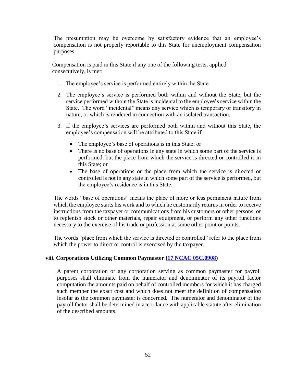The presumption may be overcome by satisfactory evidence that an employee's compensation is not properly reportable to this State for unemployment compensation purposes.

Compensation is paid in this State if any one of the following tests, applied consecutively, is met:

- 1. The employee's service is performed entirely within the State.
- 2. The employee's service is performed both within and without the State, but the service performed without the State is incidental to the employee's service within the State. The word "incidental" means any service which is temporary or transitory in nature, or which is rendered in connection with an isolated transaction.
- 3. If the employee's services are performed both within and without this State, the employee's compensation will be attributed to this State if:
	- The employee's base of operations is in this State; or
	- There is no base of operations in any state in which some part of the service is performed, but the place from which the service is directed or controlled is in this State; or
	- The base of operations or the place from which the service is directed or controlled is not in any state in which some part of the service is performed, but the employee's residence is in this State.

The words "base of operations" means the place of more or less permanent nature from which the employee starts his work and to which he customarily returns in order to receive instructions from the taxpayer or communications from his customers or other persons, or to replenish stock or other materials, repair equipment, or perform any other functions necessary to the exercise of his trade or profession at some other point or points.

The words "place from which the service is directed or controlled" refer to the place from which the power to direct or control is exercised by the taxpayer.

## **viii. Corporations Utilizing Common Paymaster [\(17 NCAC 05C.0908\)](http://reports.oah.state.nc.us/ncac/title%2017%20-%20revenue/chapter%2005%20-%20corporate%20franchise,%20income,%20and%20insurance%20taxes/subchapter%20c/17%20ncac%2005c%20.0908.pdf)**

A parent corporation or any corporation serving as common paymaster for payroll purposes shall eliminate from the numerator and denominator of its payroll factor computation the amounts paid on behalf of controlled members for which it has charged such member the exact cost and which does not meet the definition of compensation insofar as the common paymaster is concerned. The numerator and denominator of the payroll factor shall be determined in accordance with applicable statute after elimination of the described amounts.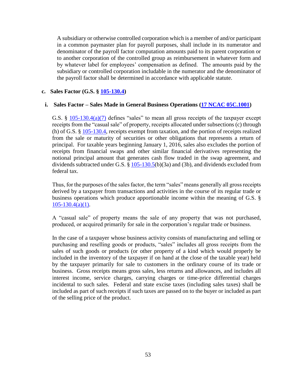A subsidiary or otherwise controlled corporation which is a member of and/or participant in a common paymaster plan for payroll purposes, shall include in its numerator and denominator of the payroll factor computation amounts paid to its parent corporation or to another corporation of the controlled group as reimbursement in whatever form and by whatever label for employees' compensation as defined. The amounts paid by the subsidiary or controlled corporation includable in the numerator and the denominator of the payroll factor shall be determined in accordance with applicable statute.

### **c. Sales Factor (G.S. § [105-130.4\)](http://www.ncga.state.nc.us/EnactedLegislation/Statutes/HTML/BySection/Chapter_105/GS_105-130.4.html)**

### **i. Sales Factor – Sales Made in General Business Operations [\(17 NCAC 05C.1001\)](http://reports.oah.state.nc.us/ncac/title%2017%20-%20revenue/chapter%2005%20-%20corporate%20franchise,%20income,%20and%20insurance%20taxes/subchapter%20c/17%20ncac%2005c%20.1001.pdf)**

G.S.  $\S$  [105-130.4\(a\)\(7\)](http://www.ncga.state.nc.us/EnactedLegislation/Statutes/HTML/BySection/Chapter_105/GS_105-130.4.html) defines "sales" to mean all gross receipts of the taxpayer except receipts from the "casual sale" of property, receipts allocated under subsections (c) through (h) of G.S. § [105-130.4,](http://www.ncga.state.nc.us/EnactedLegislation/Statutes/HTML/BySection/Chapter_105/GS_105-130.4.html) receipts exempt from taxation, and the portion of receipts realized from the sale or maturity of securities or other obligations that represents a return of principal. For taxable years beginning January 1, 2016, sales also excludes the portion of receipts from financial swaps and other similar financial derivatives representing the notional principal amount that generates cash flow traded in the swap agreement, and dividends subtracted under G.S. § [105-130.5\(](http://www.ncga.state.nc.us/EnactedLegislation/Statutes/PDF/BySection/Chapter_105/GS_105-130.5.pdf)b)(3a) and (3b), and dividends excluded from federal tax.

Thus, for the purposes of the sales factor, the term "sales" means generally all gross receipts derived by a taxpayer from transactions and activities in the course of its regular trade or business operations which produce apportionable income within the meaning of G.S. §  $105 - 130.4(a)(1)$ .

A "casual sale" of property means the sale of any property that was not purchased, produced, or acquired primarily for sale in the corporation's regular trade or business.

In the case of a taxpayer whose business activity consists of manufacturing and selling or purchasing and reselling goods or products, "sales" includes all gross receipts from the sales of such goods or products (or other property of a kind which would properly be included in the inventory of the taxpayer if on hand at the close of the taxable year) held by the taxpayer primarily for sale to customers in the ordinary course of its trade or business. Gross receipts means gross sales, less returns and allowances, and includes all interest income, service charges, carrying charges or time-price differential charges incidental to such sales. Federal and state excise taxes (including sales taxes) shall be included as part of such receipts if such taxes are passed on to the buyer or included as part of the selling price of the product.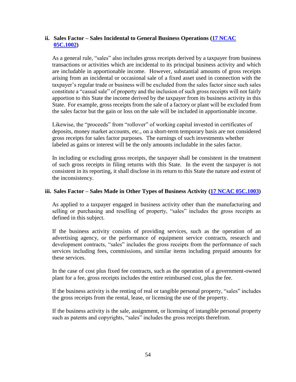## **ii. Sales Factor – Sales Incidental to General Business Operations [\(17 NCAC](http://reports.oah.state.nc.us/ncac/title%2017%20-%20revenue/chapter%2005%20-%20corporate%20franchise,%20income,%20and%20insurance%20taxes/subchapter%20c/17%20ncac%2005c%20.1002.pdf)  [05C.1002\)](http://reports.oah.state.nc.us/ncac/title%2017%20-%20revenue/chapter%2005%20-%20corporate%20franchise,%20income,%20and%20insurance%20taxes/subchapter%20c/17%20ncac%2005c%20.1002.pdf)**

As a general rule, "sales" also includes gross receipts derived by a taxpayer from business transactions or activities which are incidental to its principal business activity and which are includable in apportionable income. However, substantial amounts of gross receipts arising from an incidental or occasional sale of a fixed asset used in connection with the taxpayer's regular trade or business will be excluded from the sales factor since such sales constitute a "casual sale" of property and the inclusion of such gross receipts will not fairly apportion to this State the income derived by the taxpayer from its business activity in this State. For example, gross receipts from the sale of a factory or plant will be excluded from the sales factor but the gain or loss on the sale will be included in apportionable income.

Likewise, the "proceeds" from "rollover" of working capital invested in certificates of deposits, money market accounts, etc., on a short-term temporary basis are not considered gross receipts for sales factor purposes. The earnings of such investments whether labeled as gains or interest will be the only amounts includable in the sales factor.

In including or excluding gross receipts, the taxpayer shall be consistent in the treatment of such gross receipts in filing returns with this State. In the event the taxpayer is not consistent in its reporting, it shall disclose in its return to this State the nature and extent of the inconsistency.

### **iii. Sales Factor – Sales Made in Other Types of Business Activity [\(17 NCAC 05C.1003\)](http://reports.oah.state.nc.us/ncac/title%2017%20-%20revenue/chapter%2005%20-%20corporate%20franchise,%20income,%20and%20insurance%20taxes/subchapter%20c/17%20ncac%2005c%20.1003.pdf)**

As applied to a taxpayer engaged in business activity other than the manufacturing and selling or purchasing and reselling of property, "sales" includes the gross receipts as defined in this subject.

If the business activity consists of providing services, such as the operation of an advertising agency, or the performance of equipment service contracts, research and development contracts, "sales" includes the gross receipts from the performance of such services including fees, commissions, and similar items including prepaid amounts for these services.

In the case of cost plus fixed fee contracts, such as the operation of a government-owned plant for a fee, gross receipts includes the entire reimbursed cost, plus the fee.

If the business activity is the renting of real or tangible personal property, "sales" includes the gross receipts from the rental, lease, or licensing the use of the property.

If the business activity is the sale, assignment, or licensing of intangible personal property such as patents and copyrights, "sales" includes the gross receipts therefrom.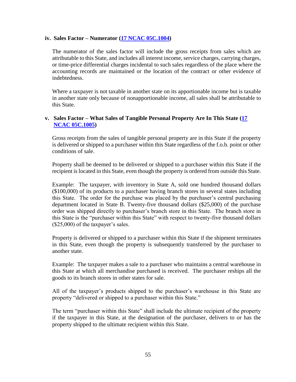#### **iv. Sales Factor – Numerator [\(17 NCAC 05C.1004\)](http://reports.oah.state.nc.us/ncac/title%2017%20-%20revenue/chapter%2005%20-%20corporate%20franchise,%20income,%20and%20insurance%20taxes/subchapter%20c/17%20ncac%2005c%20.1004.pdf)**

The numerator of the sales factor will include the gross receipts from sales which are attributable to this State, and includes all interest income, service charges, carrying charges, or time-price differential charges incidental to such sales regardless of the place where the accounting records are maintained or the location of the contract or other evidence of indebtedness.

Where a taxpayer is not taxable in another state on its apportionable income but is taxable in another state only because of nonapportionable income, all sales shall be attributable to this State.

### **v. Sales Factor – What Sales of Tangible Personal Property Are In This State [\(17](http://reports.oah.state.nc.us/ncac/title%2017%20-%20revenue/chapter%2005%20-%20corporate%20franchise,%20income,%20and%20insurance%20taxes/subchapter%20c/17%20ncac%2005c%20.1005.pdf)  [NCAC 05C.1005\)](http://reports.oah.state.nc.us/ncac/title%2017%20-%20revenue/chapter%2005%20-%20corporate%20franchise,%20income,%20and%20insurance%20taxes/subchapter%20c/17%20ncac%2005c%20.1005.pdf)**

Gross receipts from the sales of tangible personal property are in this State if the property is delivered or shipped to a purchaser within this State regardless of the f.o.b. point or other conditions of sale.

Property shall be deemed to be delivered or shipped to a purchaser within this State if the recipient is located in this State, even though the property is ordered from outside this State.

Example: The taxpayer, with inventory in State A, sold one hundred thousand dollars (\$100,000) of its products to a purchaser having branch stores in several states including this State. The order for the purchase was placed by the purchaser's central purchasing department located in State B. Twenty-five thousand dollars (\$25,000) of the purchase order was shipped directly to purchaser's branch store in this State. The branch store in this State is the "purchaser within this State" with respect to twenty-five thousand dollars (\$25,000) of the taxpayer's sales.

Property is delivered or shipped to a purchaser within this State if the shipment terminates in this State, even though the property is subsequently transferred by the purchaser to another state.

Example: The taxpayer makes a sale to a purchaser who maintains a central warehouse in this State at which all merchandise purchased is received. The purchaser reships all the goods to its branch stores in other states for sale.

All of the taxpayer's products shipped to the purchaser's warehouse in this State are property "delivered or shipped to a purchaser within this State."

The term "purchaser within this State" shall include the ultimate recipient of the property if the taxpayer in this State, at the designation of the purchaser, delivers to or has the property shipped to the ultimate recipient within this State.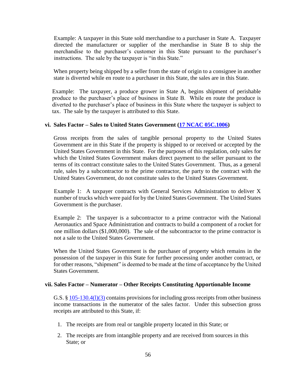Example: A taxpayer in this State sold merchandise to a purchaser in State A. Taxpayer directed the manufacturer or supplier of the merchandise in State B to ship the merchandise to the purchaser's customer in this State pursuant to the purchaser's instructions. The sale by the taxpayer is "in this State."

When property being shipped by a seller from the state of origin to a consignee in another state is diverted while en route to a purchaser in this State, the sales are in this State.

Example: The taxpayer, a produce grower in State A, begins shipment of perishable produce to the purchaser's place of business in State B. While en route the produce is diverted to the purchaser's place of business in this State where the taxpayer is subject to tax. The sale by the taxpayer is attributed to this State.

#### **vi. Sales Factor – Sales to United States Government [\(17 NCAC 05C.1006\)](http://reports.oah.state.nc.us/ncac/title%2017%20-%20revenue/chapter%2005%20-%20corporate%20franchise,%20income,%20and%20insurance%20taxes/subchapter%20c/17%20ncac%2005c%20.1006.pdf)**

Gross receipts from the sales of tangible personal property to the United States Government are in this State if the property is shipped to or received or accepted by the United States Government in this State. For the purposes of this regulation, only sales for which the United States Government makes direct payment to the seller pursuant to the terms of its contract constitute sales to the United States Government. Thus, as a general rule, sales by a subcontractor to the prime contractor, the party to the contract with the United States Government, do not constitute sales to the United States Government.

Example 1: A taxpayer contracts with General Services Administration to deliver X number of trucks which were paid for by the United States Government. The United States Government is the purchaser.

Example 2: The taxpayer is a subcontractor to a prime contractor with the National Aeronautics and Space Administration and contracts to build a component of a rocket for one million dollars (\$1,000,000). The sale of the subcontractor to the prime contractor is not a sale to the United States Government.

When the United States Government is the purchaser of property which remains in the possession of the taxpayer in this State for further processing under another contract, or for other reasons, "shipment" is deemed to be made at the time of acceptance by the United States Government.

#### **vii. Sales Factor – Numerator – Other Receipts Constituting Apportionable Income**

G.S. § [105-130.4\(l\)\(3\)](http://www.ncga.state.nc.us/EnactedLegislation/Statutes/HTML/BySection/Chapter_105/GS_105-130.4.html) contains provisions for including gross receipts from other business income transactions in the numerator of the sales factor. Under this subsection gross receipts are attributed to this State, if:

- 1. The receipts are from real or tangible property located in this State; or
- 2. The receipts are from intangible property and are received from sources in this State; or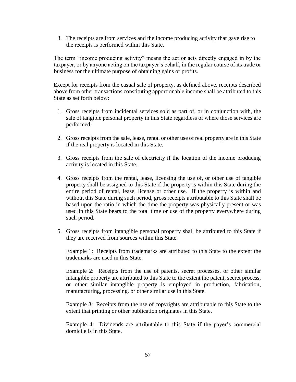3. The receipts are from services and the income producing activity that gave rise to the receipts is performed within this State.

The term "income producing activity" means the act or acts directly engaged in by the taxpayer, or by anyone acting on the taxpayer's behalf, in the regular course of its trade or business for the ultimate purpose of obtaining gains or profits.

Except for receipts from the casual sale of property, as defined above, receipts described above from other transactions constituting apportionable income shall be attributed to this State as set forth below:

- 1. Gross receipts from incidental services sold as part of, or in conjunction with, the sale of tangible personal property in this State regardless of where those services are performed.
- 2. Gross receipts from the sale, lease, rental or other use of real property are in this State if the real property is located in this State.
- 3. Gross receipts from the sale of electricity if the location of the income producing activity is located in this State.
- 4. Gross receipts from the rental, lease, licensing the use of, or other use of tangible property shall be assigned to this State if the property is within this State during the entire period of rental, lease, license or other use. If the property is within and without this State during such period, gross receipts attributable to this State shall be based upon the ratio in which the time the property was physically present or was used in this State bears to the total time or use of the property everywhere during such period.
- 5. Gross receipts from intangible personal property shall be attributed to this State if they are received from sources within this State.

Example 1: Receipts from trademarks are attributed to this State to the extent the trademarks are used in this State.

Example 2: Receipts from the use of patents, secret processes, or other similar intangible property are attributed to this State to the extent the patent, secret process, or other similar intangible property is employed in production, fabrication, manufacturing, processing, or other similar use in this State.

Example 3: Receipts from the use of copyrights are attributable to this State to the extent that printing or other publication originates in this State.

Example 4: Dividends are attributable to this State if the payer's commercial domicile is in this State.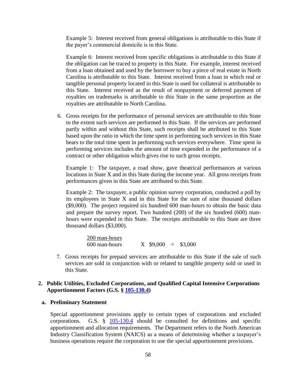Example 5: Interest received from general obligations is attributable to this State if the payer's commercial domicile is in this State.

Example 6: Interest received from specific obligations is attributable to this State if the obligation can be traced to property in this State. For example, interest received from a loan obtained and used by the borrower to buy a piece of real estate in North Carolina is attributable to this State. Interest received from a loan in which real or tangible personal property located in this State is used for collateral is attributable to this State. Interest received as the result of nonpayment or deferred payment of royalties on trademarks is attributable to this State in the same proportion as the royalties are attributable to North Carolina.

6. Gross receipts for the performance of personal services are attributable to this State to the extent such services are performed in this State. If the services are performed partly within and without this State, such receipts shall be attributed to this State based upon the ratio in which the time spent in performing such services in this State bears to the total time spent in performing such services everywhere. Time spent in performing services includes the amount of time expended in the performance of a contract or other obligation which gives rise to such gross receipts.

Example 1: The taxpayer, a road show, gave theatrical performances at various locations in State X and in this State during the income year. All gross receipts from performances given in this State are attributed to this State.

Example 2: The taxpayer, a public opinion survey corporation, conducted a poll by its employees in State X and in this State for the sum of nine thousand dollars (\$9,000). The project required six hundred 600 man-hours to obtain the basic data and prepare the survey report. Two hundred (200) of the six hundred (600) manhours were expended in this State. The receipts attributable to this State are three thousand dollars (\$3,000).

> 200 man-hours 600 man-hours X \$9,000 = \$3,000

7. Gross receipts for prepaid services are attributable to this State if the sale of such services are sold in conjunction with or related to tangible property sold or used in this State.

#### **2. Public Utilities, Excluded Corporations, and Qualified Capital Intensive Corporations Apportionment Factors (G.S. § [105-130.4\)](http://www.ncga.state.nc.us/EnactedLegislation/Statutes/HTML/BySection/Chapter_105/GS_105-130.4.html)**

#### **a. Preliminary Statement**

Special apportionment provisions apply to certain types of corporations and excluded corporations. G.S. § [105-130.4](http://www.ncga.state.nc.us/EnactedLegislation/Statutes/HTML/BySection/Chapter_105/GS_105-130.4.html) should be consulted for definitions and specific apportionment and allocation requirements. The Department refers to the North American Industry Classification System (NAICS) as a means of determining whether a taxpayer's business operations require the corporation to use the special apportionment provisions.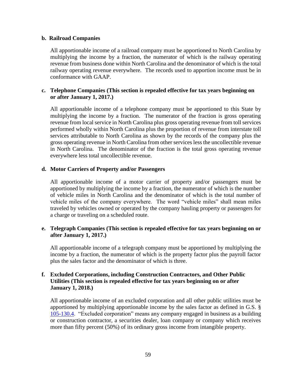### **b. Railroad Companies**

All apportionable income of a railroad company must be apportioned to North Carolina by multiplying the income by a fraction, the numerator of which is the railway operating revenue from business done within North Carolina and the denominator of which is the total railway operating revenue everywhere. The records used to apportion income must be in conformance with GAAP.

## **c. Telephone Companies (This section is repealed effective for tax years beginning on or after January 1, 2017.)**

All apportionable income of a telephone company must be apportioned to this State by multiplying the income by a fraction. The numerator of the fraction is gross operating revenue from local service in North Carolina plus gross operating revenue from toll services performed wholly within North Carolina plus the proportion of revenue from interstate toll services attributable to North Carolina as shown by the records of the company plus the gross operating revenue in North Carolina from other services less the uncollectible revenue in North Carolina. The denominator of the fraction is the total gross operating revenue everywhere less total uncollectible revenue.

### **d. Motor Carriers of Property and/or Passengers**

All apportionable income of a motor carrier of property and/or passengers must be apportioned by multiplying the income by a fraction, the numerator of which is the number of vehicle miles in North Carolina and the denominator of which is the total number of vehicle miles of the company everywhere. The word "vehicle miles" shall mean miles traveled by vehicles owned or operated by the company hauling property or passengers for a charge or traveling on a scheduled route.

### **e. Telegraph Companies (This section is repealed effective for tax years beginning on or after January 1, 2017.)**

All apportionable income of a telegraph company must be apportioned by multiplying the income by a fraction, the numerator of which is the property factor plus the payroll factor plus the sales factor and the denominator of which is three.

## **f. Excluded Corporations, including Construction Contractors, and Other Public Utilities (This section is repealed effective for tax years beginning on or after January 1, 2018.)**

All apportionable income of an excluded corporation and all other public utilities must be apportioned by multiplying apportionable income by the sales factor as defined in G.S. § [105-130.4.](http://www.ncga.state.nc.us/EnactedLegislation/Statutes/HTML/BySection/Chapter_105/GS_105-130.4.html) "Excluded corporation" means any company engaged in business as a building or construction contractor, a securities dealer, loan company or company which receives more than fifty percent (50%) of its ordinary gross income from intangible property.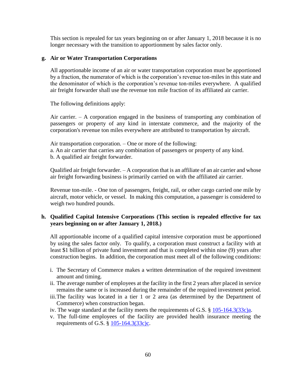This section is repealed for tax years beginning on or after January 1, 2018 because it is no longer necessary with the transition to apportionment by sales factor only.

### **g. Air or Water Transportation Corporations**

All apportionable income of an air or water transportation corporation must be apportioned by a fraction, the numerator of which is the corporation's revenue ton-miles in this state and the denominator of which is the corporation's revenue ton-miles everywhere. A qualified air freight forwarder shall use the revenue ton mile fraction of its affiliated air carrier.

The following definitions apply:

Air carrier. – A corporation engaged in the business of transporting any combination of passengers or property of any kind in interstate commerce, and the majority of the corporation's revenue ton miles everywhere are attributed to transportation by aircraft.

Air transportation corporation. – One or more of the following: a. An air carrier that carries any combination of passengers or property of any kind. b. A qualified air freight forwarder.

Qualified air freight forwarder. – A corporation that is an affiliate of an air carrier and whose air freight forwarding business is primarily carried on with the affiliated air carrier.

Revenue ton-mile. - One ton of passengers, freight, rail, or other cargo carried one mile by aircraft, motor vehicle, or vessel. In making this computation, a passenger is considered to weigh two hundred pounds.

### **h. Qualified Capital Intensive Corporations (This section is repealed effective for tax years beginning on or after January 1, 2018.)**

All apportionable income of a qualified capital intensive corporation must be apportioned by using the sales factor only. To qualify, a corporation must construct a facility with at least \$1 billion of private fund investment and that is completed within nine (9) years after construction begins. In addition, the corporation must meet all of the following conditions:

- i. The Secretary of Commerce makes a written determination of the required investment amount and timing.
- ii. The average number of employees at the facility in the first 2 years after placed in service remains the same or is increased during the remainder of the required investment period.
- iii.The facility was located in a tier 1 or 2 area (as determined by the Department of Commerce) when construction began.
- iv. The wage standard at the facility meets the requirements of G.S. § [105-164.3\(33c\)a.](http://www.ncga.state.nc.us/EnactedLegislation/Statutes/PDF/BySection/Chapter_105/GS_105-164.3.pdf)
- v. The full-time employees of the facility are provided health insurance meeting the requirements of G.S. § [105-164.3\(33c\)c.](http://www.ncga.state.nc.us/EnactedLegislation/Statutes/PDF/BySection/Chapter_105/GS_105-164.3.pdf)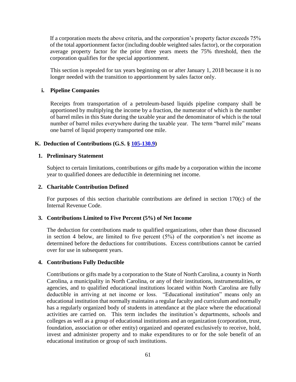If a corporation meets the above criteria, and the corporation's property factor exceeds 75% of the total apportionment factor (including double weighted sales factor), or the corporation average property factor for the prior three years meets the 75% threshold, then the corporation qualifies for the special apportionment.

This section is repealed for tax years beginning on or after January 1, 2018 because it is no longer needed with the transition to apportionment by sales factor only.

### **i. Pipeline Companies**

Receipts from transportation of a petroleum-based liquids pipeline company shall be apportioned by multiplying the income by a fraction, the numerator of which is the number of barrel miles in this State during the taxable year and the denominator of which is the total number of barrel miles everywhere during the taxable year. The term "barrel mile" means one barrel of liquid property transported one mile.

### **K. Deduction of Contributions (G.S. § [105-130.9\)](http://www.ncga.state.nc.us/EnactedLegislation/Statutes/HTML/BySection/Chapter_105/GS_105-130.9.html)**

### **1. Preliminary Statement**

Subject to certain limitations, contributions or gifts made by a corporation within the income year to qualified donees are deductible in determining net income.

### **2. Charitable Contribution Defined**

For purposes of this section charitable contributions are defined in section 170(c) of the Internal Revenue Code.

### **3. Contributions Limited to Five Percent (5%) of Net Income**

The deduction for contributions made to qualified organizations, other than those discussed in section 4 below, are limited to five percent  $(5\%)$  of the corporation's net income as determined before the deductions for contributions. Excess contributions cannot be carried over for use in subsequent years.

### **4. Contributions Fully Deductible**

Contributions or gifts made by a corporation to the State of North Carolina, a county in North Carolina, a municipality in North Carolina, or any of their institutions, instrumentalities, or agencies, and to qualified educational institutions located within North Carolina are fully deductible in arriving at net income or loss. "Educational institution" means only an educational institution that normally maintains a regular faculty and curriculum and normally has a regularly organized body of students in attendance at the place where the educational activities are carried on. This term includes the institution's departments, schools and colleges as well as a group of educational institutions and an organization (corporation, trust, foundation, association or other entity) organized and operated exclusively to receive, hold, invest and administer property and to make expenditures to or for the sole benefit of an educational institution or group of such institutions.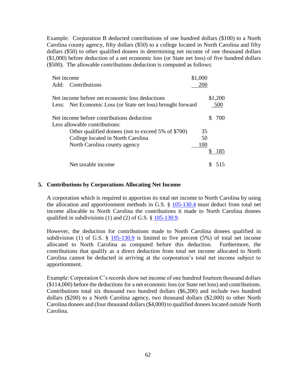Example: Corporation B deducted contributions of one hundred dollars (\$100) to a North Carolina county agency, fifty dollars (\$50) to a college located in North Carolina and fifty dollars (\$50) to other qualified donees in determining net income of one thousand dollars (\$1,000) before deduction of a net economic loss (or State net loss) of five hundred dollars (\$500). The allowable contributions deduction is computed as follows:

| Net income                                                  | \$1,000 |         |
|-------------------------------------------------------------|---------|---------|
| Add: Contributions                                          | 200     |         |
| Net income before net economic loss deductions              |         | \$1,200 |
| Less: Net Economic Loss (or State net loss) brought forward |         | 500     |
| Net income before contributions deduction                   |         | 700     |
| Less allowable contributions:                               |         |         |
| Other qualified donees (not to exceed 5% of \$700)          | 35      |         |
| College located in North Carolina                           | 50      |         |
| North Carolina county agency                                | 100     |         |
|                                                             |         | 185     |
| Net taxable income                                          |         |         |

#### **5. Contributions by Corporations Allocating Net Income**

A corporation which is required to apportion its total net income to North Carolina by using the allocation and apportionment methods in G.S. § [105-130.4](http://www.ncga.state.nc.us/EnactedLegislation/Statutes/HTML/BySection/Chapter_105/GS_105-130.4.html) must deduct from total net income allocable to North Carolina the contributions it made to North Carolina donees qualified in subdivisions (1) and (2) of G.S. § [105-130.9.](http://www.ncga.state.nc.us/EnactedLegislation/Statutes/HTML/BySection/Chapter_105/GS_105-130.9.html)

However, the deduction for contributions made to North Carolina donees qualified in subdivision (1) of G.S.  $\S$  [105-130.9](http://www.ncga.state.nc.us/EnactedLegislation/Statutes/HTML/BySection/Chapter_105/GS_105-130.9.html) is limited to five percent (5%) of total net income allocated to North Carolina as computed before this deduction. Furthermore, the contributions that qualify as a direct deduction from total net income allocated to North Carolina cannot be deducted in arriving at the corporation's total net income subject to apportionment.

Example: Corporation C's records show net income of one hundred fourteen thousand dollars (\$114,000) before the deductions for a net economic loss (or State net loss) and contributions. Contributions total six thousand two hundred dollars (\$6,200) and include two hundred dollars (\$200) to a North Carolina agency, two thousand dollars (\$2,000) to other North Carolina donees and (four thousand dollars (\$4,000) to qualified donees located outside North Carolina.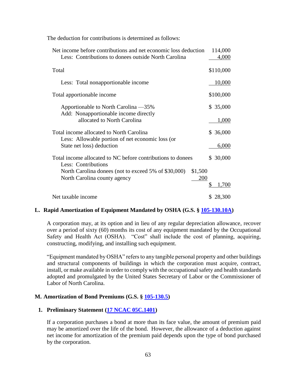The deduction for contributions is determined as follows:

| Net income before contributions and net economic loss deduction<br>Less: Contributions to donees outside North Carolina | 114,000<br>4,000 |
|-------------------------------------------------------------------------------------------------------------------------|------------------|
| Total                                                                                                                   | \$110,000        |
| Less: Total nonapportionable income                                                                                     | <u>10,000</u>    |
| Total apportionable income                                                                                              | \$100,000        |
| Apportionable to North Carolina —35%                                                                                    | \$ 35,000        |
| Add: Nonapportionable income directly<br>allocated to North Carolina                                                    | 1,000            |
| Total income allocated to North Carolina                                                                                | \$36,000         |
| Less: Allowable portion of net economic loss (or<br>State net loss) deduction                                           | 6,000            |
| Total income allocated to NC before contributions to donees<br>Less: Contributions                                      | \$ 30,000        |
| \$1,500<br>North Carolina donees (not to exceed 5% of \$30,000)                                                         |                  |
| 200<br>North Carolina county agency                                                                                     | 1,700            |
|                                                                                                                         |                  |
| Net taxable income                                                                                                      | \$28,300         |

### **L. Rapid Amortization of Equipment Mandated by OSHA (G.S. § [105-130.10A\)](http://www.ncga.state.nc.us/EnactedLegislation/Statutes/HTML/BySection/Chapter_105/GS_105-130.10A.html)**

A corporation may, at its option and in lieu of any regular depreciation allowance, recover over a period of sixty (60) months its cost of any equipment mandated by the Occupational Safety and Health Act (OSHA). "Cost" shall include the cost of planning, acquiring, constructing, modifying, and installing such equipment.

"Equipment mandated by OSHA" refers to any tangible personal property and other buildings and structural components of buildings in which the corporation must acquire, contract, install, or make available in order to comply with the occupational safety and health standards adopted and promulgated by the United States Secretary of Labor or the Commissioner of Labor of North Carolina.

### **M. Amortization of Bond Premiums (G.S. § [105-130.5\)](http://www.ncga.state.nc.us/EnactedLegislation/Statutes/HTML/BySection/Chapter_105/GS_105-130.5.html)**

### **1. Preliminary Statement [\(17 NCAC 05C.1401\)](http://reports.oah.state.nc.us/ncac/title%2017%20-%20revenue/chapter%2005%20-%20corporate%20franchise,%20income,%20and%20insurance%20taxes/subchapter%20c/17%20ncac%2005c%20.1401.pdf)**

If a corporation purchases a bond at more than its face value, the amount of premium paid may be amortized over the life of the bond. However, the allowance of a deduction against net income for amortization of the premium paid depends upon the type of bond purchased by the corporation.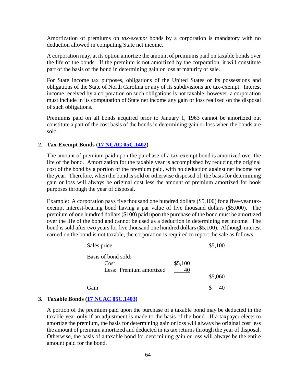Amortization of premiums on *tax-exempt* bonds by a corporation is mandatory with no deduction allowed in computing State net income.

A corporation may, at its option amortize the amount of premiums paid on taxable bonds over the life of the bonds. If the premium is not amortized by the corporation, it will constitute part of the basis of the bond in determining gain or loss at maturity or sale.

For State income tax purposes, obligations of the United States or its possessions and obligations of the State of North Carolina or any of its subdivisions are tax-exempt. Interest income received by a corporation on such obligations is not taxable; however, a corporation must include in its computation of State net income any gain or loss realized on the disposal of such obligations.

Premiums paid on all bonds acquired prior to January 1, 1963 cannot be amortized but constitute a part of the cost basis of the bonds in determining gain or loss when the bonds are sold.

#### **2. Tax-Exempt Bonds [\(17 NCAC 05C.1402\)](http://reports.oah.state.nc.us/ncac/title%2017%20-%20revenue/chapter%2005%20-%20corporate%20franchise,%20income,%20and%20insurance%20taxes/subchapter%20c/17%20ncac%2005c%20.1402.pdf)**

The amount of premium paid upon the purchase of a tax-exempt bond is amortized over the life of the bond. Amortization for the taxable year is accomplished by reducing the original cost of the bond by a portion of the premium paid, with no deduction against net income for the year. Therefore, when the bond is sold or otherwise disposed of, the basis for determining gain or loss will always be original cost less the amount of premium amortized for book purposes through the year of disposal.

Example: A corporation pays five thousand one hundred dollars (\$5,100) for a five-year taxexempt interest-bearing bond having a par value of five thousand dollars (\$5,000). The premium of one hundred dollars (\$100) paid upon the purchase of the bond must be amortized over the life of the bond and cannot be used as a deduction in determining net income. The bond is sold after two years for five thousand one hundred dollars (\$5,100). Although interest earned on the bond is not taxable, the corporation is required to report the sale as follows:

| Sales price                 |         | \$5,100 |
|-----------------------------|---------|---------|
| Basis of bond sold:<br>Cost | \$5,100 |         |
| Less: Premium amortized     |         |         |
|                             |         | \$5,060 |
| Gain                        |         | S<br>40 |

### **3. Taxable Bonds [\(17 NCAC 05C.1403\)](http://reports.oah.state.nc.us/ncac/title%2017%20-%20revenue/chapter%2005%20-%20corporate%20franchise,%20income,%20and%20insurance%20taxes/subchapter%20c/17%20ncac%2005c%20.1403.pdf)**

A portion of the premium paid upon the purchase of a taxable bond may be deducted in the taxable year only if an adjustment is made to the basis of the bond. If a taxpayer elects to amortize the premium, the basis for determining gain or loss will always be original cost less the amount of premium amortized and deducted in its tax returns through the year of disposal. Otherwise, the basis of a taxable bond for determining gain or loss will always be the entire amount paid for the bond.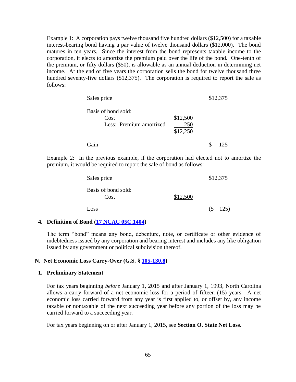Example 1: A corporation pays twelve thousand five hundred dollars (\$12,500) for a taxable interest-bearing bond having a par value of twelve thousand dollars (\$12,000). The bond matures in ten years. Since the interest from the bond represents taxable income to the corporation, it elects to amortize the premium paid over the life of the bond. One-tenth of the premium, or fifty dollars (\$50), is allowable as an annual deduction in determining net income. At the end of five years the corporation sells the bond for twelve thousand three hundred seventy-five dollars (\$12,375). The corporation is required to report the sale as follows:

| Sales price                                            |                 | \$12,375 |
|--------------------------------------------------------|-----------------|----------|
| Basis of bond sold:<br>Cost<br>Less: Premium amortized | \$12,500<br>250 |          |
|                                                        | \$12,250        |          |
| Gain                                                   |                 | 125      |

Example 2: In the previous example, if the corporation had elected not to amortize the premium, it would be required to report the sale of bond as follows:

| Sales price                 |          |   | \$12,375 |
|-----------------------------|----------|---|----------|
| Basis of bond sold:<br>Cost | \$12,500 |   |          |
| Loss                        |          | ( | 125)     |

#### **4. Definition of Bond [\(17 NCAC 05C.1404\)](http://reports.oah.state.nc.us/ncac/title%2017%20-%20revenue/chapter%2005%20-%20corporate%20franchise,%20income,%20and%20insurance%20taxes/subchapter%20c/17%20ncac%2005c%20.1404.pdf)**

The term "bond" means any bond, debenture, note, or certificate or other evidence of indebtedness issued by any corporation and bearing interest and includes any like obligation issued by any government or political subdivision thereof.

#### **N. Net Economic Loss Carry-Over (G.S. § [105-130.8\)](http://www.ncga.state.nc.us/EnactedLegislation/Statutes/HTML/BySection/Chapter_105/GS_105-130.8.html)**

#### **1. Preliminary Statement**

For tax years beginning *before* January 1, 2015 and after January 1, 1993, North Carolina allows a carry forward of a net economic loss for a period of fifteen (15) years. A net economic loss carried forward from any year is first applied to, or offset by, any income taxable or nontaxable of the next succeeding year before any portion of the loss may be carried forward to a succeeding year.

For tax years beginning on or after January 1, 2015, see **Section O. State Net Loss**.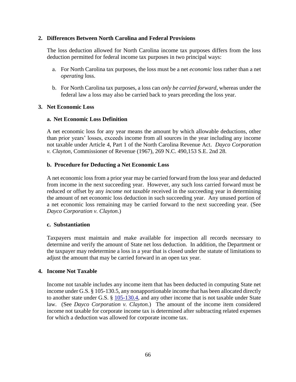### **2. Differences Between North Carolina and Federal Provisions**

The loss deduction allowed for North Carolina income tax purposes differs from the loss deduction permitted for federal income tax purposes in two principal ways:

- a. For North Carolina tax purposes, the loss must be a net *economic* loss rather than a net *operating* loss.
- b. For North Carolina tax purposes, a loss can *only be carried forward*, whereas under the federal law a loss may also be carried back to years preceding the loss year.

### **3. Net Economic Loss**

### **a. Net Economic Loss Definition**

A net economic loss for any year means the amount by which allowable deductions, other than prior years' losses, exceeds income from all sources in the year including any income not taxable under Article 4, Part 1 of the North Carolina Revenue Act. *Dayco Corporation v. Clayton*, Commissioner of Revenue (1967), 269 N.C. 490,153 S.E. 2nd 28.

### **b. Procedure for Deducting a Net Economic Loss**

A net economic loss from a prior year may be carried forward from the loss year and deducted from income in the next succeeding year. However, any such loss carried forward must be reduced or offset by any *income not taxable* received in the succeeding year in determining the amount of net economic loss deduction in such succeeding year. Any unused portion of a net economic loss remaining may be carried forward to the next succeeding year. (See *Dayco Corporation v. Clayton*.)

### **c. Substantiation**

Taxpayers must maintain and make available for inspection all records necessary to determine and verify the amount of State net loss deduction. In addition, the Department or the taxpayer may redetermine a loss in a year that is closed under the statute of limitations to adjust the amount that may be carried forward in an open tax year.

### **4. Income Not Taxable**

Income not taxable includes any income item that has been deducted in computing State net income under G.S. § 105-130.5, any nonapportionable income that has been allocated directly to another state under G.S. § [105-130.4,](http://www.ncga.state.nc.us/EnactedLegislation/Statutes/HTML/BySection/Chapter_105/GS_105-130.4.html) and any other income that is not taxable under State law. (See *Dayco Corporation v. Clayton*.) The amount of the income item considered income not taxable for corporate income tax is determined after subtracting related expenses for which a deduction was allowed for corporate income tax.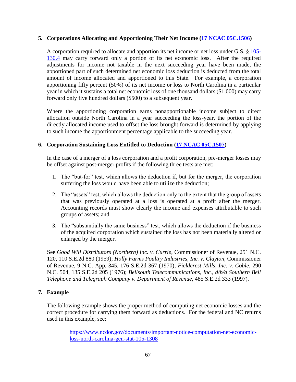### **5. Corporations Allocating and Apportioning Their Net Income [\(17 NCAC 05C.1506\)](http://reports.oah.state.nc.us/ncac/title%2017%20-%20revenue/chapter%2005%20-%20corporate%20franchise,%20income,%20and%20insurance%20taxes/subchapter%20c/17%20ncac%2005c%20.1506.pdf)**

A corporation required to allocate and apportion its net income or net loss under G.S. § [105-](http://www.ncga.state.nc.us/EnactedLegislation/Statutes/HTML/BySection/Chapter_105/GS_105-130.4.html) [130.4](http://www.ncga.state.nc.us/EnactedLegislation/Statutes/HTML/BySection/Chapter_105/GS_105-130.4.html) may carry forward only a portion of its net economic loss. After the required adjustments for income not taxable in the next succeeding year have been made, the apportioned part of such determined net economic loss deduction is deducted from the total amount of income allocated and apportioned to this State. For example, a corporation apportioning fifty percent (50%) of its net income or loss to North Carolina in a particular year in which it sustains a total net economic loss of one thousand dollars (\$1,000) may carry forward only five hundred dollars (\$500) to a subsequent year.

Where the apportioning corporation earns nonapportionable income subject to direct allocation outside North Carolina in a year succeeding the loss-year, the portion of the directly allocated income used to offset the loss brought forward is determined by applying to such income the apportionment percentage applicable to the succeeding year.

## **6. Corporation Sustaining Loss Entitled to Deduction [\(17 NCAC 05C.1507\)](http://reports.oah.state.nc.us/ncac/title%2017%20-%20revenue/chapter%2005%20-%20corporate%20franchise,%20income,%20and%20insurance%20taxes/subchapter%20c/17%20ncac%2005c%20.1507.pdf)**

In the case of a merger of a loss corporation and a profit corporation, pre-merger losses may be offset against post-merger profits if the following three tests are met:

- 1. The "but-for" test, which allows the deduction if, but for the merger, the corporation suffering the loss would have been able to utilize the deduction;
- 2. The "assets" test, which allows the deduction only to the extent that the group of assets that was previously operated at a loss is operated at a profit after the merger. Accounting records must show clearly the income and expenses attributable to such groups of assets; and
- 3. The "substantially the same business" test, which allows the deduction if the business of the acquired corporation which sustained the loss has not been materially altered or enlarged by the merger.

See *Good Will Distributors (Northern) Inc. v. Currie*, Commissioner of Revenue, 251 N.C. 120, 110 S.E.2d 880 (1959); *Holly Farms Poultry Industries, Inc. v. Clayton*, Commissioner of Revenue, 9 N.C. App. 345, 176 S.E.2d 367 (1970); *Fieldcrest Mills, Inc. v. Coble*, 290 N.C. 504, 135 S.E.2d 205 (1976); *Bellsouth Telecommunications, Inc., d/b/a Southern Bell Telephone and Telegraph Company v. Department of Revenue*, 485 S.E.2d 333 (1997).

## **7. Example**

The following example shows the proper method of computing net economic losses and the correct procedure for carrying them forward as deductions. For the federal and NC returns used in this example, see:

> [https://www.ncdor.gov/documents/important-notice-computation-net-economic](https://www.ncdor.gov/documents/important-notice-computation-net-economic-loss-north-carolina-gen-stat-105-1308)[loss-north-carolina-gen-stat-105-1308](https://www.ncdor.gov/documents/important-notice-computation-net-economic-loss-north-carolina-gen-stat-105-1308)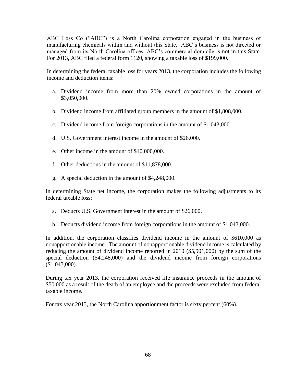ABC Loss Co ("ABC") is a North Carolina corporation engaged in the business of manufacturing chemicals within and without this State. ABC's business is not directed or managed from its North Carolina offices; ABC's commercial domicile is not in this State. For 2013, ABC filed a federal form 1120, showing a taxable loss of \$199,000.

In determining the federal taxable loss for years 2013, the corporation includes the following income and deduction items:

- a. Dividend income from more than 20% owned corporations in the amount of \$3,050,000.
- b. Dividend income from affiliated group members in the amount of \$1,808,000.
- c. Dividend income from foreign corporations in the amount of \$1,043,000.
- d. U.S. Government interest income in the amount of \$26,000.
- e. Other income in the amount of \$10,000,000.
- f. Other deductions in the amount of \$11,878,000.
- g. A special deduction in the amount of \$4,248,000.

In determining State net income, the corporation makes the following adjustments to its federal taxable loss:

- a. Deducts U.S. Government interest in the amount of \$26,000.
- b. Deducts dividend income from foreign corporations in the amount of \$1,043,000.

In addition, the corporation classifies dividend income in the amount of \$610,000 as nonapportionable income. The amount of nonapportionable dividend income is calculated by reducing the amount of dividend income reported in 2010 (\$5,901,000) by the sum of the special deduction (\$4,248,000) and the dividend income from foreign corporations (\$1,043,000).

During tax year 2013, the corporation received life insurance proceeds in the amount of \$50,000 as a result of the death of an employee and the proceeds were excluded from federal taxable income.

For tax year 2013, the North Carolina apportionment factor is sixty percent (60%).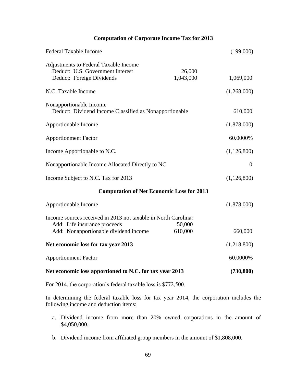## **Computation of Corporate Income Tax for 2013**

| <b>Federal Taxable Income</b>                                                                                                           |                     | (199,000)      |
|-----------------------------------------------------------------------------------------------------------------------------------------|---------------------|----------------|
| Adjustments to Federal Taxable Income<br>Deduct: U.S. Government Interest<br>Deduct: Foreign Dividends                                  | 26,000<br>1,043,000 | 1,069,000      |
| N.C. Taxable Income                                                                                                                     |                     | (1,268,000)    |
| Nonapportionable Income<br>Deduct: Dividend Income Classified as Nonapportionable                                                       |                     | 610,000        |
| Apportionable Income                                                                                                                    |                     | (1,878,000)    |
| <b>Apportionment Factor</b>                                                                                                             |                     | 60.0000%       |
| Income Apportionable to N.C.                                                                                                            |                     | (1,126,800)    |
| Nonapportionable Income Allocated Directly to NC                                                                                        |                     | $\overline{0}$ |
| Income Subject to N.C. Tax for 2013                                                                                                     |                     | (1,126,800)    |
| <b>Computation of Net Economic Loss for 2013</b>                                                                                        |                     |                |
| Apportionable Income                                                                                                                    |                     | (1,878,000)    |
| Income sources received in 2013 not taxable in North Carolina:<br>Add: Life insurance proceeds<br>Add: Nonapportionable dividend income | 50,000<br>610,000   | 660,000        |
| Net economic loss for tax year 2013                                                                                                     |                     | (1,218.800)    |
|                                                                                                                                         |                     |                |
| <b>Apportionment Factor</b>                                                                                                             |                     | 60.0000%       |
| Net economic loss apportioned to N.C. for tax year 2013                                                                                 |                     | (730, 800)     |

For 2014, the corporation's federal taxable loss is \$772,500.

In determining the federal taxable loss for tax year 2014, the corporation includes the following income and deduction items:

- a. Dividend income from more than 20% owned corporations in the amount of \$4,050,000.
- b. Dividend income from affiliated group members in the amount of \$1,808,000.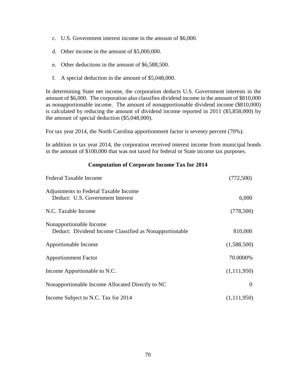- c. U.S. Government interest income in the amount of \$6,000.
- d. Other income in the amount of \$5,000,000.
- e. Other deductions in the amount of \$6,588,500.
- f. A special deduction in the amount of \$5,048,000.

In determining State net income, the corporation deducts U.S. Government interests in the amount of \$6,000. The corporation also classifies dividend income in the amount of \$810,000 as nonapportionable income. The amount of nonapportionable dividend income (\$810,000) is calculated by reducing the amount of dividend income reported in 2011 (\$5,858,000) by the amount of special deduction (\$5,048,000).

For tax year 2014, the North Carolina apportionment factor is seventy percent (70%).

In addition in tax year 2014, the corporation received interest income from municipal bonds in the amount of \$100,000 that was not taxed for federal or State income tax purposes.

#### **Computation of Corporate Income Tax for 2014**

| <b>Federal Taxable Income</b>                                                     | (772,500)   |
|-----------------------------------------------------------------------------------|-------------|
| Adjustments to Federal Taxable Income<br>Deduct: U.S. Government Interest         | 6,000       |
| N.C. Taxable Income                                                               | (778, 500)  |
| Nonapportionable Income<br>Deduct: Dividend Income Classified as Nonapportionable | 810,000     |
| Apportionable Income                                                              | (1,588,500) |
| <b>Apportionment Factor</b>                                                       | 70.0000%    |
| Income Apportionable to N.C.                                                      | (1,111,950) |
| Nonapportionable Income Allocated Directly to NC                                  | $\theta$    |
| Income Subject to N.C. Tax for 2014                                               | (1,111,950) |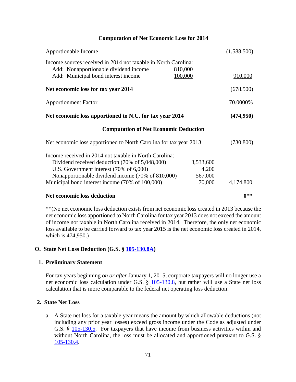### **Computation of Net Economic Loss for 2014**

| Apportionable Income                                                                                                                                                                                                                                        |                                         | (1,588,500) |
|-------------------------------------------------------------------------------------------------------------------------------------------------------------------------------------------------------------------------------------------------------------|-----------------------------------------|-------------|
| Income sources received in 2014 not taxable in North Carolina:<br>Add: Nonapportionable dividend income<br>Add: Municipal bond interest income                                                                                                              | 810,000<br>100,000                      | 910,000     |
| Net economic loss for tax year 2014                                                                                                                                                                                                                         |                                         | (678.500)   |
| <b>Apportionment Factor</b>                                                                                                                                                                                                                                 |                                         | 70.0000%    |
| Net economic loss apportioned to N.C. for tax year 2014                                                                                                                                                                                                     |                                         | (474,950)   |
| <b>Computation of Net Economic Deduction</b>                                                                                                                                                                                                                |                                         |             |
| Net economic loss apportioned to North Carolina for tax year 2013                                                                                                                                                                                           |                                         | (730, 800)  |
| Income received in 2014 not taxable in North Carolina:<br>Dividend received deduction (70% of 5,048,000)<br>U.S. Government interest (70% of 6,000)<br>Nonapportionable dividend income (70% of 810,000)<br>Municipal bond interest income (70% of 100,000) | 3,533,600<br>4,200<br>567,000<br>70,000 | 4,174,800   |
| Net economic loss deduction                                                                                                                                                                                                                                 |                                         | $0**$       |

\*\*(No net economic loss deduction exists from net economic loss created in 2013 because the net economic loss apportioned to North Carolina for tax year 2013 does not exceed the amount of income not taxable in North Carolina received in 2014. Therefore, the only net economic loss available to be carried forward to tax year 2015 is the net economic loss created in 2014, which is 474,950.)

## **O. State Net Loss Deduction (G.S. § [105-130.8A\)](http://www.ncga.state.nc.us/EnactedLegislation/Statutes/HTML/BySection/Chapter_105/GS_105-130.8A.html)**

## **1. Preliminary Statement**

For tax years beginning *on or after* January 1, 2015, corporate taxpayers will no longer use a net economic loss calculation under G.S. § [105-130.8,](http://www.ncga.state.nc.us/EnactedLegislation/Statutes/HTML/BySection/Chapter_105/GS_105-130.8.html) but rather will use a State net loss calculation that is more comparable to the federal net operating loss deduction.

## **2. State Net Loss**

a. A State net loss for a taxable year means the amount by which allowable deductions (not including any prior year losses) exceed gross income under the Code as adjusted under G.S. § [105-130.5.](http://www.ncga.state.nc.us/EnactedLegislation/Statutes/HTML/BySection/Chapter_105/GS_105-130.5.html) For taxpayers that have income from business activities within and without North Carolina, the loss must be allocated and apportioned pursuant to G.S. § [105-130.4.](http://www.ncga.state.nc.us/EnactedLegislation/Statutes/HTML/BySection/Chapter_105/GS_105-130.4.html)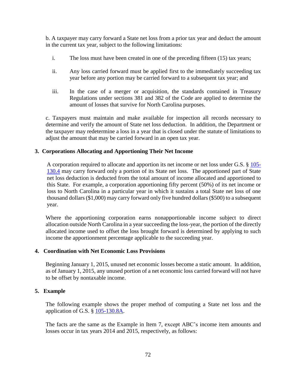b. A taxpayer may carry forward a State net loss from a prior tax year and deduct the amount in the current tax year, subject to the following limitations:

- i. The loss must have been created in one of the preceding fifteen (15) tax years;
- ii. Any loss carried forward must be applied first to the immediately succeeding tax year before any portion may be carried forward to a subsequent tax year; and
- iii. In the case of a merger or acquisition, the standards contained in Treasury Regulations under sections 381 and 382 of the Code are applied to determine the amount of losses that survive for North Carolina purposes.

c. Taxpayers must maintain and make available for inspection all records necessary to determine and verify the amount of State net loss deduction. In addition, the Department or the taxpayer may redetermine a loss in a year that is closed under the statute of limitations to adjust the amount that may be carried forward in an open tax year.

### **3. Corporations Allocating and Apportioning Their Net Income**

A corporation required to allocate and apportion its net income or net loss under G.S. § [105-](http://www.ncga.state.nc.us/EnactedLegislation/Statutes/HTML/BySection/Chapter_105/GS_105-130.4.html) [130.4](http://www.ncga.state.nc.us/EnactedLegislation/Statutes/HTML/BySection/Chapter_105/GS_105-130.4.html) may carry forward only a portion of its State net loss. The apportioned part of State net loss deduction is deducted from the total amount of income allocated and apportioned to this State. For example, a corporation apportioning fifty percent (50%) of its net income or loss to North Carolina in a particular year in which it sustains a total State net loss of one thousand dollars (\$1,000) may carry forward only five hundred dollars (\$500) to a subsequent year.

Where the apportioning corporation earns nonapportionable income subject to direct allocation outside North Carolina in a year succeeding the loss-year, the portion of the directly allocated income used to offset the loss brought forward is determined by applying to such income the apportionment percentage applicable to the succeeding year.

### **4. Coordination with Net Economic Loss Provisions**

Beginning January 1, 2015, unused net economic losses become a static amount. In addition, as of January 1, 2015, any unused portion of a net economic loss carried forward will not have to be offset by nontaxable income.

### **5. Example**

The following example shows the proper method of computing a State net loss and the application of G.S. § [105-130.8A.](http://www.ncga.state.nc.us/EnactedLegislation/Statutes/HTML/BySection/Chapter_105/GS_105-130.8A.html)

The facts are the same as the Example in Item 7, except ABC's income item amounts and losses occur in tax years 2014 and 2015, respectively, as follows: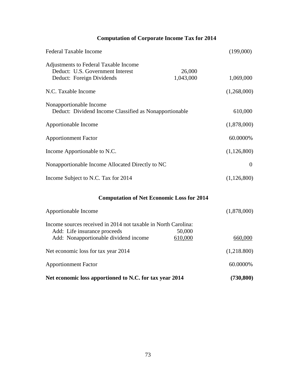# **Computation of Corporate Income Tax for 2014**

| <b>Federal Taxable Income</b>                                                                          |                     | (199,000)   |
|--------------------------------------------------------------------------------------------------------|---------------------|-------------|
| Adjustments to Federal Taxable Income<br>Deduct: U.S. Government Interest<br>Deduct: Foreign Dividends | 26,000<br>1,043,000 | 1,069,000   |
| N.C. Taxable Income                                                                                    |                     | (1,268,000) |
| Nonapportionable Income<br>Deduct: Dividend Income Classified as Nonapportionable                      |                     | 610,000     |
| Apportionable Income                                                                                   |                     | (1,878,000) |
| <b>Apportionment Factor</b>                                                                            |                     | 60.0000%    |
| Income Apportionable to N.C.                                                                           |                     | (1,126,800) |
| Nonapportionable Income Allocated Directly to NC                                                       |                     | $\theta$    |
| Income Subject to N.C. Tax for 2014                                                                    |                     | (1,126,800) |

# **Computation of Net Economic Loss for 2014**

| Apportionable Income                                           |         | (1,878,000) |
|----------------------------------------------------------------|---------|-------------|
| Income sources received in 2014 not taxable in North Carolina: |         |             |
| Add: Life insurance proceeds                                   | 50,000  |             |
| Add: Nonapportionable dividend income                          | 610,000 | 660,000     |
| Net economic loss for tax year 2014                            |         | (1,218.800) |
| <b>Apportionment Factor</b>                                    |         | 60.0000%    |
| Net economic loss apportioned to N.C. for tax year 2014        |         | (730, 800)  |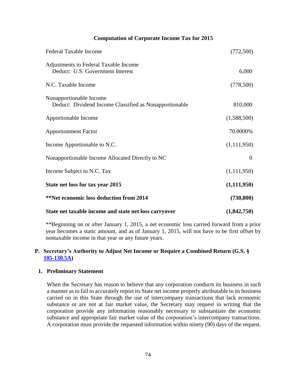### **Computation of Corporate Income Tax for 2015**

| <b>Federal Taxable Income</b>                                                     | (772,500)      |
|-----------------------------------------------------------------------------------|----------------|
| Adjustments to Federal Taxable Income<br>Deduct: U.S. Government Interest         | 6,000          |
| N.C. Taxable Income                                                               | (778,500)      |
| Nonapportionable Income<br>Deduct: Dividend Income Classified as Nonapportionable | 810,000        |
| Apportionable Income                                                              | (1,588,500)    |
| <b>Apportionment Factor</b>                                                       | 70.0000%       |
| Income Apportionable to N.C.                                                      | (1,111,950)    |
| Nonapportionable Income Allocated Directly to NC                                  | $\overline{0}$ |
| Income Subject to N.C. Tax                                                        | (1,111,950)    |
| State net loss for tax year 2015                                                  | (1,111,950)    |
| <b>**Net economic loss deduction from 2014</b>                                    | (730, 800)     |
| State net taxable income and state net loss carryover                             | (1,842,750)    |

\*\*Beginning on or after January 1, 2015, a net economic loss carried forward from a prior year becomes a static amount, and as of January 1, 2015, will not have to be first offset by nontaxable income in that year or any future years.

# **P. Secretary's Authority to Adjust Net Income or Require a Combined Return (G.S. § [105-130.5A\)](http://www.ncga.state.nc.us/EnactedLegislation/Statutes/HTML/BySection/Chapter_105/GS_105-130.5A.html)**

#### **1. Preliminary Statement**

When the Secretary has reason to believe that any corporation conducts its business in such a manner as to fail to accurately report its State net income properly attributable to its business carried on in this State through the use of intercompany transactions that lack economic substance or are not at fair market value, the Secretary may request in writing that the corporation provide any information reasonably necessary to substantiate the economic substance and appropriate fair market value of the corporation's intercompany transactions. A corporation must provide the requested information within ninety (90) days of the request.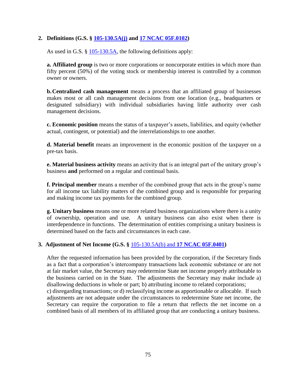# **2. Definitions (G.S. § [105-130.5A\(j\)](http://www.ncga.state.nc.us/EnactedLegislation/Statutes/HTML/BySection/Chapter_105/GS_105-130.5A.html) and [17 NCAC 05F.0102\)](http://reports.oah.state.nc.us/ncac/title%2017%20-%20revenue/chapter%2005%20-%20corporate%20franchise,%20income,%20and%20insurance%20taxes/subchapter%20f/17%20ncac%2005f%20.0102.pdf)**

As used in G.S. § [105-130.5A,](http://www.ncga.state.nc.us/EnactedLegislation/Statutes/HTML/BySection/Chapter_105/GS_105-130.5A.html) the following definitions apply:

**a. Affiliated group** is two or more corporations or noncorporate entities in which more than fifty percent (50%) of the voting stock or membership interest is controlled by a common owner or owners.

**b.Centralized cash management** means a process that an affiliated group of businesses makes most or all cash management decisions from one location (e.g., headquarters or designated subsidiary) with individual subsidiaries having little authority over cash management decisions.

**c. Economic position** means the status of a taxpayer's assets, liabilities, and equity (whether actual, contingent, or potential) and the interrelationships to one another.

**d. Material benefit** means an improvement in the economic position of the taxpayer on a pre-tax basis.

**e. Material business activity** means an activity that is an integral part of the unitary group's business **and** performed on a regular and continual basis.

**f. Principal member** means a member of the combined group that acts in the group's name for all income tax liability matters of the combined group and is responsible for preparing and making income tax payments for the combined group.

**g. Unitary business** means one or more related business organizations where there is a unity of ownership, operation and use. A unitary business can also exist when there is interdependence in functions. The determination of entities comprising a unitary business is determined based on the facts and circumstances in each case.

### **3. Adjustment of Net Income (G.S. §** [105-130.5A\(b\)](https://www.ncleg.net/EnactedLegislation/Statutes/HTML/BySection/Chapter_105/GS_105-130.5A.html) and **[17 NCAC 05F.0401\)](http://reports.oah.state.nc.us/ncac/title%2017%20-%20revenue/chapter%2005%20-%20corporate%20franchise,%20income,%20and%20insurance%20taxes/subchapter%20f/17%20ncac%2005f%20.0401.pdf)**

After the requested information has been provided by the corporation, if the Secretary finds as a fact that a corporation's intercompany transactions lack economic substance or are not at fair market value, the Secretary may redetermine State net income properly attributable to the business carried on in the State. The adjustments the Secretary may make include a) disallowing deductions in whole or part; b) attributing income to related corporations;

c) disregarding transactions; or d) reclassifying income as apportionable or allocable. If such adjustments are not adequate under the circumstances to redetermine State net income, the Secretary can require the corporation to file a return that reflects the net income on a combined basis of all members of its affiliated group that are conducting a unitary business.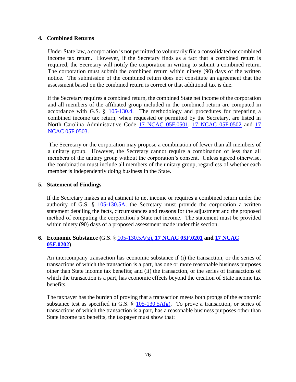# **4. Combined Returns**

Under State law, a corporation is not permitted to voluntarily file a consolidated or combined income tax return. However, if the Secretary finds as a fact that a combined return is required, the Secretary will notify the corporation in writing to submit a combined return. The corporation must submit the combined return within ninety (90) days of the written notice. The submission of the combined return does not constitute an agreement that the assessment based on the combined return is correct or that additional tax is due.

If the Secretary requires a combined return, the combined State net income of the corporation and all members of the affiliated group included in the combined return are computed in accordance with G.S. § [105-130.4.](http://www.ncga.state.nc.us/EnactedLegislation/Statutes/HTML/BySection/Chapter_105/GS_105-130.4.html) The methodology and procedures for preparing a combined income tax return, when requested or permitted by the Secretary, are listed in North Carolina Administrative Code [17 NCAC 05F.0501,](http://reports.oah.state.nc.us/ncac/title%2017%20-%20revenue/chapter%2005%20-%20corporate%20franchise,%20income,%20and%20insurance%20taxes/subchapter%20f/17%20ncac%2005f%20.0501.pdf) [17 NCAC 05F.0502](http://reports.oah.state.nc.us/ncac/title%2017%20-%20revenue/chapter%2005%20-%20corporate%20franchise,%20income,%20and%20insurance%20taxes/subchapter%20f/17%20ncac%2005f%20.0502.pdf) and [17](http://reports.oah.state.nc.us/ncac/title%2017%20-%20revenue/chapter%2005%20-%20corporate%20franchise,%20income,%20and%20insurance%20taxes/subchapter%20f/17%20ncac%2005f%20.0503.pdf)  [NCAC 05F.0503.](http://reports.oah.state.nc.us/ncac/title%2017%20-%20revenue/chapter%2005%20-%20corporate%20franchise,%20income,%20and%20insurance%20taxes/subchapter%20f/17%20ncac%2005f%20.0503.pdf)

The Secretary or the corporation may propose a combination of fewer than all members of a unitary group. However, the Secretary cannot require a combination of less than all members of the unitary group without the corporation's consent. Unless agreed otherwise, the combination must include all members of the unitary group, regardless of whether each member is independently doing business in the State.

# **5. Statement of Findings**

If the Secretary makes an adjustment to net income or requires a combined return under the authority of G.S. § [105-130.5A,](http://www.ncga.state.nc.us/EnactedLegislation/Statutes/HTML/BySection/Chapter_105/GS_105-130.5A.html) the Secretary must provide the corporation a written statement detailing the facts, circumstances and reasons for the adjustment and the proposed method of computing the corporation's State net income. The statement must be provided within ninety (90) days of a proposed assessment made under this section.

# **6. Economic Substance (**G.S. § [105-130.5A\(g\),](http://www.ncga.state.nc.us/EnactedLegislation/Statutes/HTML/BySection/Chapter_105/GS_105-130.5A.html) **[17 NCAC 05F.0201](http://reports.oah.state.nc.us/ncac/title%2017%20-%20revenue/chapter%2005%20-%20corporate%20franchise,%20income,%20and%20insurance%20taxes/subchapter%20f/17%20ncac%2005f%20.0201.pdf) and [17 NCAC](http://reports.oah.state.nc.us/ncac/title%2017%20-%20revenue/chapter%2005%20-%20corporate%20franchise,%20income,%20and%20insurance%20taxes/subchapter%20f/17%20ncac%2005f%20.0202.pdf)  [05F.0202\)](http://reports.oah.state.nc.us/ncac/title%2017%20-%20revenue/chapter%2005%20-%20corporate%20franchise,%20income,%20and%20insurance%20taxes/subchapter%20f/17%20ncac%2005f%20.0202.pdf)**

An intercompany transaction has economic substance if (i) the transaction, or the series of transactions of which the transaction is a part, has one or more reasonable business purposes other than State income tax benefits; and (ii) the transaction, or the series of transactions of which the transaction is a part, has economic effects beyond the creation of State income tax benefits.

The taxpayer has the burden of proving that a transaction meets both prongs of the economic substance test as specified in G.S. §  $105-130.5A(g)$ . To prove a transaction, or series of transactions of which the transaction is a part, has a reasonable business purposes other than State income tax benefits, the taxpayer must show that: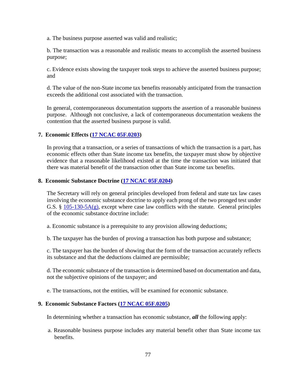a. The business purpose asserted was valid and realistic;

b. The transaction was a reasonable and realistic means to accomplish the asserted business purpose;

c. Evidence exists showing the taxpayer took steps to achieve the asserted business purpose; and

d. The value of the non-State income tax benefits reasonably anticipated from the transaction exceeds the additional cost associated with the transaction.

In general, contemporaneous documentation supports the assertion of a reasonable business purpose. Although not conclusive, a lack of contemporaneous documentation weakens the contention that the asserted business purpose is valid.

# **7. Economic Effects [\(17 NCAC 05F.0203\)](http://reports.oah.state.nc.us/ncac/title%2017%20-%20revenue/chapter%2005%20-%20corporate%20franchise,%20income,%20and%20insurance%20taxes/subchapter%20f/17%20ncac%2005f%20.0203.pdf)**

In proving that a transaction, or a series of transactions of which the transaction is a part, has economic effects other than State income tax benefits, the taxpayer must show by objective evidence that a reasonable likelihood existed at the time the transaction was initiated that there was material benefit of the transaction other than State income tax benefits.

#### **8. Economic Substance Doctrine [\(17 NCAC 05F.0204\)](http://reports.oah.state.nc.us/ncac/title%2017%20-%20revenue/chapter%2005%20-%20corporate%20franchise,%20income,%20and%20insurance%20taxes/subchapter%20f/17%20ncac%2005f%20.0204.pdf)**

The Secretary will rely on general principles developed from federal and state tax law cases involving the economic substance doctrine to apply each prong of the two pronged test under G.S. §  $105-130-5A(g)$ , except where case law conflicts with the statute. General principles of the economic substance doctrine include:

a. Economic substance is a prerequisite to any provision allowing deductions;

b. The taxpayer has the burden of proving a transaction has both purpose and substance;

c. The taxpayer has the burden of showing that the form of the transaction accurately reflects its substance and that the deductions claimed are permissible;

d. The economic substance of the transaction is determined based on documentation and data, not the subjective opinions of the taxpayer; and

e. The transactions, not the entities, will be examined for economic substance.

#### **9. Economic Substance Factors [\(17 NCAC 05F.0205\)](http://reports.oah.state.nc.us/ncac/title%2017%20-%20revenue/chapter%2005%20-%20corporate%20franchise,%20income,%20and%20insurance%20taxes/subchapter%20f/17%20ncac%2005f%20.0205.pdf)**

In determining whether a transaction has economic substance, *all* the following apply:

a. Reasonable business purpose includes any material benefit other than State income tax benefits.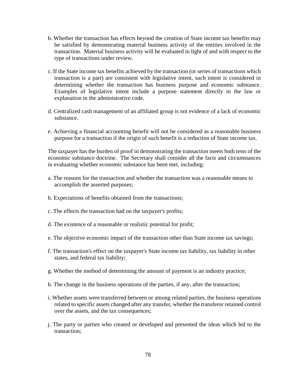- b. Whether the transaction has effects beyond the creation of State income tax benefits may be satisfied by demonstrating material business activity of the entities involved in the transaction. Material business activity will be evaluated in light of and with respect to the type of transactions under review.
- c. If the State income tax benefits achieved by the transaction (or series of transactions which transaction is a part) are consistent with legislative intent, such intent is considered in determining whether the transaction has business purpose and economic substance. Examples of legislative intent include a purpose statement directly in the law or explanation in the administrative code.
- d. Centralized cash management of an affiliated group is not evidence of a lack of economic substance.
- e. Achieving a financial accounting benefit will not be considered as a reasonable business purpose for a transaction if the origin of such benefit is a reduction of State income tax.

The taxpayer has the burden of proof in demonstrating the transaction meets both tests of the economic substance doctrine. The Secretary shall consider all the facts and circumstances in evaluating whether economic substance has been met, including:

- a. The reasons for the transaction and whether the transaction was a reasonable means to accomplish the asserted purposes;
- b. Expectations of benefits obtained from the transactions;
- c. The effects the transaction had on the taxpayer's profits;
- d. The existence of a reasonable or realistic potential for profit;
- e. The objective economic impact of the transaction other than State income tax savings;
- f. The transaction's effect on the taxpayer's State income tax liability, tax liability in other states, and federal tax liability;
- g. Whether the method of determining the amount of payment is an industry practice;
- h. The change in the business operations of the parties, if any, after the transaction;
- i. Whether assets were transferred between or among related parties, the business operations related to specific assets changed after any transfer, whether the transferor retained control over the assets, and the tax consequences;
- j. The party or parties who created or developed and presented the ideas which led to the transaction;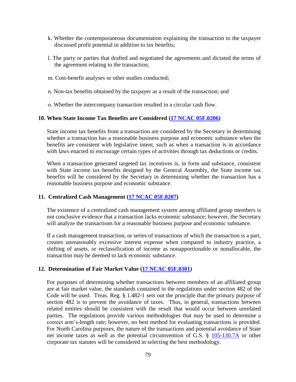- k. Whether the contemporaneous documentation explaining the transaction to the taxpayer discussed profit potential in addition to tax benefits;
- l. The party or parties that drafted and negotiated the agreements and dictated the terms of the agreement relating to the transaction;
- m. Cost-benefit analyses or other studies conducted;
- n. Non-tax benefits obtained by the taxpayer as a result of the transaction; and
- o. Whether the intercompany transaction resulted in a circular cash flow.

#### **10. When State Income Tax Benefits are Considered [\(17 NCAC 05F.0206\)](http://reports.oah.state.nc.us/ncac/title%2017%20-%20revenue/chapter%2005%20-%20corporate%20franchise,%20income,%20and%20insurance%20taxes/subchapter%20f/17%20ncac%2005f%20.0206.pdf)**

State income tax benefits from a transaction are considered by the Secretary in determining whether a transaction has a reasonable business purpose and economic substance when the benefits are consistent with legislative intent, such as when a transaction is in accordance with laws enacted to encourage certain types of activities through tax deductions or credits.

When a transaction generated targeted tax incentives is, in form and substance, consistent with State income tax benefits designed by the General Assembly, the State income tax benefits will be considered by the Secretary in determining whether the transaction has a reasonable business purpose and economic substance.

#### **11. Centralized Cash Management (17 [NCAC](http://reports.oah.state.nc.us/ncac/title%2017%20-%20revenue/chapter%2005%20-%20corporate%20franchise,%20income,%20and%20insurance%20taxes/subchapter%20f/17%20ncac%2005f%20.0207.pdf) 05F.0207)**

The existence of a centralized cash management system among affiliated group members is not conclusive evidence that a transaction lacks economic substance; however, the Secretary will analyze the transactions for a reasonable business purpose and economic substance.

If a cash management transaction, or series of transactions of which the transaction is a part, creates unreasonably excessive interest expense when compared to industry practice, a shifting of assets, or reclassification of income as nonapportionable or nonallocable, the transaction may be deemed to lack economic substance.

#### **12. Determination of Fair Market Value [\(17 NCAC 05F.0301\)](http://reports.oah.state.nc.us/ncac/title%2017%20-%20revenue/chapter%2005%20-%20corporate%20franchise,%20income,%20and%20insurance%20taxes/subchapter%20f/17%20ncac%2005f%20.0301.pdf)**

For purposes of determining whether transactions between members of an affiliated group are at fair market value, the standards contained in the regulations under section 482 of the Code will be used. Treas. Reg. § 1.482-1 sets out the principle that the primary purpose of section 482 is to prevent the avoidance of taxes. Thus, in general, transactions between related entities should be consistent with the result that would occur between unrelated parties. The regulations provide various methodologies that may be used to determine a correct arm's-length rate; however, no best method for evaluating transactions is provided. For North Carolina purposes, the nature of the transactions and potential avoidance of State net income taxes as well as the potential circumvention of G.S. § [105-130.7A](http://www.ncga.state.nc.us/EnactedLegislation/Statutes/HTML/BySection/Chapter_105/GS_105-130.7A.html) or other corporate tax statutes will be considered in selecting the best methodology.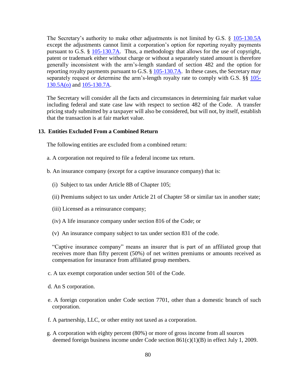The Secretary's authority to make other adjustments is not limited by G.S. § [105-130.5A](http://www.ncga.state.nc.us/EnactedLegislation/Statutes/HTML/BySection/Chapter_105/GS_105-130.5A.html) except the adjustments cannot limit a corporation's option for reporting royalty payments pursuant to G.S. § [105-130.7A.](http://www.ncga.state.nc.us/EnactedLegislation/Statutes/HTML/BySection/Chapter_105/GS_105-130.7A.html) Thus, a methodology that allows for the use of copyright, patent or trademark either without charge or without a separately stated amount is therefore generally inconsistent with the arm's-length standard of section 482 and the option for reporting royalty payments pursuant to G.S. § [105-130.7A.](http://www.ncga.state.nc.us/EnactedLegislation/Statutes/HTML/BySection/Chapter_105/GS_105-130.7A.html) In these cases, the Secretary may separately request or determine the arm's-length royalty rate to comply with G.S. §§ [105-](http://www.ncga.state.nc.us/EnactedLegislation/Statutes/HTML/BySection/Chapter_105/GS_105-130.5A.html) [130.5A\(o\)](http://www.ncga.state.nc.us/EnactedLegislation/Statutes/HTML/BySection/Chapter_105/GS_105-130.5A.html) and [105-130.7A.](http://www.ncga.state.nc.us/EnactedLegislation/Statutes/HTML/BySection/Chapter_105/GS_105-130.7A.html)

The Secretary will consider all the facts and circumstances in determining fair market value including federal and state case law with respect to section 482 of the Code. A transfer pricing study submitted by a taxpayer will also be considered, but will not, by itself, establish that the transaction is at fair market value.

#### **13. Entities Excluded From a Combined Return**

The following entities are excluded from a combined return:

- a. A corporation not required to file a federal income tax return.
- b. An insurance company (except for a captive insurance company) that is:
	- (i) Subject to tax under Article 8B of Chapter 105;
	- (ii) Premiums subject to tax under Article 21 of Chapter 58 or similar tax in another state;
	- (iii) Licensed as a reinsurance company;
	- (iv) A life insurance company under section 816 of the Code; or
	- (v) An insurance company subject to tax under section 831 of the code.

"Captive insurance company" means an insurer that is part of an affiliated group that receives more than fifty percent (50%) of net written premiums or amounts received as compensation for insurance from affiliated group members.

c. A tax exempt corporation under section 501 of the Code.

- d. An S corporation.
- e. A foreign corporation under Code section 7701, other than a domestic branch of such corporation.
- f. A partnership, LLC, or other entity not taxed as a corporation.
- g. A corporation with eighty percent (80%) or more of gross income from all sources deemed foreign business income under Code section 861(c)(1)(B) in effect July 1, 2009.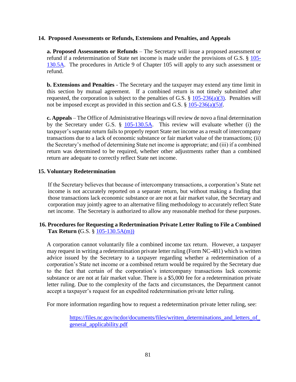#### **14. Proposed Assessments or Refunds, Extensions and Penalties, and Appeals**

**a. Proposed Assessments or Refunds** – The Secretary will issue a proposed assessment or refund if a redetermination of State net income is made under the provisions of G.S. § [105-](http://www.ncga.state.nc.us/EnactedLegislation/Statutes/HTML/BySection/Chapter_105/GS_105-130.5A.html) [130.5A.](http://www.ncga.state.nc.us/EnactedLegislation/Statutes/HTML/BySection/Chapter_105/GS_105-130.5A.html) The procedures in Article 9 of Chapter 105 will apply to any such assessment or refund.

**b. Extensions and Penalties** - The Secretary and the taxpayer may extend any time limit in this section by mutual agreement. If a combined return is not timely submitted after requested, the corporation is subject to the penalties of G.S.  $\S$  [105-236\(a\)\(3\).](http://www.ncga.state.nc.us/EnactedLegislation/Statutes/HTML/BySection/Chapter_105/GS_105-236.html) Penalties will not be imposed except as provided in this section and G.S.  $\S 105-236(a)(5)f$ .

**c. Appeals** – The Office of Administrative Hearings will review de novo a final determination by the Secretary under G.S. § [105-130.5A.](http://www.ncga.state.nc.us/EnactedLegislation/Statutes/HTML/BySection/Chapter_105/GS_105-130.5A.html) This review will evaluate whether (i) the taxpayer's separate return fails to properly report State net income as a result of intercompany transactions due to a lack of economic substance or fair market value of the transactions; (ii) the Secretary's method of determining State net income is appropriate; and (iii) if a combined return was determined to be required, whether other adjustments rather than a combined return are adequate to correctly reflect State net income.

#### **15. Voluntary Redetermination**

If the Secretary believes that because of intercompany transactions, a corporation's State net income is not accurately reported on a separate return, but without making a finding that those transactions lack economic substance or are not at fair market value, the Secretary and corporation may jointly agree to an alternative filing methodology to accurately reflect State net income. The Secretary is authorized to allow any reasonable method for these purposes.

# **16. Procedures for Requesting a Redertmination Private Letter Ruling to File a Combined Tax Return (**G.S. § [105-130.5A\(m\)\)](http://www.ncga.state.nc.us/EnactedLegislation/Statutes/HTML/BySection/Chapter_105/GS_105-130.5A.html)

A corporation cannot voluntarily file a combined income tax return. However, a taxpayer may request in writing a redetermination private letter ruling (Form NC-481) which is written advice issued by the Secretary to a taxpayer regarding whether a redetermination of a corporation's State net income or a combined return would be required by the Secretary due to the fact that certain of the corporation's intercompany transactions lack economic substance or are not at fair market value. There is a \$5,000 fee for a redetermination private letter ruling. Due to the complexity of the facts and circumstances, the Department cannot accept a taxpayer's request for an expedited redetermination private letter ruling.

For more information regarding how to request a redetermination private letter ruling, see:

https://files.nc.gov/ncdor/documents/files/written\_determinations\_and\_letters\_of [general\\_applicability.pdf](https://files.nc.gov/ncdor/documents/files/written_determinations_and_letters_of_general_applicability.pdf)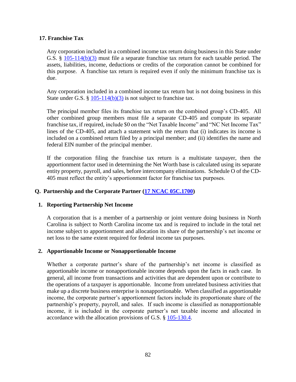# **17. Franchise Tax**

Any corporation included in a combined income tax return doing business in this State under G.S. § [105-114\(b\)\(3\)](http://www.ncga.state.nc.us/EnactedLegislation/Statutes/HTML/BySection/Chapter_105/GS_105-114.html) must file a separate franchise tax return for each taxable period. The assets, liabilities, income, deductions or credits of the corporation cannot be combined for this purpose. A franchise tax return is required even if only the minimum franchise tax is due.

Any corporation included in a combined income tax return but is not doing business in this State under G.S. §  $105-114(b)(3)$  is not subject to franchise tax.

The principal member files its franchise tax return on the combined group's CD-405. All other combined group members must file a separate CD-405 and compute its separate franchise tax, if required, include \$0 on the "Net Taxable Income" and "NC Net Income Tax" lines of the CD-405, and attach a statement with the return that (i) indicates its income is included on a combined return filed by a principal member; and (ii) identifies the name and federal EIN number of the principal member.

If the corporation filing the franchise tax return is a multistate taxpayer, then the apportionment factor used in determining the Net Worth base is calculated using its separate entity property, payroll, and sales, before intercompany eliminations. Schedule O of the CD-405 must reflect the entity's apportionment factor for franchise tax purposes.

# **Q. Partnership and the Corporate Partner [\(17 NCAC 05C.1700\)](http://reports.oah.state.nc.us/ncac/title%2017%20-%20revenue/chapter%2005%20-%20corporate%20franchise,%20income,%20and%20insurance%20taxes/subchapter%20c/17%20ncac%2005c%20.1701.pdf)**

#### **1. Reporting Partnership Net Income**

A corporation that is a member of a partnership or joint venture doing business in North Carolina is subject to North Carolina income tax and is required to include in the total net income subject to apportionment and allocation its share of the partnership's net income or net loss to the same extent required for federal income tax purposes.

#### **2. Apportionable Income or Nonapportionable Income**

Whether a corporate partner's share of the partnership's net income is classified as apportionable income or nonapportionable income depends upon the facts in each case. In general, all income from transactions and activities that are dependent upon or contribute to the operations of a taxpayer is apportionable. Income from unrelated business activities that make up a discrete business enterprise is nonapportionable. When classified as apportionable income, the corporate partner's apportionment factors include its proportionate share of the partnership's property, payroll, and sales. If such income is classified as nonapportionable income, it is included in the corporate partner's net taxable income and allocated in accordance with the allocation provisions of G.S. § [105-130.4.](http://www.ncga.state.nc.us/EnactedLegislation/Statutes/HTML/BySection/Chapter_105/GS_105-130.4.html)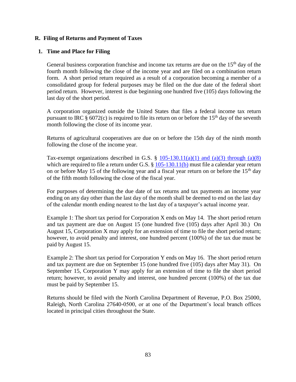### **R. Filing of Returns and Payment of Taxes**

# **1. Time and Place for Filing**

General business corporation franchise and income tax returns are due on the  $15<sup>th</sup>$  day of the fourth month following the close of the income year and are filed on a combination return form. A short period return required as a result of a corporation becoming a member of a consolidated group for federal purposes may be filed on the due date of the federal short period return. However, interest is due beginning one hundred five (105) days following the last day of the short period.

A corporation organized outside the United States that files a federal income tax return pursuant to IRC  $\S$  6072(c) is required to file its return on or before the 15<sup>th</sup> day of the seventh month following the close of its income year.

Returns of agricultural cooperatives are due on or before the 15th day of the ninth month following the close of the income year.

Tax-exempt organizations described in G.S.  $\S$  [105-130.11\(a\)\(1\) and \(a\)\(3\) through \(a\)\(8\)](http://www.ncga.state.nc.us/EnactedLegislation/Statutes/HTML/BySection/Chapter_105/GS_105-130.11.html) which are required to file a return under G.S. § [105-130.11\(b\)](http://www.ncga.state.nc.us/EnactedLegislation/Statutes/HTML/BySection/Chapter_105/GS_105-130.11.html) must file a calendar year return on or before May 15 of the following year and a fiscal year return on or before the  $15<sup>th</sup>$  day of the fifth month following the close of the fiscal year.

For purposes of determining the due date of tax returns and tax payments an income year ending on any day other than the last day of the month shall be deemed to end on the last day of the calendar month ending nearest to the last day of a taxpayer's actual income year.

Example 1: The short tax period for Corporation X ends on May 14. The short period return and tax payment are due on August 15 (one hundred five (105) days after April 30.) On August 15, Corporation X may apply for an extension of time to file the short period return; however, to avoid penalty and interest, one hundred percent (100%) of the tax due must be paid by August 15.

Example 2: The short tax period for Corporation Y ends on May 16. The short period return and tax payment are due on September 15 (one hundred five (105) days after May 31). On September 15, Corporation Y may apply for an extension of time to file the short period return; however, to avoid penalty and interest, one hundred percent (100%) of the tax due must be paid by September 15.

Returns should be filed with the North Carolina Department of Revenue, P.O. Box 25000, Raleigh, North Carolina 27640-0500, or at one of the Department's local branch offices located in principal cities throughout the State.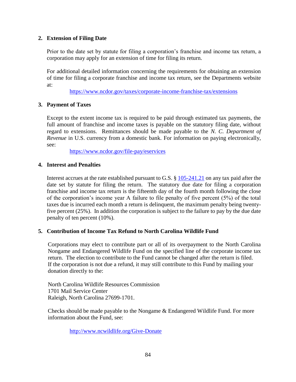# **2. Extension of Filing Date**

Prior to the date set by statute for filing a corporation's franchise and income tax return, a corporation may apply for an extension of time for filing its return.

For additional detailed information concerning the requirements for obtaining an extension of time for filing a corporate franchise and income tax return, see the Departments website at:

<https://www.ncdor.gov/taxes/corporate-income-franchise-tax/extensions>

# **3. Payment of Taxes**

Except to the extent income tax is required to be paid through estimated tax payments, the full amount of franchise and income taxes is payable on the statutory filing date, without regard to extensions. Remittances should be made payable to the *N. C. Department of Revenue* in U.S. currency from a domestic bank*.* For information on paying electronically, see:

<https://www.ncdor.gov/file-pay/eservices>

#### **4. Interest and Penalties**

Interest accrues at the rate established pursuant to G.S. § [105-241.21](http://www.ncga.state.nc.us/EnactedLegislation/Statutes/HTML/BySection/Chapter_105/GS_105-241.21.html) on any tax paid after the date set by statute for filing the return. The statutory due date for filing a corporation franchise and income tax return is the fifteenth day of the fourth month following the close of the corporation's income year A failure to file penalty of five percent (5%) of the total taxes due is incurred each month a return is delinquent, the maximum penalty being twentyfive percent (25%). In addition the corporation is subject to the failure to pay by the due date penalty of ten percent (10%).

#### **5. Contribution of Income Tax Refund to North Carolina Wildlife Fund**

Corporations may elect to contribute part or all of its overpayment to the North Carolina Nongame and Endangered Wildlife Fund on the specified line of the corporate income tax return. The election to contribute to the Fund cannot be changed after the return is filed. If the corporation is not due a refund, it may still contribute to this Fund by mailing your donation directly to the:

North Carolina Wildlife Resources Commission 1701 Mail Service Center Raleigh, North Carolina 27699-1701.

Checks should be made payable to the Nongame & Endangered Wildlife Fund. For more information about the Fund, see:

<http://www.ncwildlife.org/Give-Donate>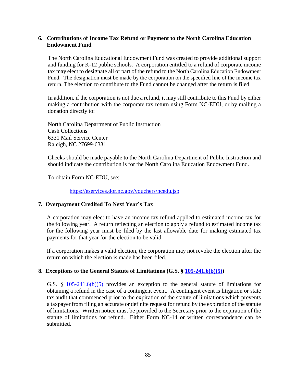# **6. Contributions of Income Tax Refund or Payment to the North Carolina Education Endowment Fund**

The North Carolina Educational Endowment Fund was created to provide additional support and funding for K-12 public schools. A corporation entitled to a refund of corporate income tax may elect to designate all or part of the refund to the North Carolina Education Endowment Fund. The designation must be made by the corporation on the specified line of the income tax return. The election to contribute to the Fund cannot be changed after the return is filed.

In addition, if the corporation is not due a refund, it may still contribute to this Fund by either making a contribution with the corporate tax return using Form NC-EDU, or by mailing a donation directly to:

North Carolina Department of Public Instruction Cash Collections 6331 Mail Service Center Raleigh, NC 27699-6331

Checks should be made payable to the North Carolina Department of Public Instruction and should indicate the contribution is for the North Carolina Education Endowment Fund.

To obtain Form NC-EDU, see:

<https://eservices.dor.nc.gov/vouchers/ncedu.jsp>

# **7. Overpayment Credited To Next Year's Tax**

A corporation may elect to have an income tax refund applied to estimated income tax for the following year. A return reflecting an election to apply a refund to estimated income tax for the following year must be filed by the last allowable date for making estimated tax payments for that year for the election to be valid.

If a corporation makes a valid election, the corporation may not revoke the election after the return on which the election is made has been filed.

#### **8. Exceptions to the General Statute of Limitations (G.S. § [105-241.6\(b\)\(5\)\)](http://www.ncga.state.nc.us/EnactedLegislation/Statutes/HTML/BySection/Chapter_105/GS_105-241.6.html)**

G.S. § [105-241.6\(b\)\(5\)](http://www.ncga.state.nc.us/EnactedLegislation/Statutes/HTML/BySection/Chapter_105/GS_105-241.6.html) provides an exception to the general statute of limitations for obtaining a refund in the case of a contingent event. A contingent event is litigation or state tax audit that commenced prior to the expiration of the statute of limitations which prevents a taxpayer from filing an accurate or definite request for refund by the expiration of the statute of limitations. Written notice must be provided to the Secretary prior to the expiration of the statute of limitations for refund. Either Form NC-14 or written correspondence can be submitted.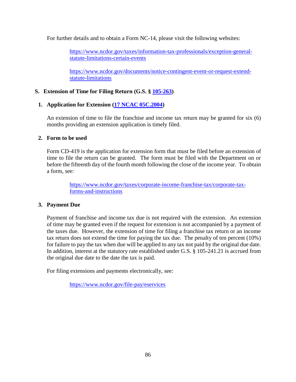For further details and to obtain a Form NC-14, please visit the following websites:

[https://www.ncdor.gov/taxes/information-tax-professionals/exception-general](https://www.ncdor.gov/taxes/information-tax-professionals/exception-general-statute-limitations-certain-events)[statute-limitations-certain-events](https://www.ncdor.gov/taxes/information-tax-professionals/exception-general-statute-limitations-certain-events)

[https://www.ncdor.gov/documents/notice-contingent-event-or-request-extend](https://www.ncdor.gov/documents/notice-contingent-event-or-request-extend-statute-limitations)[statute-limitations](https://www.ncdor.gov/documents/notice-contingent-event-or-request-extend-statute-limitations)

# **S. Extension of Time for Filing Return (G.S. § [105-263\)](http://www.ncga.state.nc.us/EnactedLegislation/Statutes/HTML/BySection/Chapter_105/GS_105-263.html)**

# **1. Application for Extension [\(17 NCAC 05C.2004\)](http://reports.oah.state.nc.us/ncac/title%2017%20-%20revenue/chapter%2005%20-%20corporate%20franchise,%20income,%20and%20insurance%20taxes/subchapter%20c/17%20ncac%2005c%20.2004.pdf)**

An extension of time to file the franchise and income tax return may be granted for six (6) months providing an extension application is timely filed.

#### **2. Form to be used**

Form CD-419 is the application for extension form that must be filed before an extension of time to file the return can be granted. The form must be filed with the Department on or before the fifteenth day of the fourth month following the close of the income year. To obtain a form, see:

> [https://www.ncdor.gov/taxes/corporate-income-franchise-tax/corporate-tax](https://www.ncdor.gov/taxes/corporate-income-franchise-tax/corporate-tax-forms-and-instructions)[forms-and-instructions](https://www.ncdor.gov/taxes/corporate-income-franchise-tax/corporate-tax-forms-and-instructions)

#### **3. Payment Due**

Payment of franchise and income tax due is not required with the extension. An extension of time may be granted even if the request for extension is not accompanied by a payment of the taxes due. However, the extension of time for filing a franchise tax return or an income tax return does not extend the time for paying the tax due. The penalty of ten percent (10%) for failure to pay the tax when due will be applied to any tax not paid by the original due date. In addition, interest at the statutory rate established under G.S. § 105-241.21 is accrued from the original due date to the date the tax is paid.

For filing extensions and payments electronically, see:

<https://www.ncdor.gov/file-pay/eservices>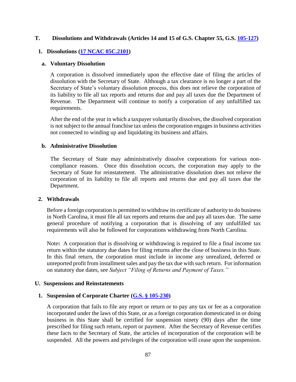#### **T. Dissolutions and Withdrawals (Articles 14 and 15 of G.S. Chapter 55, G.S. [105-127\)](http://www.ncga.state.nc.us/EnactedLegislation/Statutes/HTML/BySection/Chapter_105/GS_105-127.html)**

# **1. Dissolutions [\(17 NCAC 05C.2101\)](http://reports.oah.state.nc.us/ncac/title%2017%20-%20revenue/chapter%2005%20-%20corporate%20franchise,%20income,%20and%20insurance%20taxes/subchapter%20c/17%20ncac%2005c%20.2101.pdf)**

#### **a. Voluntary Dissolution**

A corporation is dissolved immediately upon the effective date of filing the articles of dissolution with the Secretary of State. Although a tax clearance is no longer a part of the Secretary of State's voluntary dissolution process, this does not relieve the corporation of its liability to file all tax reports and returns due and pay all taxes due the Department of Revenue. The Department will continue to notify a corporation of any unfulfilled tax requirements.

After the end of the year in which a taxpayer voluntarily dissolves, the dissolved corporation is not subject to the annual franchise tax unless the corporation engages in business activities not connected to winding up and liquidating its business and affairs.

#### **b. Administrative Dissolution**

The Secretary of State may administratively dissolve corporations for various noncompliance reasons. Once this dissolution occurs, the corporation may apply to the Secretary of State for reinstatement. The administrative dissolution does not relieve the corporation of its liability to file all reports and returns due and pay all taxes due the Department.

#### **2. Withdrawals**

Before a foreign corporation is permitted to withdraw its certificate of authority to do business in North Carolina, it must file all tax reports and returns due and pay all taxes due. The same general procedure of notifying a corporation that is dissolving of any unfulfilled tax requirements will also be followed for corporations withdrawing from North Carolina.

Note**:** A corporation that is dissolving or withdrawing is required to file a final income tax return within the statutory due dates for filing returns after the close of business in this State. In this final return, the corporation must include in income any unrealized, deferred or unreported profit from installment sales and pay the tax due with such return. For information on statutory due dates, see *Subject "Filing of Returns and Payment of Taxes."*

#### **U. Suspensions and Reinstatements**

#### **1. Suspension of Corporate Charter [\(G.S. § 105-230\)](http://www.ncga.state.nc.us/EnactedLegislation/Statutes/HTML/BySection/Chapter_105/GS_105-230.html)**

A corporation that fails to file any report or return or to pay any tax or fee as a corporation incorporated under the laws of this State, or as a foreign corporation domesticated in or doing business in this State shall be certified for suspension ninety (90) days after the time prescribed for filing such return, report or payment. After the Secretary of Revenue certifies these facts to the Secretary of State, the articles of incorporation of the corporation will be suspended. All the powers and privileges of the corporation will cease upon the suspension.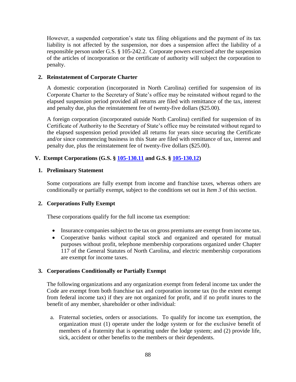However, a suspended corporation's state tax filing obligations and the payment of its tax liability is not affected by the suspension, nor does a suspension affect the liability of a responsible person under G.S. § 105-242.2. Corporate powers exercised after the suspension of the articles of incorporation or the certificate of authority will subject the corporation to penalty.

# **2. Reinstatement of Corporate Charter**

A domestic corporation (incorporated in North Carolina) certified for suspension of its Corporate Charter to the Secretary of State's office may be reinstated without regard to the elapsed suspension period provided all returns are filed with remittance of the tax, interest and penalty due, plus the reinstatement fee of twenty-five dollars (\$25.00).

A foreign corporation (incorporated outside North Carolina) certified for suspension of its Certificate of Authority to the Secretary of State's office may be reinstated without regard to the elapsed suspension period provided all returns for years since securing the Certificate and/or since commencing business in this State are filed with remittance of tax, interest and penalty due, plus the reinstatement fee of twenty-five dollars (\$25.00).

# **V. Exempt Corporations (G.S. § [105-130.11](http://www.ncga.state.nc.us/EnactedLegislation/Statutes/HTML/BySection/Chapter_105/GS_105-130.11.html) and G.S. § [105-130.12\)](http://www.ncga.state.nc.us/EnactedLegislation/Statutes/HTML/BySection/Chapter_105/GS_105-130.12.html)**

#### **1. Preliminary Statement**

Some corporations are fully exempt from income and franchise taxes, whereas others are conditionally or partially exempt, subject to the conditions set out in *Item 3* of this section.

# **2. Corporations Fully Exempt**

These corporations qualify for the full income tax exemption:

- Insurance companies subject to the tax on gross premiums are exempt from income tax.
- Cooperative banks without capital stock and organized and operated for mutual purposes without profit, telephone membership corporations organized under Chapter 117 of the General Statutes of North Carolina, and electric membership corporations are exempt for income taxes.

#### **3. Corporations Conditionally or Partially Exempt**

The following organizations and any organization exempt from federal income tax under the Code are exempt from both franchise tax and corporation income tax (to the extent exempt from federal income tax) if they are not organized for profit, and if no profit inures to the benefit of any member, shareholder or other individual:

a. Fraternal societies, orders or associations. To qualify for income tax exemption, the organization must (1) operate under the lodge system or for the exclusive benefit of members of a fraternity that is operating under the lodge system; and (2) provide life, sick, accident or other benefits to the members or their dependents.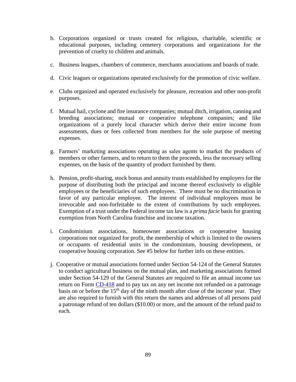- b. Corporations organized or trusts created for religious, charitable, scientific or educational purposes, including cemetery corporations and organizations for the prevention of cruelty to children and animals.
- c. Business leagues, chambers of commerce, merchants associations and boards of trade.
- d. Civic leagues or organizations operated exclusively for the promotion of civic welfare.
- e. Clubs organized and operated exclusively for pleasure, recreation and other non-profit purposes.
- f. Mutual hail, cyclone and fire insurance companies; mutual ditch, irrigation, canning and breeding associations; mutual or cooperative telephone companies; and like organizations of a purely local character which derive their entire income from assessments, dues or fees collected from members for the sole purpose of meeting expenses.
- g. Farmers' marketing associations operating as sales agents to market the products of members or other farmers, and to return to them the proceeds, less the necessary selling expenses, on the basis of the quantity of product furnished by them.
- h. Pension, profit-sharing, stock bonus and annuity trusts established by employers for the purpose of distributing both the principal and income thereof exclusively to eligible employees or the beneficiaries of such employees. There must be no discrimination in favor of any particular employee. The interest of individual employees must be irrevocable and non-forfeitable to the extent of contributions by such employees. Exemption of a trust under the Federal income tax law is a *prima facie* basis for granting exemption from North Carolina franchise and income taxation.
- i. Condominium associations, homeowner associations or cooperative housing corporations not organized for profit, the membership of which is limited to the owners or occupants of residential units in the condominium, housing development, or cooperative housing corporation. See #5 below for further info on these entities.
- j. Cooperative or mutual associations formed under Section 54-124 of the General Statutes to conduct agricultural business on the mutual plan, and marketing associations formed under Section 54-129 of the General Statutes are required to file an annual income tax return on Form [CD-418](http://www.dornc.com/downloads/corporate.html) and to pay tax on any net income not refunded on a patronage basis on or before the  $15<sup>th</sup>$  day of the ninth month after close of the income year. They are also required to furnish with this return the names and addresses of all persons paid a patronage refund of ten dollars (\$10.00) or more, and the amount of the refund paid to each.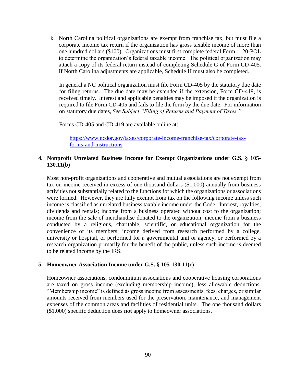k. North Carolina political organizations are exempt from franchise tax, but must file a corporate income tax return if the organization has gross taxable income of more than one hundred dollars (\$100). Organizations must first complete federal Form 1120-POL to determine the organization's federal taxable income. The political organization may attach a copy of its federal return instead of completing Schedule G of Form CD-405. If North Carolina adjustments are applicable, Schedule H must also be completed.

In general a NC political organization must file Form CD-405 by the statutory due date for filing returns. The due date may be extended if the extension, Form CD-419, is received timely. Interest and applicable penalties may be imposed if the organization is required to file Form CD-405 and fails to file the form by the due date. For information on statutory due dates, *See Subject "Filing of Returns and Payment of Taxes."*

Forms CD-405 and CD-419 are available online at:

[https://www.ncdor.gov/taxes/corporate-income-franchise-tax/corporate-tax](https://www.ncdor.gov/taxes/corporate-income-franchise-tax/corporate-tax-forms-and-instructions)[forms-and-instructions](https://www.ncdor.gov/taxes/corporate-income-franchise-tax/corporate-tax-forms-and-instructions)

### **4. Nonprofit Unrelated Business Income for Exempt Organizations under G.S. § 105- 130.11(b)**

Most non-profit organizations and cooperative and mutual associations are not exempt from tax on income received in excess of one thousand dollars (\$1,000) annually from business activities not substantially related to the functions for which the organizations or associations were formed. However, they are fully exempt from tax on the following income unless such income is classified as unrelated business taxable income under the Code: Interest, royalties, dividends and rentals; income from a business operated without cost to the organization; income from the sale of merchandise donated to the organization; income from a business conducted by a religious, charitable, scientific, or educational organization for the convenience of its members; income derived from research performed by a college, university or hospital, or performed for a governmental unit or agency, or performed by a research organization primarily for the benefit of the public, unless such income is deemed to be related income by the IRS.

#### **5. Homeowner Association Income under G.S. § 105-130.11(c)**

Homeowner associations, condominium associations and cooperative housing corporations are taxed on gross income (excluding membership income), less allowable deductions. "Membership income" is defined as gross income from assessments, fees, charges, or similar amounts received from members used for the preservation, maintenance, and management expenses of the common areas and facilities of residential units. The one thousand dollars (\$1,000) specific deduction does **not** apply to homeowner associations.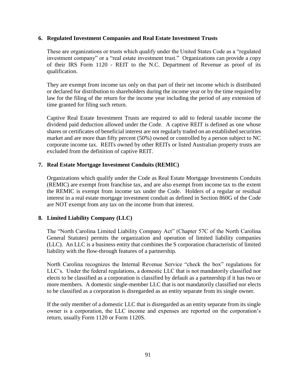#### **6. Regulated Investment Companies and Real Estate Investment Trusts**

These are organizations or trusts which qualify under the United States Code as a "regulated investment company" or a "real estate investment trust." Organizations can provide a copy of their IRS Form 1120 - REIT to the N.C. Department of Revenue as proof of its qualification.

They are exempt from income tax only on that part of their net income which is distributed or declared for distribution to shareholders during the income year or by the time required by law for the filing of the return for the income year including the period of any extension of time granted for filing such return.

Captive Real Estate Investment Trusts are required to add to federal taxable income the dividend paid deduction allowed under the Code. A captive REIT is defined as one whose shares or certificates of beneficial interest are not regularly traded on an established securities market and are more than fifty percent (50%) owned or controlled by a person subject to NC corporate income tax. REITs owned by other REITs or listed Australian property trusts are excluded from the definition of captive REIT.

# **7. Real Estate Mortgage Investment Conduits (REMIC)**

Organizations which qualify under the Code as Real Estate Mortgage Investments Conduits (REMIC) are exempt from franchise tax, and are also exempt from income tax to the extent the REMIC is exempt from income tax under the Code. Holders of a regular or residual interest in a real estate mortgage investment conduit as defined in Section 860G of the Code are NOT exempt from any tax on the income from that interest.

# **8. Limited Liability Company (LLC)**

The "North Carolina Limited Liability Company Act" (Chapter 57C of the North Carolina General Statutes) permits the organization and operation of limited liability companies (LLC). An LLC is a business entity that combines the S corporation characteristic of limited liability with the flow-through features of a partnership.

North Carolina recognizes the Internal Revenue Service "check the box" regulations for LLC's. Under the federal regulations, a domestic LLC that is not mandatorily classified nor elects to be classified as a corporation is classified by default as a partnership if it has two or more members. A domestic single-member LLC that is not mandatorily classified nor elects to be classified as a corporation is disregarded as an entity separate from its single owner.

If the only member of a domestic LLC that is disregarded as an entity separate from its single owner is a corporation, the LLC income and expenses are reported on the corporation's return, usually Form 1120 or Form 1120S.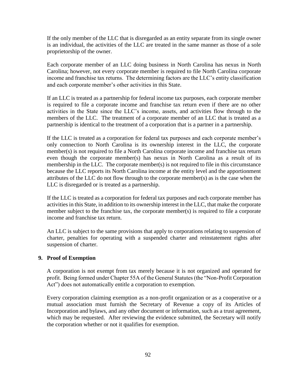If the only member of the LLC that is disregarded as an entity separate from its single owner is an individual, the activities of the LLC are treated in the same manner as those of a sole proprietorship of the owner.

Each corporate member of an LLC doing business in North Carolina has nexus in North Carolina; however, not every corporate member is required to file North Carolina corporate income and franchise tax returns. The determining factors are the LLC's entity classification and each corporate member's other activities in this State.

If an LLC is treated as a partnership for federal income tax purposes, each corporate member is required to file a corporate income and franchise tax return even if there are no other activities in the State since the LLC's income, assets, and activities flow through to the members of the LLC. The treatment of a corporate member of an LLC that is treated as a partnership is identical to the treatment of a corporation that is a partner in a partnership.

If the LLC is treated as a corporation for federal tax purposes and each corporate member's only connection to North Carolina is its ownership interest in the LLC, the corporate member(s) is not required to file a North Carolina corporate income and franchise tax return even though the corporate member(s) has nexus in North Carolina as a result of its membership in the LLC. The corporate member(s) is not required to file in this circumstance because the LLC reports its North Carolina income at the entity level and the apportionment attributes of the LLC do not flow through to the corporate member(s) as is the case when the LLC is disregarded or is treated as a partnership.

If the LLC is treated as a corporation for federal tax purposes and each corporate member has activities in this State, in addition to its ownership interest in the LLC, that make the corporate member subject to the franchise tax, the corporate member(s) is required to file a corporate income and franchise tax return.

An LLC is subject to the same provisions that apply to corporations relating to suspension of charter, penalties for operating with a suspended charter and reinstatement rights after suspension of charter.

#### **9. Proof of Exemption**

A corporation is not exempt from tax merely because it is not organized and operated for profit. Being formed under Chapter 55A of the General Statutes (the "Non-Profit Corporation Act") does not automatically entitle a corporation to exemption.

Every corporation claiming exemption as a non-profit organization or as a cooperative or a mutual association must furnish the Secretary of Revenue a copy of its Articles of Incorporation and bylaws, and any other document or information, such as a trust agreement, which may be requested. After reviewing the evidence submitted, the Secretary will notify the corporation whether or not it qualifies for exemption.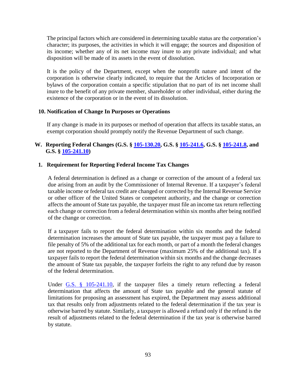The principal factors which are considered in determining taxable status are the corporation's character; its purposes, the activities in which it will engage; the sources and disposition of its income; whether any of its net income may inure to any private individual; and what disposition will be made of its assets in the event of dissolution.

It is the policy of the Department, except when the nonprofit nature and intent of the corporation is otherwise clearly indicated, to require that the Articles of Incorporation or bylaws of the corporation contain a specific stipulation that no part of its net income shall inure to the benefit of any private member, shareholder or other individual, either during the existence of the corporation or in the event of its dissolution.

# **10. Notification of Change In Purposes or Operations**

If any change is made in its purposes or method of operation that affects its taxable status, an exempt corporation should promptly notify the Revenue Department of such change.

# **W. Reporting Federal Changes (G.S. § [105-130.20,](http://www.ncga.state.nc.us/EnactedLegislation/Statutes/HTML/BySection/Chapter_105/GS_105-130.20.html) G.S. § [105-241.6,](http://www.ncga.state.nc.us/EnactedLegislation/Statutes/HTML/BySection/Chapter_105/GS_105-241.6.html) G.S. § [105-241.8,](http://www.ncga.state.nc.us/EnactedLegislation/Statutes/HTML/BySection/Chapter_105/GS_105-241.8.html) and G.S. § [105-241.10\)](http://www.ncga.state.nc.us/EnactedLegislation/Statutes/HTML/BySection/Chapter_105/GS_105-241.10.html)**

# **1. Requirement for Reporting Federal Income Tax Changes**

A federal determination is defined as a change or correction of the amount of a federal tax due arising from an audit by the Commissioner of Internal Revenue. If a taxpayer's federal taxable income or federal tax credit are changed or corrected by the Internal Revenue Service or other officer of the United States or competent authority, and the change or correction affects the amount of State tax payable, the taxpayer must file an income tax return reflecting each change or correction from a federal determination within six months after being notified of the change or correction.

If a taxpayer fails to report the federal determination within six months and the federal determination increases the amount of State tax payable, the taxpayer must pay a failure to file penalty of 5% of the additional tax for each month, or part of a month the federal changes are not reported to the Department of Revenue (maximum 25% of the additional tax). If a taxpayer fails to report the federal determination within six months and the change decreases the amount of State tax payable, the taxpayer forfeits the right to any refund due by reason of the federal determination.

Under [G.S. § 105-241.10,](http://www.ncga.state.nc.us/gascripts/statutes/statutelookup.pl?statute=105-241.10) if the taxpayer files a timely return reflecting a federal determination that affects the amount of State tax payable and the general statute of limitations for proposing an assessment has expired, the Department may assess additional tax that results only from adjustments related to the federal determination if the tax year is otherwise barred by statute. Similarly, a taxpayer is allowed a refund only if the refund is the result of adjustments related to the federal determination if the tax year is otherwise barred by statute.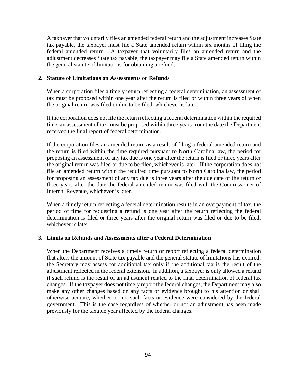A taxpayer that voluntarily files an amended federal return and the adjustment increases State tax payable, the taxpayer must file a State amended return within six months of filing the federal amended return. A taxpayer that voluntarily files an amended return and the adjustment decreases State tax payable, the taxpayer may file a State amended return within the general statute of limitations for obtaining a refund.

#### **2. Statute of Limitations on Assessments or Refunds**

When a corporation files a timely return reflecting a federal determination, an assessment of tax must be proposed within one year after the return is filed or within three years of when the original return was filed or due to be filed, whichever is later.

If the corporation does not file the return reflecting a federal determination within the required time, an assessment of tax must be proposed within three years from the date the Department received the final report of federal determination.

If the corporation files an amended return as a result of filing a federal amended return and the return is filed within the time required pursuant to North Carolina law, the period for proposing an assessment of any tax due is one year after the return is filed or three years after the original return was filed or due to be filed, whichever is later. If the corporation does not file an amended return within the required time pursuant to North Carolina law, the period for proposing an assessment of any tax due is three years after the due date of the return or three years after the date the federal amended return was filed with the Commissioner of Internal Revenue, whichever is later.

When a timely return reflecting a federal determination results in an overpayment of tax, the period of time for requesting a refund is one year after the return reflecting the federal determination is filed or three years after the original return was filed or due to be filed, whichever is later.

#### **3. Limits on Refunds and Assessments after a Federal Determination**

When the Department receives a timely return or report reflecting a federal determination that alters the amount of State tax payable and the general statute of limitations has expired, the Secretary may assess for additional tax only if the additional tax is the result of the adjustment reflected in the federal extension. In addition, a taxpayer is only allowed a refund if such refund is the result of an adjustment related to the final determination of federal tax changes. If the taxpayer does not timely report the federal changes, the Department may also make any other changes based on any facts or evidence brought to his attention or shall otherwise acquire, whether or not such facts or evidence were considered by the federal government. This is the case regardless of whether or not an adjustment has been made previously for the taxable year affected by the federal changes.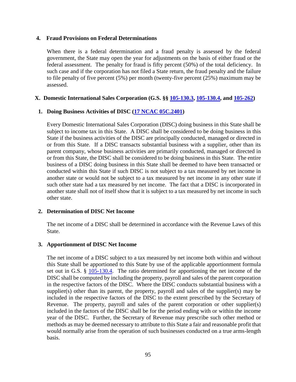#### **4. Fraud Provisions on Federal Determinations**

When there is a federal determination and a fraud penalty is assessed by the federal government, the State may open the year for adjustments on the basis of either fraud or the federal assessment. The penalty for fraud is fifty percent (50%) of the total deficiency. In such case and if the corporation has not filed a State return, the fraud penalty and the failure to file penalty of five percent (5%) per month (twenty-five percent (25%) maximum may be assessed.

#### **X. Domestic International Sales Corporation (G.S. §§ [105-130.3,](http://www.ncga.state.nc.us/EnactedLegislation/Statutes/HTML/BySection/Chapter_105/GS_105-130.3.html) [105-130.4,](http://www.ncga.state.nc.us/EnactedLegislation/Statutes/HTML/BySection/Chapter_105/GS_105-130.4.html) and [105-262\)](http://www.ncga.state.nc.us/EnactedLegislation/Statutes/HTML/BySection/Chapter_105/GS_105-262.html)**

# **1. Doing Business Activities of DISC [\(17 NCAC 05C.2401\)](http://reports.oah.state.nc.us/ncac/title%2017%20-%20revenue/chapter%2005%20-%20corporate%20franchise,%20income,%20and%20insurance%20taxes/subchapter%20c/17%20ncac%2005c%20.2401.pdf)**

Every Domestic International Sales Corporation (DISC) doing business in this State shall be subject to income tax in this State. A DISC shall be considered to be doing business in this State if the business activities of the DISC are principally conducted, managed or directed in or from this State. If a DISC transacts substantial business with a supplier, other than its parent company, whose business activities are primarily conducted, managed or directed in or from this State, the DISC shall be considered to be doing business in this State. The entire business of a DISC doing business in this State shall be deemed to have been transacted or conducted within this State if such DISC is not subject to a tax measured by net income in another state or would not be subject to a tax measured by net income in any other state if such other state had a tax measured by net income. The fact that a DISC is incorporated in another state shall not of itself show that it is subject to a tax measured by net income in such other state.

#### **2. Determination of DISC Net Income**

The net income of a DISC shall be determined in accordance with the Revenue Laws of this State.

#### **3. Apportionment of DISC Net Income**

The net income of a DISC subject to a tax measured by net income both within and without this State shall be apportioned to this State by use of the applicable apportionment formula set out in G.S. § [105-130.4.](http://www.ncga.state.nc.us/EnactedLegislation/Statutes/HTML/BySection/Chapter_105/GS_105-130.4.html) The ratio determined for apportioning the net income of the DISC shall be computed by including the property, payroll and sales of the parent corporation in the respective factors of the DISC. Where the DISC conducts substantial business with a supplier(s) other than its parent, the property, payroll and sales of the supplier(s) may be included in the respective factors of the DISC to the extent prescribed by the Secretary of Revenue. The property, payroll and sales of the parent corporation or other supplier(s) included in the factors of the DISC shall be for the period ending with or within the income year of the DISC. Further, the Secretary of Revenue may prescribe such other method or methods as may be deemed necessary to attribute to this State a fair and reasonable profit that would normally arise from the operation of such businesses conducted on a true arms-length basis.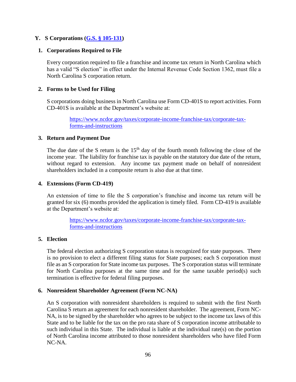# **Y. S Corporations [\(G.S. § 105-131\)](https://www.ncleg.net/enactedlegislation/statutes/html/bysection/chapter_105/gs_105-131.html)**

#### **1. Corporations Required to File**

Every corporation required to file a franchise and income tax return in North Carolina which has a valid "S election" in effect under the Internal Revenue Code Section 1362, must file a North Carolina S corporation return.

### **2. Forms to be Used for Filing**

S corporations doing business in North Carolina use Form CD-401S to report activities. Form CD-401S is available at the Department's website at:

> [https://www.ncdor.gov/taxes/corporate-income-franchise-tax/corporate-tax](https://www.ncdor.gov/taxes/corporate-income-franchise-tax/corporate-tax-forms-and-instructions)[forms-and-instructions](https://www.ncdor.gov/taxes/corporate-income-franchise-tax/corporate-tax-forms-and-instructions)

#### **3. Return and Payment Due**

The due date of the S return is the  $15<sup>th</sup>$  day of the fourth month following the close of the income year. The liability for franchise tax is payable on the statutory due date of the return, without regard to extension. Any income tax payment made on behalf of nonresident shareholders included in a composite return is also due at that time.

#### **4. Extensions (Form CD-419)**

An extension of time to file the S corporation's franchise and income tax return will be granted for six (6) months provided the application is timely filed. Form CD-419 is available at the Department's website at:

> [https://www.ncdor.gov/taxes/corporate-income-franchise-tax/corporate-tax](https://www.ncdor.gov/taxes/corporate-income-franchise-tax/corporate-tax-forms-and-instructions)[forms-and-instructions](https://www.ncdor.gov/taxes/corporate-income-franchise-tax/corporate-tax-forms-and-instructions)

#### **5. Election**

The federal election authorizing S corporation status is recognized for state purposes. There is no provision to elect a different filing status for State purposes; each S corporation must file as an S corporation for State income tax purposes. The S corporation status will terminate for North Carolina purposes at the same time and for the same taxable period(s) such termination is effective for federal filing purposes.

#### **6. Nonresident Shareholder Agreement (Form NC-NA)**

An S corporation with nonresident shareholders is required to submit with the first North Carolina S return an agreement for each nonresident shareholder. The agreement, Form NC-NA, is to be signed by the shareholder who agrees to be subject to the income tax laws of this State and to be liable for the tax on the pro rata share of S corporation income attributable to such individual in this State. The individual is liable at the individual rate(s) on the portion of North Carolina income attributed to those nonresident shareholders who have filed Form NC-NA.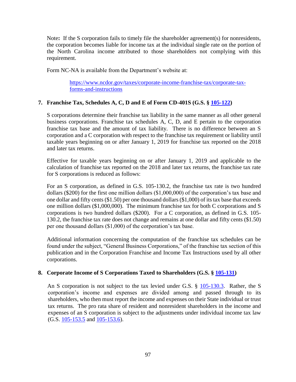Note**:** If the S corporation fails to timely file the shareholder agreement(s) for nonresidents, the corporation becomes liable for income tax at the individual single rate on the portion of the North Carolina income attributed to those shareholders not complying with this requirement.

Form NC-NA is available from the Department's website at:

[https://www.ncdor.gov/taxes/corporate-income-franchise-tax/corporate-tax](https://www.ncdor.gov/taxes/corporate-income-franchise-tax/corporate-tax-forms-and-instructions)[forms-and-instructions](https://www.ncdor.gov/taxes/corporate-income-franchise-tax/corporate-tax-forms-and-instructions)

# **7. Franchise Tax, Schedules A, C, D and E of Form CD-401S (G.S. § [105-122\)](http://www.ncga.state.nc.us/EnactedLegislation/Statutes/HTML/BySection/Chapter_105/GS_105-122.html)**

S corporations determine their franchise tax liability in the same manner as all other general business corporations. Franchise tax schedules A, C, D, and E pertain to the corporation franchise tax base and the amount of tax liability. There is no difference between an S corporation and a C corporation with respect to the franchise tax requirement or liability until taxable years beginning on or after January 1, 2019 for franchise tax reported on the 2018 and later tax returns.

Effective for taxable years beginning on or after January 1, 2019 and applicable to the calculation of franchise tax reported on the 2018 and later tax returns, the franchise tax rate for S corporations is reduced as follows:

For an S corporation, as defined in G.S. 105-130.2, the franchise tax rate is two hundred dollars (\$200) for the first one million dollars (\$1,000,000) of the corporation's tax base and one dollar and fifty cents (\$1.50) per one thousand dollars (\$1,000) of its tax base that exceeds one million dollars (\$1,000,000). The minimum franchise tax for both C corporations and S corporations is two hundred dollars (\$200). For a C corporation, as defined in G.S. 105- 130.2, the franchise tax rate does not change and remains at one dollar and fifty cents (\$1.50) per one thousand dollars (\$1,000) of the corporation's tax base.

Additional information concerning the computation of the franchise tax schedules can be found under the subject, "General Business Corporations," of the franchise tax section of this publication and in the Corporation Franchise and Income Tax Instructions used by all other corporations.

#### **8. Corporate Income of S Corporations Taxed to Shareholders (G.S. § [105-131\)](http://www.ncga.state.nc.us/EnactedLegislation/Statutes/HTML/BySection/Chapter_105/GS_105-131.html)**

An S corporation is not subject to the tax levied under G.S. § [105-130.3.](http://www.ncga.state.nc.us/EnactedLegislation/Statutes/HTML/BySection/Chapter_105/GS_105-130.3.html) Rather, the S corporation's income and expenses are divided among and passed through to its shareholders, who then must report the income and expenses on their State individual or trust tax returns. The pro rata share of resident and nonresident shareholders in the income and expenses of an S corporation is subject to the adjustments under individual income tax law (G.S. [105-153.5](http://www.ncga.state.nc.us/EnactedLegislation/Statutes/HTML/BySection/Chapter_105/GS_105-153.5.html) and [105-153.6\)](http://www.ncga.state.nc.us/EnactedLegislation/Statutes/HTML/BySection/Chapter_105/GS_105-153.6.html).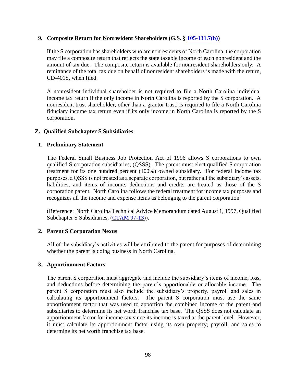#### **9. Composite Return for Nonresident Shareholders (G.S. § [105-131.7\(b\)\)](http://www.ncga.state.nc.us/EnactedLegislation/Statutes/HTML/BySection/Chapter_105/GS_105-131.7.html)**

If the S corporation has shareholders who are nonresidents of North Carolina, the corporation may file a composite return that reflects the state taxable income of each nonresident and the amount of tax due. The composite return is available for nonresident shareholders only. A remittance of the total tax due on behalf of nonresident shareholders is made with the return, CD-401S, when filed.

A nonresident individual shareholder is not required to file a North Carolina individual income tax return if the only income in North Carolina is reported by the S corporation. A nonresident trust shareholder, other than a grantor trust, is required to file a North Carolina fiduciary income tax return even if its only income in North Carolina is reported by the S corporation.

# **Z. Qualified Subchapter S Subsidiaries**

# **1. Preliminary Statement**

The Federal Small Business Job Protection Act of 1996 allows S corporations to own qualified S corporation subsidiaries, (QSSS). The parent must elect qualified S corporation treatment for its one hundred percent (100%) owned subsidiary. For federal income tax purposes, a QSSS is not treated as a separate corporation, but rather all the subsidiary's assets, liabilities, and items of income, deductions and credits are treated as those of the S corporation parent*.* North Carolina follows the federal treatment for income tax purposes and recognizes all the income and expense items as belonging to the parent corporation.

(Reference: North Carolina Technical Advice Memorandum dated August 1, 1997, Qualified Subchapter S Subsidiaries, [\(CTAM 97-13\)](http://www.dornc.com/practitioner/corporate/directives/ctam-97-13.html)).

#### **2. Parent S Corporation Nexus**

All of the subsidiary's activities will be attributed to the parent for purposes of determining whether the parent is doing business in North Carolina.

# **3. Apportionment Factors**

The parent S corporation must aggregate and include the subsidiary's items of income, loss, and deductions before determining the parent's apportionable or allocable income. The parent S corporation must also include the subsidiary's property, payroll and sales in calculating its apportionment factors. The parent S corporation must use the same apportionment factor that was used to apportion the combined income of the parent and subsidiaries to determine its net worth franchise tax base. The QSSS does not calculate an apportionment factor for income tax since its income is taxed at the parent level. However, it must calculate its apportionment factor using its own property, payroll, and sales to determine its net worth franchise tax base.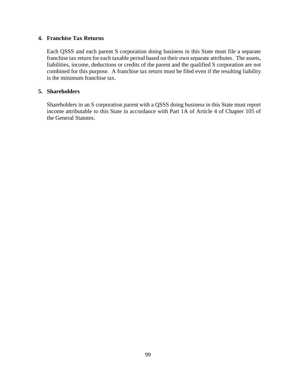# **4. Franchise Tax Returns**

Each QSSS and each parent S corporation doing business in this State must file a separate franchise tax return for each taxable period based on their own separate attributes. The assets, liabilities, income, deductions or credits of the parent and the qualified S corporation are not combined for this purpose. A franchise tax return must be filed even if the resulting liability is the minimum franchise tax.

# **5. Shareholders**

Shareholders in an S corporation parent with a QSSS doing business in this State must report income attributable to this State in accordance with Part 1A of Article 4 of Chapter 105 of the General Statutes.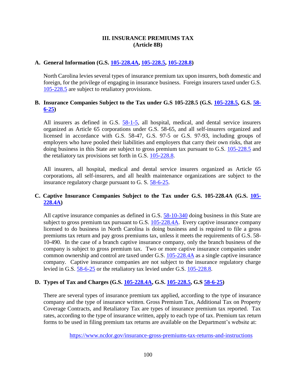# **III. INSURANCE PREMIUMS TAX (Article 8B)**

# **A. General Information (G.S. [105-228.4A,](http://www.ncga.state.nc.us/EnactedLegislation/Statutes/PDF/BySection/Chapter_105/GS_105-228.4A.pdf) [105-228.5,](http://www.ncga.state.nc.us/EnactedLegislation/Statutes/PDF/BySection/Chapter_105/GS_105-228.5.pdf) [105-228.8\)](http://www.ncga.state.nc.us/EnactedLegislation/Statutes/PDF/BySection/Chapter_105/GS_105-228.8.pdf)**

North Carolina levies several types of insurance premium tax upon insurers, both domestic and foreign, for the privilege of engaging in insurance business. Foreign insurers taxed under G.S. [105-228.5](http://www.ncga.state.nc.us/EnactedLegislation/Statutes/HTML/BySection/Chapter_105/GS_105-228.5.html) are subject to retaliatory provisions.

# **B. Insurance Companies Subject to the Tax under G.S 105-228.5 (G.S. [105-228.5,](http://www.ncga.state.nc.us/EnactedLegislation/Statutes/PDF/BySection/Chapter_105/GS_105-228.5.pdf) G.S. [58-](http://www.ncga.state.nc.us/EnactedLegislation/Statutes/HTML/BySection/Chapter_58/GS_58-6-25.html) [6-25\)](http://www.ncga.state.nc.us/EnactedLegislation/Statutes/HTML/BySection/Chapter_58/GS_58-6-25.html)**

All insurers as defined in G.S.  $\frac{58-1-5}{5}$ , all hospital, medical, and dental service insurers organized as Article 65 corporations under G.S. 58-65, and all self-insurers organized and licensed in accordance with G.S. 58-47, G.S. 97-5 or G.S. 97-93, including groups of employers who have pooled their liabilities and employers that carry their own risks, that are doing business in this State are subject to gross premium tax pursuant to G.S. [105-228.5](http://www.ncga.state.nc.us/EnactedLegislation/Statutes/HTML/BySection/Chapter_105/GS_105-228.5.html) and the retaliatory tax provisions set forth in G.S. [105-228.8.](http://www.ncga.state.nc.us/EnactedLegislation/Statutes/HTML/BySection/Chapter_105/GS_105-228.8.html)

All insurers, all hospital, medical and dental service insurers organized as Article 65 corporations, all self-insurers, and all health maintenance organizations are subject to the insurance regulatory charge pursuant to G. S. [58-6-25.](http://www.ncga.state.nc.us/EnactedLegislation/Statutes/HTML/BySection/Chapter_58/GS_58-6-25.html)

# **C. Captive Insurance Companies Subject to the Tax under G.S. 105-228.4A (G.S. [105-](http://www.ncga.state.nc.us/EnactedLegislation/Statutes/HTML/BySection/Chapter_105/GS_105-228.4A.html) [228.4A\)](http://www.ncga.state.nc.us/EnactedLegislation/Statutes/HTML/BySection/Chapter_105/GS_105-228.4A.html)**

All captive insurance companies as defined in G.S. [58-10-340](http://www.ncga.state.nc.us/EnactedLegislation/Statutes/HTML/BySection/Chapter_58/GS_58-10-340.html) doing business in this State are subject to gross premium tax pursuant to G.S.  $105-228.4A$ . Every captive insurance company licensed to do business in North Carolina is doing business and is required to file a gross premiums tax return and pay gross premiums tax, unless it meets the requirements of G.S. 58- 10-490. In the case of a branch captive insurance company, only the branch business of the company is subject to gross premium tax. Two or more captive insurance companies under common ownership and control are taxed under G.S. [105-228.4A](http://www.ncga.state.nc.us/EnactedLegislation/Statutes/HTML/BySection/Chapter_105/GS_105-228.4A.html) as a single captive insurance company. Captive insurance companies are not subject to the insurance regulatory charge levied in G.S. [58-6-25](http://www.ncga.state.nc.us/EnactedLegislation/Statutes/HTML/BySection/Chapter_58/GS_58-6-25.html) or the retaliatory tax levied under G.S. [105-228.8.](http://www.ncga.state.nc.us/EnactedLegislation/Statutes/HTML/BySection/Chapter_105/GS_105-228.8.html)

# **D. Types of Tax and Charges (G.S. [105-228.4A,](http://www.ncga.state.nc.us/EnactedLegislation/Statutes/HTML/BySection/Chapter_105/GS_105-228.4A.html) G.S. [105-228.5,](http://www.ncga.state.nc.us/EnactedLegislation/Statutes/PDF/BySection/Chapter_105/GS_105-228.5.pdf) G.S [58-6-25\)](http://www.ncga.state.nc.us/EnactedLegislation/Statutes/HTML/BySection/Chapter_58/GS_58-6-25.html)**

There are several types of insurance premium tax applied, according to the type of insurance company and the type of insurance written. Gross Premium Tax, Additional Tax on Property Coverage Contracts, and Retaliatory Tax are types of insurance premium tax reported. Tax rates, according to the type of insurance written, apply to each type of tax. Premium tax return forms to be used in filing premium tax returns are available on the Department's website at:

<https://www.ncdor.gov/insurance-gross-premiums-tax-returns-and-instructions>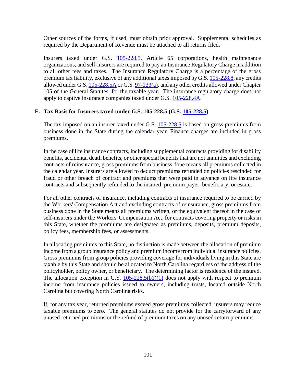Other sources of the forms, if used, must obtain prior approval. Supplemental schedules as required by the Department of Revenue must be attached to all returns filed.

Insurers taxed under G.S. [105-228.5,](http://www.ncga.state.nc.us/EnactedLegislation/Statutes/PDF/BySection/Chapter_105/GS_105-228.5.pdf) Article 65 corporations, health maintenance organizations, and self-insurers are required to pay an Insurance Regulatory Charge in addition to all other fees and taxes. The Insurance Regulatory Charge is a percentage of the gross premium tax liability, exclusive of any additional taxes imposed by G.S. [105-228.8,](http://www.ncga.state.nc.us/EnactedLegislation/Statutes/PDF/BySection/Chapter_105/GS_105-228.8.pdf) any credits allowed under G.S[. 105-228.5A](http://www.ncga.state.nc.us/EnactedLegislation/Statutes/HTML/BySection/Chapter_105/GS_105-228.5A.html) or G.S. [97-133\(a\),](http://www.ncga.state.nc.us/EnactedLegislation/Statutes/HTML/BySection/Chapter_97/GS_97-133.html) and any other credits allowed under Chapter 105 of the General Statutes, for the taxable year. The insurance regulatory charge does not apply to captive insurance companies taxed under G.S. [105-228.4A.](http://www.ncga.state.nc.us/EnactedLegislation/Statutes/HTML/BySection/Chapter_105/GS_105-228.4A.html)

# **E. Tax Basis for Insurers taxed under G.S. 105-228.5 (G.S. [105-228.5\)](http://www.ncga.state.nc.us/EnactedLegislation/Statutes/PDF/BySection/Chapter_105/GS_105-228.5.pdf)**

The tax imposed on an insurer taxed under G.S.  $105-228.5$  is based on gross premiums from business done in the State during the calendar year. Finance charges are included in gross premiums.

In the case of life insurance contracts, including supplemental contracts providing for disability benefits, accidental death benefits, or other special benefits that are not annuities and excluding contracts of reinsurance, gross premiums from business done means all premiums collected in the calendar year. Insurers are allowed to deduct premiums refunded on policies rescinded for fraud or other breach of contract and premiums that were paid in advance on life insurance contracts and subsequently refunded to the insured, premium payer, beneficiary, or estate.

For all other contracts of insurance, including contracts of insurance required to be carried by the Workers' Compensation Act and excluding contracts of reinsurance, gross premiums from business done in the State means all premiums written, or the equivalent thereof in the case of self-insurers under the Workers' Compensation Act, for contracts covering property or risks in this State, whether the premiums are designated as premiums, deposits, premium deposits, policy fees, membership fees, or assessments.

In allocating premiums to this State, no distinction is made between the allocation of premium income from a group insurance policy and premium income from individual insurance policies. Gross premiums from group policies providing coverage for individuals living in this State are taxable by this State and should be allocated to North Carolina regardless of the address of the policyholder, policy owner, or beneficiary. The determining factor is residence of the insured. The allocation exception in G.S.  $105-228.5(b1)(1)$  does not apply with respect to premium income from insurance policies issued to owners, including trusts, located outside North Carolina but covering North Carolina risks.

If, for any tax year, returned premiums exceed gross premiums collected, insurers may reduce taxable premiums to zero. The general statutes do not provide for the carryforward of any unused returned premiums or the refund of premium taxes on any unused return premiums.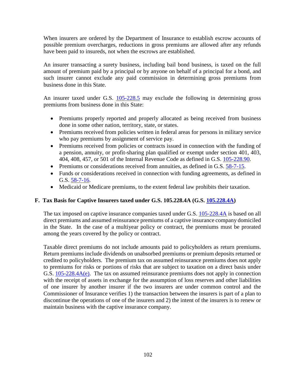When insurers are ordered by the Department of Insurance to establish escrow accounts of possible premium overcharges, reductions in gross premiums are allowed after any refunds have been paid to insureds, not when the escrows are established.

An insurer transacting a surety business, including bail bond business, is taxed on the full amount of premium paid by a principal or by anyone on behalf of a principal for a bond, and such insurer cannot exclude any paid commission in determining gross premiums from business done in this State.

An insurer taxed under G.S. [105-228.5](http://www.ncga.state.nc.us/EnactedLegislation/Statutes/HTML/BySection/Chapter_105/GS_105-228.5.html) may exclude the following in determining gross premiums from business done in this State:

- Premiums properly reported and properly allocated as being received from business done in some other nation, territory, state, or states.
- Premiums received from policies written in federal areas for persons in military service who pay premiums by assignment of service pay.
- Premiums received from policies or contracts issued in connection with the funding of a pension, annuity, or profit-sharing plan qualified or exempt under section 401, 403, 404, 408, 457, or 501 of the Internal Revenue Code as defined in G.S. [105-228.90.](http://www.ncga.state.nc.us/EnactedLegislation/Statutes/HTML/BySection/Chapter_105/GS_105-228.90.html)
- Premiums or considerations received from annuities, as defined in G.S. [58-7-15.](http://www.ncga.state.nc.us/EnactedLegislation/Statutes/HTML/BySection/Chapter_58/GS_58-7-15.html)
- Funds or considerations received in connection with funding agreements, as defined in G.S. [58-7-16.](http://www.ncga.state.nc.us/EnactedLegislation/Statutes/HTML/BySection/Chapter_58/GS_58-7-16.html)
- Medicaid or Medicare premiums, to the extent federal law prohibits their taxation.

# **F. Tax Basis for Captive Insurers taxed under G.S. 105.228.4A (G.S. [105.228.4A\)](http://www.ncga.state.nc.us/EnactedLegislation/Statutes/HTML/BySection/Chapter_105/GS_105-228.4A.html)**

The tax imposed on captive insurance companies taxed under G.S.  $105-228.4A$  is based on all direct premiums and assumed reinsurance premiums of a captive insurance company domiciled in the State. In the case of a multiyear policy or contract, the premiums must be prorated among the years covered by the policy or contract.

Taxable direct premiums do not include amounts paid to policyholders as return premiums. Return premiums include dividends on unabsorbed premiums or premium deposits returned or credited to policyholders. The premium tax on assumed reinsurance premiums does not apply to premiums for risks or portions of risks that are subject to taxation on a direct basis under G.S. [105-228.4A\(e\).](http://www.ncga.state.nc.us/EnactedLegislation/Statutes/HTML/BySection/Chapter_105/GS_105-228.4A.html) The tax on assumed reinsurance premiums does not apply in connection with the receipt of assets in exchange for the assumption of loss reserves and other liabilities of one insurer by another insurer if the two insurers are under common control and the Commissioner of Insurance verifies 1) the transaction between the insurers is part of a plan to discontinue the operations of one of the insurers and 2) the intent of the insurers is to renew or maintain business with the captive insurance company.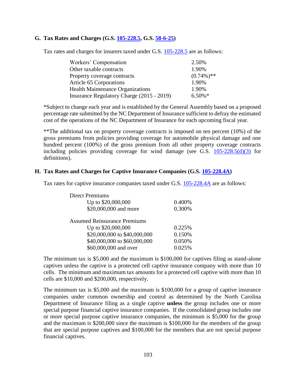# **G. Tax Rates and Charges (G.S. [105-228.5,](http://www.ncga.state.nc.us/EnactedLegislation/Statutes/PDF/BySection/Chapter_105/GS_105-228.5.pdf) G.S. [58-6-25\)](http://www.ncga.state.nc.us/EnactedLegislation/Statutes/HTML/BySection/Chapter_58/GS_58-6-25.html)**

Tax rates and charges for insurers taxed under G.S. [105-228.5](http://www.ncga.state.nc.us/EnactedLegislation/Statutes/HTML/BySection/Chapter_105/GS_105-228.5.html) are as follows:

| Workers' Compensation                     | 2.50%         |
|-------------------------------------------|---------------|
| Other taxable contracts                   | 1.90%         |
| Property coverage contracts               | $(0.74\%)$ ** |
| <b>Article 65 Corporations</b>            | 1.90%         |
| <b>Health Maintenance Organizations</b>   | 1.90%         |
| Insurance Regulatory Charge (2015 - 2019) | $6.50\%$ *    |

\*Subject to change each year and is established by the General Assembly based on a proposed percentage rate submitted by the NC Department of Insurance sufficient to defray the estimated cost of the operations of the NC Department of Insurance for each upcoming fiscal year.

\*\*The additional tax on property coverage contracts is imposed on ten percent (10%) of the gross premiums from policies providing coverage for automobile physical damage and one hundred percent (100%) of the gross premium from all other property coverage contracts including policies providing coverage for wind damage (see G.S.  $105-228.5(d)(3)$  for definitions).

#### **H. Tax Rates and Charges for Captive Insurance Companies (G.S. [105-228.4A\)](http://www.ncga.state.nc.us/EnactedLegislation/Statutes/HTML/BySection/Chapter_105/GS_105-228.4A.html)**

Tax rates for captive insurance companies taxed under G.S. [105-228.4A](http://www.ncga.state.nc.us/EnactedLegislation/Statutes/HTML/BySection/Chapter_105/GS_105-228.4A.html) are as follows:

| <b>Direct Premiums</b>              |        |
|-------------------------------------|--------|
| Up to \$20,000,000                  | 0.400% |
| \$20,000,000 and more               | 0.300% |
| <b>Assumed Reinsurance Premiums</b> |        |
| Up to \$20,000,000                  | 0.225% |
| \$20,000,000 to \$40,000,000        | 0.150% |
| \$40,000,000 to \$60,000,000        | 0.050% |
| \$60,000,000 and over               | 0.025% |

The minimum tax is \$5,000 and the maximum is \$100,000 for captives filing as stand-alone captives unless the captive is a protected cell captive insurance company with more than 10 cells. The minimum and maximum tax amounts for a protected cell captive with more than 10 cells are \$10,000 and \$200,000, respectively.

The minimum tax is \$5,000 and the maximum is \$100,000 for a group of captive insurance companies under common ownership and control as determined by the North Carolina Department of Insurance filing as a single captive **unless** the group includes one or more special purpose financial captive insurance companies. If the consolidated group includes one or more special purpose captive insurance companies, the minimum is \$5,000 for the group and the maximum is \$200,000 since the maximum is \$100,000 for the members of the group that are special purpose captives and \$100,000 for the members that are not special purpose financial captives.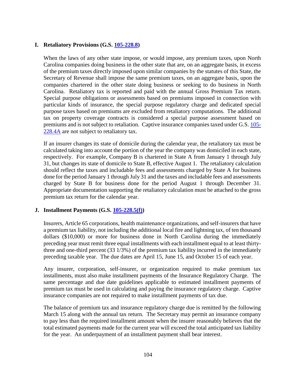# **I. Retaliatory Provisions (G.S. [105-228.8\)](http://www.ncga.state.nc.us/EnactedLegislation/Statutes/PDF/BySection/Chapter_105/GS_105-228.8.pdf)**

When the laws of any other state impose, or would impose, any premium taxes, upon North Carolina companies doing business in the other state that are, on an aggregate basis, in excess of the premium taxes directly imposed upon similar companies by the statutes of this State, the Secretary of Revenue shall impose the same premium taxes, on an aggregate basis, upon the companies chartered in the other state doing business or seeking to do business in North Carolina. Retaliatory tax is reported and paid with the annual Gross Premium Tax return. Special purpose obligations or assessments based on premiums imposed in connection with particular kinds of insurance, the special purpose regulatory charge and dedicated special purpose taxes based on premiums are excluded from retaliatory computations. The additional tax on property coverage contracts is considered a special purpose assessment based on premiums and is not subject to retaliation. Captive insurance companies taxed under G.S. [105-](http://www.ncga.state.nc.us/EnactedLegislation/Statutes/HTML/BySection/Chapter_105/GS_105-228.4A.html) [228.4A](http://www.ncga.state.nc.us/EnactedLegislation/Statutes/HTML/BySection/Chapter_105/GS_105-228.4A.html) are not subject to retaliatory tax.

If an insurer changes its state of domicile during the calendar year, the retaliatory tax must be calculated taking into account the portion of the year the company was domiciled in each state, respectively. For example, Company B is chartered in State A from January 1 through July 31, but changes its state of domicile to State B, effective August 1. The retaliatory calculation should reflect the taxes and includable fees and assessments charged by State A for business done for the period January 1 through July 31 and the taxes and includable fees and assessments charged by State B for business done for the period August 1 through December 31. Appropriate documentation supporting the retaliatory calculation must be attached to the gross premium tax return for the calendar year.

# **J. Installment Payments (G.S. [105-228.5\(f\)\)](http://www.ncga.state.nc.us/EnactedLegislation/Statutes/PDF/BySection/Chapter_105/GS_105-228.5.pdf)**

Insurers, Article 65 corporations, health maintenance organizations, and self-insurers that have a premium tax liability, not including the additional local fire and lightning tax, of ten thousand dollars (\$10,000) or more for business done in North Carolina during the immediately preceding year must remit three equal installments with each installment equal to at least thirtythree and one-third percent (33 1/3%) of the premium tax liability incurred in the immediately preceding taxable year. The due dates are April 15, June 15, and October 15 of each year.

Any insurer, corporation, self-insurer, or organization required to make premium tax installments, must also make installment payments of the Insurance Regulatory Charge. The same percentage and due date guidelines applicable to estimated installment payments of premium tax must be used in calculating and paying the insurance regulatory charge. Captive insurance companies are not required to make installment payments of tax due.

The balance of premium tax and insurance regulatory charge due is remitted by the following March 15 along with the annual tax return. The Secretary may permit an insurance company to pay less than the required installment amount when the insurer reasonably believes that the total estimated payments made for the current year will exceed the total anticipated tax liability for the year. An underpayment of an installment payment shall bear interest.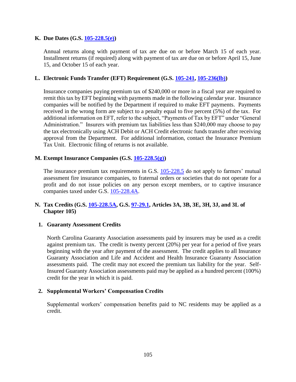# **K. Due Dates (G.S. [105-228.5\(e\)\)](http://www.ncga.state.nc.us/EnactedLegislation/Statutes/PDF/BySection/Chapter_105/GS_105-228.5.pdf)**

Annual returns along with payment of tax are due on or before March 15 of each year. Installment returns (if required) along with payment of tax are due on or before April 15, June 15, and October 15 of each year.

#### **L. Electronic Funds Transfer (EFT) Requirement (G.S. [105-241,](http://www.ncga.state.nc.us/EnactedLegislation/Statutes/HTML/BySection/Chapter_105/GS_105-241.html) [105-236\(lb\)\)](http://www.ncga.state.nc.us/EnactedLegislation/Statutes/HTML/BySection/Chapter_105/GS_105-236.html)**

Insurance companies paying premium tax of \$240,000 or more in a fiscal year are required to remit this tax by EFT beginning with payments made in the following calendar year. Insurance companies will be notified by the Department if required to make EFT payments. Payments received in the wrong form are subject to a penalty equal to five percent (5%) of the tax. For additional information on EFT, refer to the subject, "Payments of Tax by EFT" under "General Administration." Insurers with premium tax liabilities less than \$240,000 may choose to pay the tax electronically using ACH Debit or ACH Credit electronic funds transfer after receiving approval from the Department. For additional information, contact the Insurance Premium Tax Unit. Electronic filing of returns is not available.

#### **M. Exempt Insurance Companies (G.S. [105-228.5\(g\)\)](http://www.ncga.state.nc.us/EnactedLegislation/Statutes/PDF/BySection/Chapter_105/GS_105-228.5.pdf)**

The insurance premium tax requirements in G.S. [105-228.5](http://www.ncga.state.nc.us/EnactedLegislation/Statutes/HTML/BySection/Chapter_105/GS_105-228.5.html) do not apply to farmers' mutual assessment fire insurance companies, to fraternal orders or societies that do not operate for a profit and do not issue policies on any person except members, or to captive insurance companies taxed under G.S. [105-228.4A.](http://www.ncga.state.nc.us/EnactedLegislation/Statutes/HTML/BySection/Chapter_105/GS_105-228.4A.html)

# **N. Tax Credits (G.S. [105-228.5A,](http://www.ncga.state.nc.us/EnactedLegislation/Statutes/HTML/BySection/Chapter_105/GS_105-228.5A.html) G.S. [97-29.1,](http://www.ncga.state.nc.us/EnactedLegislation/Statutes/HTML/BySection/Chapter_97/GS_97-29.1.html) Articles 3A, 3B, 3E, 3H, 3J, and 3L of Chapter 105)**

#### **1. Guaranty Assessment Credits**

North Carolina Guaranty Association assessments paid by insurers may be used as a credit against premium tax. The credit is twenty percent (20%) per year for a period of five years beginning with the year after payment of the assessment. The credit applies to all Insurance Guaranty Association and Life and Accident and Health Insurance Guaranty Association assessments paid. The credit may not exceed the premium tax liability for the year. Self-Insured Guaranty Association assessments paid may be applied as a hundred percent (100%) credit for the year in which it is paid.

#### **2. Supplemental Workers' Compensation Credits**

Supplemental workers' compensation benefits paid to NC residents may be applied as a credit.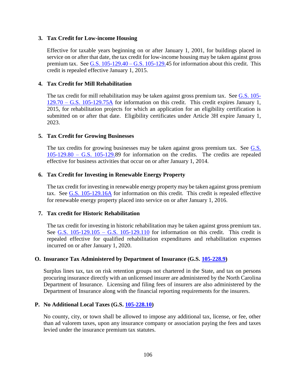# **3. Tax Credit for Low-income Housing**

Effective for taxable years beginning on or after January 1, 2001, for buildings placed in service on or after that date, the tax credit for low-income housing may be taken against gross premium tax. See [G.S. 105-129.40 –](https://www.ncleg.net/enactedlegislation/statutes/html/byarticle/chapter_105/article_3e.html) G.S. 105-129.45 for information about this credit. This credit is repealed effective January 1, 2015.

# **4. Tax Credit for Mill Rehabilitation**

The tax credit for mill rehabilitation may be taken against gross premium tax. See [G.S. 105-](https://www.ncleg.net/EnactedLegislation/Statutes/PDF/ByArticle/Chapter_105/Article_3H.pdf) 129.70 – [G.S. 105-129.75A](https://www.ncleg.net/EnactedLegislation/Statutes/PDF/ByArticle/Chapter_105/Article_3H.pdf) for information on this credit. This credit expires January 1, 2015, for rehabilitation projects for which an application for an eligibility certification is submitted on or after that date. Eligibility certificates under Article 3H expire January 1, 2023.

# **5. Tax Credit for Growing Businesses**

The tax credits for growing businesses may be taken against gross premium tax. See [G.S.](https://www.ncleg.net/EnactedLegislation/Statutes/PDF/ByArticle/Chapter_105/Article_3J.pdf)   $105-129.80 - G.S.$  105-129.89 for information on the credits. The credits are repealed effective for business activities that occur on or after January 1, 2014.

# **6. Tax Credit for Investing in Renewable Energy Property**

The tax credit for investing in renewable energy property may be taken against gross premium tax. See [G.S. 105-129.16A](https://www.ncleg.net/gascripts/statutes/statutelookup.pl?statute=105-129.16A) for information on this credit. This credit is repealed effective for renewable energy property placed into service on or after January 1, 2016.

#### **7. Tax credit for Historic Rehabilitation**

The tax credit for investing in historic rehabilitation may be taken against gross premium tax. See G.S.  $105-129.105 - G.S.$  105-129.110 for information on this credit. This credit is repealed effective for qualified rehabilitation expenditures and rehabilitation expenses incurred on or after January 1, 2020.

#### **O. Insurance Tax Administered by Department of Insurance (G.S. [105-228.9\)](http://www.ncga.state.nc.us/EnactedLegislation/Statutes/HTML/BySection/Chapter_105/GS_105-228.9.html)**

Surplus lines tax, tax on risk retention groups not chartered in the State, and tax on persons procuring insurance directly with an unlicensed insurer are administered by the North Carolina Department of Insurance. Licensing and filing fees of insurers are also administered by the Department of Insurance along with the financial reporting requirements for the insurers.

#### **P. No Additional Local Taxes (G.S. [105-228.10\)](http://www.ncga.state.nc.us/EnactedLegislation/Statutes/HTML/BySection/Chapter_105/GS_105-228.10.html)**

No county, city, or town shall be allowed to impose any additional tax, license, or fee, other than ad valorem taxes, upon any insurance company or association paying the fees and taxes levied under the insurance premium tax statutes.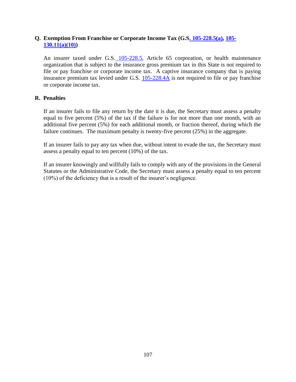# **Q. Exemption From Franchise or Corporate Income Tax (G.[S. 105-228.5\(a\),](https://www.ncleg.net/EnactedLegislation/Statutes/HTML/BySection/Chapter_105/GS_105-228.5.html) [105-](http://www.ncga.state.nc.us/EnactedLegislation/Statutes/HTML/BySection/Chapter_105/GS_105-130.11.html) [130.11\(a\)\(10\)\)](http://www.ncga.state.nc.us/EnactedLegislation/Statutes/HTML/BySection/Chapter_105/GS_105-130.11.html)**

An insurer taxed under G.S. [105-228.5,](https://www.ncleg.net/EnactedLegislation/Statutes/HTML/BySection/Chapter_105/GS_105-228.5.html) Article 65 corporation, or health maintenance organization that is subject to the insurance gross premium tax in this State is not required to file or pay franchise or corporate income tax. A captive insurance company that is paying insurance premium tax levied under G.S.  $105-228.4\text{\AA}$  is not required to file or pay franchise or corporate income tax.

# **R. Penalties**

If an insurer fails to file any return by the date it is due, the Secretary must assess a penalty equal to five percent (5%) of the tax if the failure is for not more than one month, with an additional five percent (5%) for each additional month, or fraction thereof, during which the failure continues. The maximum penalty is twenty-five percent (25%) in the aggregate.

If an insurer fails to pay any tax when due, without intent to evade the tax, the Secretary must assess a penalty equal to ten percent (10%) of the tax.

If an insurer knowingly and willfully fails to comply with any of the provisions in the General Statutes or the Administrative Code, the Secretary must assess a penalty equal to ten percent (10%) of the deficiency that is a result of the insurer's negligence.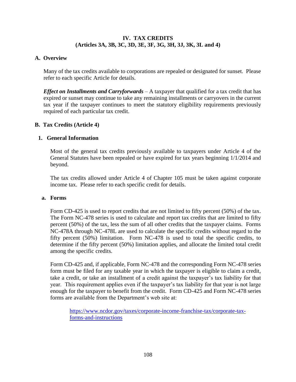# **IV. TAX CREDITS (Articles 3A, 3B, 3C, 3D, 3E, 3F, 3G, 3H, 3J, 3K, 3L and 4)**

### **A. Overview**

Many of the tax credits available to corporations are repealed or designated for sunset. Please refer to each specific Article for details.

*Effect on Installments and Carryforwards* – A taxpayer that qualified for a tax credit that has expired or sunset may continue to take any remaining installments or carryovers in the current tax year if the taxpayer continues to meet the statutory eligibility requirements previously required of each particular tax credit.

# **B. Tax Credits (Article 4)**

# **1. General Information**

Most of the general tax credits previously available to taxpayers under Article 4 of the General Statutes have been repealed or have expired for tax years beginning 1/1/2014 and beyond.

The tax credits allowed under Article 4 of Chapter 105 must be taken against corporate income tax. Please refer to each specific credit for details.

#### **a. Forms**

Form CD-425 is used to report credits that are not limited to fifty percent (50%) of the tax. The Form NC-478 series is used to calculate and report tax credits that are limited to fifty percent (50%) of the tax, less the sum of all other credits that the taxpayer claims. Forms NC-478A through NC-478L are used to calculate the specific credits without regard to the fifty percent (50%) limitation. Form NC-478 is used to total the specific credits, to determine if the fifty percent (50%) limitation applies, and allocate the limited total credit among the specific credits.

Form CD-425 and, if applicable, Form NC-478 and the corresponding Form NC-478 series form must be filed for any taxable year in which the taxpayer is eligible to claim a credit, take a credit, or take an installment of a credit against the taxpayer's tax liability for that year. This requirement applies even if the taxpayer's tax liability for that year is not large enough for the taxpayer to benefit from the credit. Form CD-425 and Form NC-478 series forms are available from the Department's web site at:

[https://www.ncdor.gov/taxes/corporate-income-franchise-tax/corporate-tax](https://www.ncdor.gov/taxes/corporate-income-franchise-tax/corporate-tax-forms-and-instructions)[forms-and-instructions](https://www.ncdor.gov/taxes/corporate-income-franchise-tax/corporate-tax-forms-and-instructions)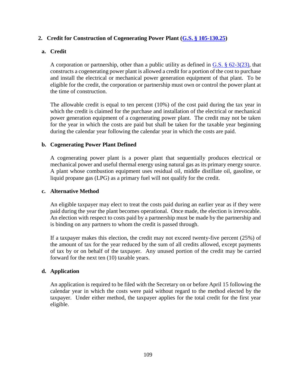# **2. Credit for Construction of Cogenerating Power Plant [\(G.S. § 105-130.25\)](http://www.ncga.state.nc.us/EnactedLegislation/Statutes/HTML/BySection/Chapter_105/GS_105-130.25.html)**

### **a. Credit**

A corporation or partnership, other than a public utility as defined in [G.S. § 62-3\(23\),](http://www.ncga.state.nc.us/EnactedLegislation/Statutes/HTML/BySection/Chapter_62/GS_62-3.html) that constructs a cogenerating power plant is allowed a credit for a portion of the cost to purchase and install the electrical or mechanical power generation equipment of that plant. To be eligible for the credit, the corporation or partnership must own or control the power plant at the time of construction.

The allowable credit is equal to ten percent (10%) of the cost paid during the tax year in which the credit is claimed for the purchase and installation of the electrical or mechanical power generation equipment of a cogenerating power plant. The credit may not be taken for the year in which the costs are paid but shall be taken for the taxable year beginning during the calendar year following the calendar year in which the costs are paid.

#### **b. Cogenerating Power Plant Defined**

A cogenerating power plant is a power plant that sequentially produces electrical or mechanical power and useful thermal energy using natural gas as its primary energy source. A plant whose combustion equipment uses residual oil, middle distillate oil, gasoline, or liquid propane gas (LPG) as a primary fuel will not qualify for the credit.

#### **c. Alternative Method**

An eligible taxpayer may elect to treat the costs paid during an earlier year as if they were paid during the year the plant becomes operational. Once made, the election is irrevocable. An election with respect to costs paid by a partnership must be made by the partnership and is binding on any partners to whom the credit is passed through.

If a taxpayer makes this election, the credit may not exceed twenty-five percent (25%) of the amount of tax for the year reduced by the sum of all credits allowed, except payments of tax by or on behalf of the taxpayer. Any unused portion of the credit may be carried forward for the next ten (10) taxable years.

#### **d. Application**

An application is required to be filed with the Secretary on or before April 15 following the calendar year in which the costs were paid without regard to the method elected by the taxpayer. Under either method, the taxpayer applies for the total credit for the first year eligible.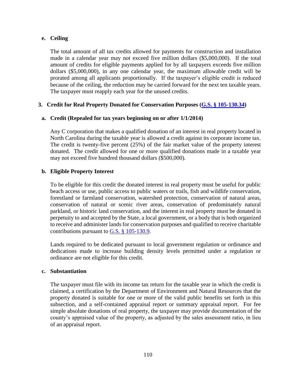## **e. Ceiling**

The total amount of all tax credits allowed for payments for construction and installation made in a calendar year may not exceed five million dollars (\$5,000,000). If the total amount of credits for eligible payments applied for by all taxpayers exceeds five million dollars (\$5,000,000), in any one calendar year, the maximum allowable credit will be prorated among all applicants proportionally. If the taxpayer's eligible credit is reduced because of the ceiling, the reduction may be carried forward for the next ten taxable years. The taxpayer must reapply each year for the unused credits.

# **3. Credit for Real Property Donated for Conservation Purposes [\(G.S. § 105-130.34\)](http://www.ncga.state.nc.us/EnactedLegislation/Statutes/HTML/BySection/Chapter_105/GS_105-130.34.html)**

## **a. Credit (Repealed for tax years beginning on or after 1/1/2014)**

Any C corporation that makes a qualified donation of an interest in real property located in North Carolina during the taxable year is allowed a credit against its corporate income tax. The credit is twenty-five percent (25%) of the fair market value of the property interest donated. The credit allowed for one or more qualified donations made in a taxable year may not exceed five hundred thousand dollars (\$500,000).

## **b. Eligible Property Interest**

To be eligible for this credit the donated interest in real property must be useful for public beach access or use, public access to public waters or trails, fish and wildlife conservation, forestland or farmland conservation, watershed protection, conservation of natural areas, conservation of natural or scenic river areas, conservation of predominately natural parkland, or historic land conservation, and the interest in real property must be donated in perpetuity to and accepted by the State, a local government, or a body that is both organized to receive and administer lands for conservation purposes and qualified to receive charitable contributions pursuant to G.S.  $\S$  105-130.9.

Lands required to be dedicated pursuant to local government regulation or ordinance and dedications made to increase building density levels permitted under a regulation or ordinance are not eligible for this credit.

#### **c. Substantiation**

The taxpayer must file with its income tax return for the taxable year in which the credit is claimed, a certification by the Department of Environment and Natural Resources that the property donated is suitable for one or more of the valid public benefits set forth in this subsection, and a self-contained appraisal report or summary appraisal report. For fee simple absolute donations of real property, the taxpayer may provide documentation of the county's appraised value of the property, as adjusted by the sales assessment ratio, in lieu of an appraisal report.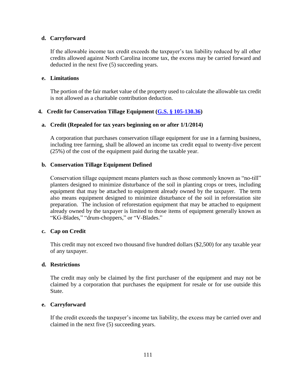### **d. Carryforward**

If the allowable income tax credit exceeds the taxpayer's tax liability reduced by all other credits allowed against North Carolina income tax, the excess may be carried forward and deducted in the next five (5) succeeding years.

#### **e. Limitations**

The portion of the fair market value of the property used to calculate the allowable tax credit is not allowed as a charitable contribution deduction.

# **4. Credit for Conservation Tillage Equipment [\(G.S. § 105-130.36\)](http://www.ncga.state.nc.us/EnactedLegislation/Statutes/HTML/BySection/Chapter_105/GS_105-130.36.html)**

## **a. Credit (Repealed for tax years beginning on or after 1/1/2014)**

A corporation that purchases conservation tillage equipment for use in a farming business, including tree farming, shall be allowed an income tax credit equal to twenty-five percent (25%) of the cost of the equipment paid during the taxable year.

## **b. Conservation Tillage Equipment Defined**

Conservation tillage equipment means planters such as those commonly known as "no-till" planters designed to minimize disturbance of the soil in planting crops or trees, including equipment that may be attached to equipment already owned by the taxpayer. The term also means equipment designed to minimize disturbance of the soil in reforestation site preparation. The inclusion of reforestation equipment that may be attached to equipment already owned by the taxpayer is limited to those items of equipment generally known as "KG-Blades," "drum-choppers," or "V-Blades."

#### **c. Cap on Credit**

This credit may not exceed two thousand five hundred dollars (\$2,500) for any taxable year of any taxpayer.

#### **d. Restrictions**

The credit may only be claimed by the first purchaser of the equipment and may not be claimed by a corporation that purchases the equipment for resale or for use outside this State.

#### **e. Carryforward**

If the credit exceeds the taxpayer's income tax liability, the excess may be carried over and claimed in the next five (5) succeeding years.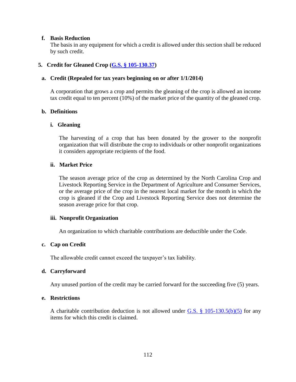#### **f. Basis Reduction**

The basis in any equipment for which a credit is allowed under this section shall be reduced by such credit.

### **5. Credit for Gleaned Crop [\(G.S. § 105-130.37\)](http://www.ncga.state.nc.us/EnactedLegislation/Statutes/HTML/BySection/Chapter_105/GS_105-130.37.html)**

#### **a. Credit (Repealed for tax years beginning on or after 1/1/2014)**

A corporation that grows a crop and permits the gleaning of the crop is allowed an income tax credit equal to ten percent (10%) of the market price of the quantity of the gleaned crop.

### **b. Definitions**

#### **i. Gleaning**

The harvesting of a crop that has been donated by the grower to the nonprofit organization that will distribute the crop to individuals or other nonprofit organizations it considers appropriate recipients of the food.

### **ii. Market Price**

The season average price of the crop as determined by the North Carolina Crop and Livestock Reporting Service in the Department of Agriculture and Consumer Services, or the average price of the crop in the nearest local market for the month in which the crop is gleaned if the Crop and Livestock Reporting Service does not determine the season average price for that crop.

#### **iii. Nonprofit Organization**

An organization to which charitable contributions are deductible under the Code.

#### **c. Cap on Credit**

The allowable credit cannot exceed the taxpayer's tax liability.

#### **d. Carryforward**

Any unused portion of the credit may be carried forward for the succeeding five (5) years.

#### **e. Restrictions**

A charitable contribution deduction is not allowed under G.S.  $\S$  105-130.5(b)(5) for any items for which this credit is claimed.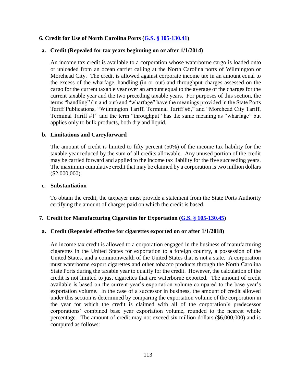### **6. Credit for Use of North Carolina Ports [\(G.S. § 105-130.41\)](http://www.ncga.state.nc.us/EnactedLegislation/Statutes/HTML/BySection/Chapter_105/GS_105-130.41.html)**

### **a. Credit (Repealed for tax years beginning on or after 1/1/2014)**

An income tax credit is available to a corporation whose waterborne cargo is loaded onto or unloaded from an ocean carrier calling at the North Carolina ports of Wilmington or Morehead City. The credit is allowed against corporate income tax in an amount equal to the excess of the wharfage, handling (in or out) and throughput charges assessed on the cargo for the current taxable year over an amount equal to the average of the charges for the current taxable year and the two preceding taxable years. For purposes of this section, the terms "handling" (in and out) and "wharfage" have the meanings provided in the State Ports Tariff Publications, "Wilmington Tariff, Terminal Tariff #6," and "Morehead City Tariff, Terminal Tariff #1" and the term "throughput" has the same meaning as "wharfage" but applies only to bulk products, both dry and liquid.

#### **b. Limitations and Carryforward**

The amount of credit is limited to fifty percent (50%) of the income tax liability for the taxable year reduced by the sum of all credits allowable. Any unused portion of the credit may be carried forward and applied to the income tax liability for the five succeeding years. The maximum cumulative credit that may be claimed by a corporation is two million dollars (\$2,000,000).

#### **c. Substantiation**

To obtain the credit, the taxpayer must provide a statement from the State Ports Authority certifying the amount of charges paid on which the credit is based.

#### **7. Credit for Manufacturing Cigarettes for Exportation [\(G.S. § 105-130.45\)](http://www.ncga.state.nc.us/EnactedLegislation/Statutes/HTML/BySection/Chapter_105/GS_105-130.45.html)**

#### **a. Credit (Repealed effective for cigarettes exported on or after 1/1/2018)**

An income tax credit is allowed to a corporation engaged in the business of manufacturing cigarettes in the United States for exportation to a foreign country, a possession of the United States, and a commonwealth of the United States that is not a state. A corporation must waterborne export cigarettes and other tobacco products through the North Carolina State Ports during the taxable year to qualify for the credit. However, the calculation of the credit is not limited to just cigarettes that are waterborne exported. The amount of credit available is based on the current year's exportation volume compared to the base year's exportation volume. In the case of a successor in business, the amount of credit allowed under this section is determined by comparing the exportation volume of the corporation in the year for which the credit is claimed with all of the corporation's predecessor corporations' combined base year exportation volume, rounded to the nearest whole percentage. The amount of credit may not exceed six million dollars (\$6,000,000) and is computed as follows: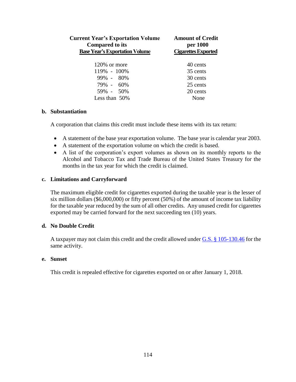| <b>Current Year's Exportation Volume</b><br><b>Compared to its</b><br><b>Base Year's Exportation Volume</b> | <b>Amount of Credit</b><br>per 1000<br><b>Cigarettes Exported</b> |
|-------------------------------------------------------------------------------------------------------------|-------------------------------------------------------------------|
|                                                                                                             |                                                                   |
| $120\%$ or more                                                                                             | 40 cents                                                          |
| 119% - 100%                                                                                                 | 35 cents                                                          |
| 99% - 80%                                                                                                   | 30 cents                                                          |
| 79% - 60%                                                                                                   | 25 cents                                                          |
| 59% - 50%                                                                                                   | 20 cents                                                          |
| Less than $50\%$                                                                                            | None                                                              |

#### **b. Substantiation**

A corporation that claims this credit must include these items with its tax return:

- A statement of the base year exportation volume. The base year is calendar year 2003.
- A statement of the exportation volume on which the credit is based.
- A list of the corporation's export volumes as shown on its monthly reports to the Alcohol and Tobacco Tax and Trade Bureau of the United States Treasury for the months in the tax year for which the credit is claimed.

#### **c. Limitations and Carryforward**

The maximum eligible credit for cigarettes exported during the taxable year is the lesser of six million dollars (\$6,000,000) or fifty percent (50%) of the amount of income tax liability for the taxable year reduced by the sum of all other credits. Any unused credit for cigarettes exported may be carried forward for the next succeeding ten (10) years.

### **d. No Double Credit**

A taxpayer may not claim this credit and the credit allowed under G.S. § [105-130.46](http://www.ncga.state.nc.us/EnactedLegislation/Statutes/HTML/BySection/Chapter_105/GS_105-130.46.html) for the same activity.

#### **e. Sunset**

This credit is repealed effective for cigarettes exported on or after January 1, 2018.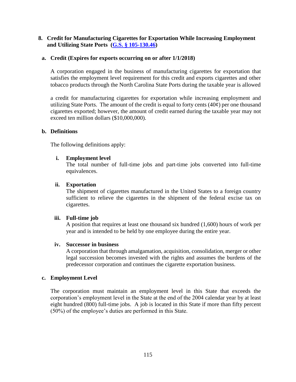## **8. Credit for Manufacturing Cigarettes for Exportation While Increasing Employment and Utilizing State Ports [\(G.S. § 105-130.46\)](http://www.ncga.state.nc.us/EnactedLegislation/Statutes/HTML/BySection/Chapter_105/GS_105-130.46.html)**

## **a. Credit (Expires for exports occurring on or after 1/1/2018)**

A corporation engaged in the business of manufacturing cigarettes for exportation that satisfies the employment level requirement for this credit and exports cigarettes and other tobacco products through the North Carolina State Ports during the taxable year is allowed

a credit for manufacturing cigarettes for exportation while increasing employment and utilizing State Ports. The amount of the credit is equal to forty cents  $(40¢)$  per one thousand cigarettes exported; however, the amount of credit earned during the taxable year may not exceed ten million dollars (\$10,000,000).

#### **b. Definitions**

The following definitions apply:

## **i. Employment level**

The total number of full-time jobs and part-time jobs converted into full-time equivalences.

#### **ii. Exportation**

The shipment of cigarettes manufactured in the United States to a foreign country sufficient to relieve the cigarettes in the shipment of the federal excise tax on cigarettes.

#### **iii. Full-time job**

A position that requires at least one thousand six hundred (1,600) hours of work per year and is intended to be held by one employee during the entire year.

#### **iv. Successor in business**

A corporation that through amalgamation, acquisition, consolidation, merger or other legal succession becomes invested with the rights and assumes the burdens of the predecessor corporation and continues the cigarette exportation business.

#### **c. Employment Level**

The corporation must maintain an employment level in this State that exceeds the corporation's employment level in the State at the end of the 2004 calendar year by at least eight hundred (800) full-time jobs. A job is located in this State if more than fifty percent (50%) of the employee's duties are performed in this State.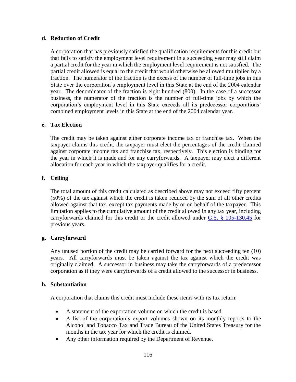## **d. Reduction of Credit**

A corporation that has previously satisfied the qualification requirements for this credit but that fails to satisfy the employment level requirement in a succeeding year may still claim a partial credit for the year in which the employment level requirement is not satisfied. The partial credit allowed is equal to the credit that would otherwise be allowed multiplied by a fraction. The numerator of the fraction is the excess of the number of full-time jobs in this State over the corporation's employment level in this State at the end of the 2004 calendar year. The denominator of the fraction is eight hundred (800). In the case of a successor business, the numerator of the fraction is the number of full-time jobs by which the corporation's employment level in this State exceeds all its predecessor corporations' combined employment levels in this State at the end of the 2004 calendar year.

#### **e. Tax Election**

The credit may be taken against either corporate income tax or franchise tax. When the taxpayer claims this credit, the taxpayer must elect the percentages of the credit claimed against corporate income tax and franchise tax, respectively. This election is binding for the year in which it is made and for any carryforwards. A taxpayer may elect a different allocation for each year in which the taxpayer qualifies for a credit.

# **f. Ceiling**

The total amount of this credit calculated as described above may not exceed fifty percent (50%) of the tax against which the credit is taken reduced by the sum of all other credits allowed against that tax, except tax payments made by or on behalf of the taxpayer. This limitation applies to the cumulative amount of the credit allowed in any tax year, including carryforwards claimed for this credit or the credit allowed under [G.S. § 105-130.45](http://www.ncga.state.nc.us/EnactedLegislation/Statutes/HTML/BySection/Chapter_105/GS_105-130.45.html) for previous years.

# **g. Carryforward**

Any unused portion of the credit may be carried forward for the next succeeding ten (10) years. All carryforwards must be taken against the tax against which the credit was originally claimed. A successor in business may take the carryforwards of a predecessor corporation as if they were carryforwards of a credit allowed to the successor in business.

#### **h. Substantiation**

A corporation that claims this credit must include these items with its tax return:

- A statement of the exportation volume on which the credit is based.
- A list of the corporation's export volumes shown on its monthly reports to the Alcohol and Tobacco Tax and Trade Bureau of the United States Treasury for the months in the tax year for which the credit is claimed.
- Any other information required by the Department of Revenue.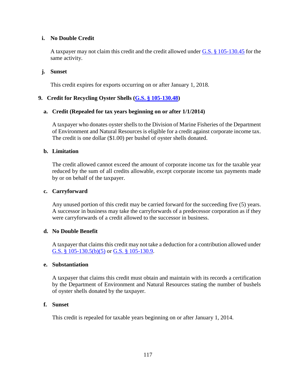## **i. No Double Credit**

A taxpayer may not claim this credit and the credit allowed under [G.S. § 105-130.45](http://www.ncga.state.nc.us/EnactedLegislation/Statutes/HTML/BySection/Chapter_105/GS_105-130.45.html) for the same activity.

### **j. Sunset**

This credit expires for exports occurring on or after January 1, 2018.

## **9. Credit for Recycling Oyster Shells [\(G.S. § 105-130.48\)](http://www.ncga.state.nc.us/EnactedLegislation/Statutes/HTML/BySection/Chapter_105/GS_105-130.48.html)**

## **a. Credit (Repealed for tax years beginning on or after 1/1/2014)**

A taxpayer who donates oyster shells to the Division of Marine Fisheries of the Department of Environment and Natural Resources is eligible for a credit against corporate income tax. The credit is one dollar (\$1.00) per bushel of oyster shells donated.

#### **b. Limitation**

The credit allowed cannot exceed the amount of corporate income tax for the taxable year reduced by the sum of all credits allowable, except corporate income tax payments made by or on behalf of the taxpayer.

#### **c. Carryforward**

Any unused portion of this credit may be carried forward for the succeeding five (5) years. A successor in business may take the carryforwards of a predecessor corporation as if they were carryforwards of a credit allowed to the successor in business.

#### **d. No Double Benefit**

A taxpayer that claims this credit may not take a deduction for a contribution allowed under [G.S. § 105-130.5\(b\)\(5\)](http://www.ncga.state.nc.us/EnactedLegislation/Statutes/HTML/BySection/Chapter_105/GS_105-130.5.html) or [G.S. § 105-130.9.](http://www.ncga.state.nc.us/EnactedLegislation/Statutes/HTML/BySection/Chapter_105/GS_105-130.9.html)

#### **e. Substantiation**

A taxpayer that claims this credit must obtain and maintain with its records a certification by the Department of Environment and Natural Resources stating the number of bushels of oyster shells donated by the taxpayer.

#### **f. Sunset**

This credit is repealed for taxable years beginning on or after January 1, 2014.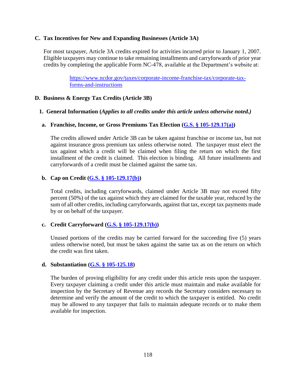#### **C. Tax Incentives for New and Expanding Businesses (Article 3A)**

For most taxpayer, Article 3A credits expired for activities incurred prior to January 1, 2007. Eligible taxpayers may continue to take remaining installments and carryforwards of prior year credits by completing the applicable Form NC-478, available at the Department's website at:

> [https://www.ncdor.gov/taxes/corporate-income-franchise-tax/corporate-tax](https://www.ncdor.gov/taxes/corporate-income-franchise-tax/corporate-tax-forms-and-instructions)[forms-and-instructions](https://www.ncdor.gov/taxes/corporate-income-franchise-tax/corporate-tax-forms-and-instructions)

### **D. Business & Energy Tax Credits (Article 3B)**

#### **1. General Information (***Applies to all credits under this article unless otherwise noted.)*

#### **a. Franchise, Income, or Gross Premiums Tax Election [\(G.S. § 105-129.17\(a\)\)](http://www.ncga.state.nc.us/EnactedLegislation/Statutes/HTML/BySection/Chapter_105/GS_105-129.17.html)**

The credits allowed under Article 3B can be taken against franchise or income tax, but not against insurance gross premium tax unless otherwise noted. The taxpayer must elect the tax against which a credit will be claimed when filing the return on which the first installment of the credit is claimed. This election is binding. All future installments and carryforwards of a credit must be claimed against the same tax.

## **b. Cap on Credit [\(G.S. § 105-129.17\(b\)\)](http://www.ncga.state.nc.us/EnactedLegislation/Statutes/HTML/BySection/Chapter_105/GS_105-129.17.html)**

Total credits, including carryforwards, claimed under Article 3B may not exceed fifty percent (50%) of the tax against which they are claimed for the taxable year, reduced by the sum of all other credits, including carryforwards, against that tax, except tax payments made by or on behalf of the taxpayer.

#### **c. Credit Carryforward [\(G.S. § 105-129.17\(b\)\)](http://www.ncga.state.nc.us/EnactedLegislation/Statutes/HTML/BySection/Chapter_105/GS_105-129.17.html)**

Unused portions of the credits may be carried forward for the succeeding five (5) years unless otherwise noted, but must be taken against the same tax as on the return on which the credit was first taken.

#### **d. Substantiation [\(G.S. § 105-125.18\)](http://www.ncga.state.nc.us/EnactedLegislation/Statutes/HTML/BySection/Chapter_105/GS_105-129.18.html)**

The burden of proving eligibility for any credit under this article rests upon the taxpayer. Every taxpayer claiming a credit under this article must maintain and make available for inspection by the Secretary of Revenue any records the Secretary considers necessary to determine and verify the amount of the credit to which the taxpayer is entitled. No credit may be allowed to any taxpayer that fails to maintain adequate records or to make them available for inspection.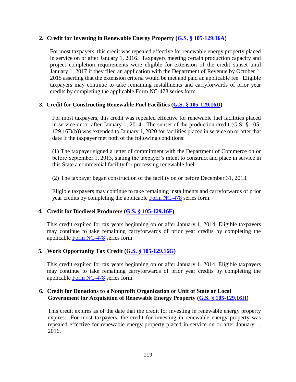## **2. Credit for Investing in Renewable Energy Property [\(G.S. § 105-129.16A\)](http://www.ncga.state.nc.us/EnactedLegislation/Statutes/HTML/BySection/Chapter_105/GS_105-129.16A.html)**

For most taxpayers, this credit was repealed effective for renewable energy property placed in service on or after January 1, 2016. Taxpayers meeting certain production capacity and project completion requirements were eligible for extension of the credit sunset until January 1, 2017 if they filed an application with the Department of Revenue by October 1, 2015 asserting that the extension criteria would be met and paid an applicable fee. Eligible taxpayers may continue to take remaining installments and carryforwards of prior year credits by completing the applicable Form NC-478 series form.

# **3. Credit for Constructing Renewable Fuel Facilities [\(G.S. § 105-129.16D\)](http://www.ncga.state.nc.us/EnactedLegislation/Statutes/HTML/BySection/Chapter_105/GS_105-129.16D.html)**

For most taxpayers, this credit was repealed effective for renewable fuel facilities placed in service on or after January 1, 2014. The sunset of the production credit (G.S. § 105- 129.16D(b)) was extended to January 1, 2020 for facilities placed in service on or after that date if the taxpayer met both of the following conditions:

(1) The taxpayer signed a letter of commitment with the Department of Commerce on or before September 1, 2013, stating the taxpayer's intent to construct and place in service in this State a commercial facility for processing renewable fuel.

(2) The taxpayer began construction of the facility on or before December 31, 2013.

Eligible taxpayers may continue to take remaining installments and carryforwards of prior year credits by completing the applicable [Form NC-478](https://www.ncdor.gov/taxes/corporate-income-franchise-tax/corporate-tax-forms-and-instructions) series form.

# **4. Credit for Biodiesel Producers [\(G.S. § 105-129.16F\)](http://www.ncga.state.nc.us/EnactedLegislation/Statutes/HTML/BySection/Chapter_105/GS_105-129.16F.html)**

This credit expired for tax years beginning on or after January 1, 2014. Eligible taxpayers may continue to take remaining carryforwards of prior year credits by completing the applicable [Form NC-478](https://www.ncdor.gov/taxes/corporate-income-franchise-tax/corporate-tax-forms-and-instructions) series form.

# **5. Work Opportunity Tax Credit [\(G.S. § 105-129.16G\)](http://www.ncga.state.nc.us/EnactedLegislation/Statutes/HTML/BySection/Chapter_105/GS_105-129.16G.html)**

This credit expired for tax years beginning on or after January 1, 2014. Eligible taxpayers may continue to take remaining carryforwards of prior year credits by completing the applicable [Form NC-478](https://www.ncdor.gov/taxes/corporate-income-franchise-tax/corporate-tax-forms-and-instructions) series form.

## **6. Credit for Donations to a Nonprofit Organization or Unit of State or Local Government for Acquisition of Renewable Energy Property [\(G.S. § 105-129.16H\)](http://www.ncga.state.nc.us/EnactedLegislation/Statutes/HTML/BySection/Chapter_105/GS_105-129.16H.html)**

This credit expires as of the date that the credit for investing in renewable energy property expires. For most taxpayers, the credit for investing in renewable energy property was repealed effective for renewable energy property placed in service on or after January 1, 2016.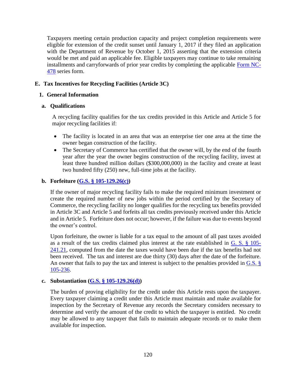Taxpayers meeting certain production capacity and project completion requirements were eligible for extension of the credit sunset until January 1, 2017 if they filed an application with the Department of Revenue by October 1, 2015 asserting that the extension criteria would be met and paid an applicable fee. Eligible taxpayers may continue to take remaining installments and carryforwards of prior year credits by completing the applicable [Form NC-](https://www.ncdor.gov/taxes/corporate-income-franchise-tax/corporate-tax-forms-and-instructions)[478](https://www.ncdor.gov/taxes/corporate-income-franchise-tax/corporate-tax-forms-and-instructions) series form.

# **E. Tax Incentives for Recycling Facilities (Article 3C)**

### **1. General Information**

#### **a. Qualifications**

A recycling facility qualifies for the tax credits provided in this Article and Article 5 for major recycling facilities if:

- The facility is located in an area that was an enterprise tier one area at the time the owner began construction of the facility.
- The Secretary of Commerce has certified that the owner will, by the end of the fourth year after the year the owner begins construction of the recycling facility, invest at least three hundred million dollars (\$300,000,000) in the facility and create at least two hundred fifty (250) new, full-time jobs at the facility.

#### **b. Forfeiture [\(G.S. § 105-129.26\(c\)\)](http://www.ncga.state.nc.us/EnactedLegislation/Statutes/HTML/BySection/Chapter_105/GS_105-129.26.html)**

If the owner of major recycling facility fails to make the required minimum investment or create the required number of new jobs within the period certified by the Secretary of Commerce, the recycling facility no longer qualifies for the recycling tax benefits provided in Article 3C and Article 5 and forfeits all tax credits previously received under this Article and in Article 5. Forfeiture does not occur; however, if the failure was due to events beyond the owner's control.

Upon forfeiture, the owner is liable for a tax equal to the amount of all past taxes avoided as a result of the tax credits claimed plus interest at the rate established in [G. S. § 105-](http://www.ncga.state.nc.us/EnactedLegislation/Statutes/HTML/BySection/Chapter_105/GS_105-241.21.html) [241.21,](http://www.ncga.state.nc.us/EnactedLegislation/Statutes/HTML/BySection/Chapter_105/GS_105-241.21.html) computed from the date the taxes would have been due if the tax benefits had not been received. The tax and interest are due thirty (30) days after the date of the forfeiture. An owner that fails to pay the tax and interest is subject to the penalties provided in  $G.S.$  § [105-236.](http://www.ncga.state.nc.us/EnactedLegislation/Statutes/HTML/BySection/Chapter_105/GS_105-236.html)

# **c. Substantiation [\(G.S. § 105-129.26\(d\)\)](http://www.ncga.state.nc.us/EnactedLegislation/Statutes/HTML/BySection/Chapter_105/GS_105-129.26.html)**

The burden of proving eligibility for the credit under this Article rests upon the taxpayer. Every taxpayer claiming a credit under this Article must maintain and make available for inspection by the Secretary of Revenue any records the Secretary considers necessary to determine and verify the amount of the credit to which the taxpayer is entitled. No credit may be allowed to any taxpayer that fails to maintain adequate records or to make them available for inspection.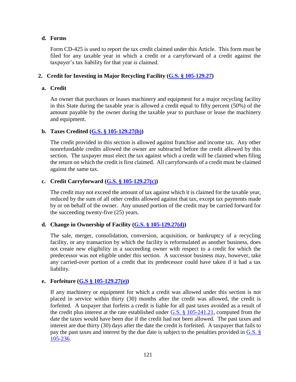### **d. Forms**

Form CD-425 is used to report the tax credit claimed under this Article. This form must be filed for any taxable year in which a credit or a carryforward of a credit against the taxpayer's tax liability for that year is claimed.

# **2. Credit for Investing in Major Recycling Facility [\(G.S. § 105-129.27\)](http://www.ncga.state.nc.us/EnactedLegislation/Statutes/HTML/BySection/Chapter_105/GS_105-129.27.html)**

### **a. Credit**

An owner that purchases or leases machinery and equipment for a major recycling facility in this State during the taxable year is allowed a credit equal to fifty percent (50%) of the amount payable by the owner during the taxable year to purchase or lease the machinery and equipment.

## **b. Taxes Credited [\(G.S. § 105-129.27\(b\)\)](http://www.ncga.state.nc.us/EnactedLegislation/Statutes/HTML/BySection/Chapter_105/GS_105-129.27.html)**

The credit provided in this section is allowed against franchise and income tax. Any other nonrefundable credits allowed the owner are subtracted before the credit allowed by this section. The taxpayer must elect the tax against which a credit will be claimed when filing the return on which the credit is first claimed. All carryforwards of a credit must be claimed against the same tax.

## **c. Credit Carryforward [\(G.S. § 105-129.27\(c\)\)](http://www.ncga.state.nc.us/EnactedLegislation/Statutes/HTML/BySection/Chapter_105/GS_105-129.27.html)**

The credit may not exceed the amount of tax against which it is claimed for the taxable year, reduced by the sum of all other credits allowed against that tax, except tax payments made by or on behalf of the owner. Any unused portion of the credit may be carried forward for the succeeding twenty-five (25) years.

# **d. Change in Ownership of Facility [\(G.S. § 105-129.27\(d\)\)](http://www.ncga.state.nc.us/EnactedLegislation/Statutes/HTML/BySection/Chapter_105/GS_105-129.27.html)**

The sale, merger, consolidation, conversion, acquisition, or bankruptcy of a recycling facility, or any transaction by which the facility is reformulated as another business, does not create new eligibility in a succeeding owner with respect to a credit for which the predecessor was not eligible under this section. A successor business may, however, take any carried-over portion of a credit that its predecessor could have taken if it had a tax liability.

# **e. Forfeiture [\(G.S § 105-129.27\(e\)\)](http://www.ncga.state.nc.us/EnactedLegislation/Statutes/HTML/BySection/Chapter_105/GS_105-129.27.html)**

If any machinery or equipment for which a credit was allowed under this section is not placed in service within thirty (30) months after the credit was allowed, the credit is forfeited. A taxpayer that forfeits a credit is liable for all past taxes avoided as a result of the credit plus interest at the rate established under [G.S. § 105-241.21,](http://www.ncga.state.nc.us/EnactedLegislation/Statutes/HTML/BySection/Chapter_105/GS_105-241.21.html) computed from the date the taxes would have been due if the credit had not been allowed. The past taxes and interest are due thirty (30) days after the date the credit is forfeited. A taxpayer that fails to pay the past taxes and interest by the due date is subject to the penalties provided in G.S. § [105-236.](http://www.ncga.state.nc.us/EnactedLegislation/Statutes/HTML/BySection/Chapter_105/GS_105-236.html)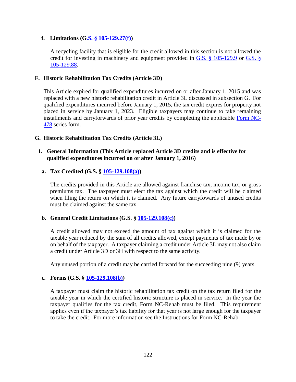## **f. Limitations ([G.S. § 105-129.27\(f\)\)](http://www.ncga.state.nc.us/EnactedLegislation/Statutes/HTML/BySection/Chapter_105/GS_105-129.27.html)**

A recycling facility that is eligible for the credit allowed in this section is not allowed the credit for investing in machinery and equipment provided in [G.S. § 105-129.9](http://www.ncga.state.nc.us/EnactedLegislation/Statutes/HTML/BySection/Chapter_105/GS_105-129.9.html) or [G.S. §](http://www.ncga.state.nc.us/EnactedLegislation/Statutes/HTML/BySection/Chapter_105/GS_105-129.88.html)  [105-129.88.](http://www.ncga.state.nc.us/EnactedLegislation/Statutes/HTML/BySection/Chapter_105/GS_105-129.88.html)

## **F. Historic Rehabilitation Tax Credits (Article 3D)**

This Article expired for qualified expenditures incurred on or after January 1, 2015 and was replaced with a new historic rehabilitation credit in Article 3L discussed in subsection G. For qualified expenditures incurred before January 1, 2015, the tax credit expires for property not placed in service by January 1, 2023. Eligible taxpayers may continue to take remaining installments and carryforwards of prior year credits by completing the applicable [Form NC-](https://www.ncdor.gov/taxes/corporate-income-franchise-tax/corporate-tax-forms-and-instructions)[478](https://www.ncdor.gov/taxes/corporate-income-franchise-tax/corporate-tax-forms-and-instructions) series form.

## **G. Historic Rehabilitation Tax Credits (Article 3L)**

### **1. General Information (This Article replaced Article 3D credits and is effective for qualified expenditures incurred on or after January 1, 2016)**

## **a. Tax Credited (G.S. § [105-129.108\(a\)\)](http://www.ncga.state.nc.us/EnactedLegislation/Statutes/PDF/BySection/Chapter_105/GS_105-129.108.pdf)**

The credits provided in this Article are allowed against franchise tax, income tax, or gross premiums tax. The taxpayer must elect the tax against which the credit will be claimed when filing the return on which it is claimed. Any future carryfowards of unused credits must be claimed against the same tax.

# **b. General Credit Limitations (G.S. § [105-129.108\(c\)\)](http://www.ncga.state.nc.us/EnactedLegislation/Statutes/PDF/BySection/Chapter_105/GS_105-129.108.pdf)**

A credit allowed may not exceed the amount of tax against which it is claimed for the taxable year reduced by the sum of all credits allowed, except payments of tax made by or on behalf of the taxpayer. A taxpayer claiming a credit under Article 3L may not also claim a credit under Article 3D or 3H with respect to the same activity.

Any unused portion of a credit may be carried forward for the succeeding nine (9) years.

#### **c. Forms (G.S. § [105-129.108\(b\)\)](http://www.ncga.state.nc.us/EnactedLegislation/Statutes/PDF/BySection/Chapter_105/GS_105-129.108.pdf)**

A taxpayer must claim the historic rehabilitation tax credit on the tax return filed for the taxable year in which the certified historic structure is placed in service. In the year the taxpayer qualifies for the tax credit, Form NC-Rehab must be filed. This requirement applies even if the taxpayer's tax liability for that year is not large enough for the taxpayer to take the credit. For more information see the Instructions for Form NC-Rehab.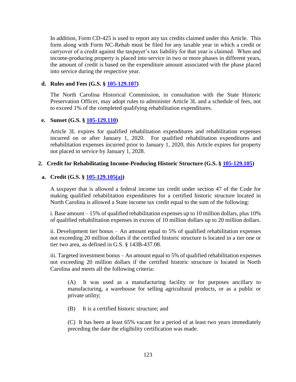In addition, Form CD-425 is used to report any tax credits claimed under this Article. This form along with Form NC-Rehab must be filed for any taxable year in which a credit or carryover of a credit against the taxpayer's tax liability for that year is claimed. When and income-producing property is placed into service in two or more phases in different years, the amount of credit is based on the expenditure amount associated with the phase placed into service during the respective year.

### **d. Rules and Fees (G.S. § [105-129.107\)](http://www.ncga.state.nc.us/EnactedLegislation/Statutes/PDF/BySection/Chapter_105/GS_105-129.107.pdf)**

The North Carolina Historical Commission, in consultation with the State Historic Preservation Officer, may adopt rules to administer Article 3L and a schedule of fees, not to exceed 1% of the completed qualifying rehabilitation expenditures.

#### **e. Sunset (G.S. § [105-129.110\)](http://www.ncga.state.nc.us/EnactedLegislation/Statutes/PDF/BySection/Chapter_105/GS_105-129.110.pdf)**

Article 3L expires for qualified rehabilitation expenditures and rehabilitation expenses incurred on or after January 1, 2020. For qualified rehabilitation expenditures and rehabilitation expenses incurred prior to January 1, 2020, this Article expires for property not placed in service by January 1, 2028.

#### **2. Credit for Rehabilitating Income-Producing Historic Structure (G.S. § [105-129.105\)](http://www.ncga.state.nc.us/EnactedLegislation/Statutes/PDF/BySection/Chapter_105/GS_105-129.105.pdf)**

#### **a. Credit (G.S. § [105-129.105\(a\)\)](http://www.ncga.state.nc.us/EnactedLegislation/Statutes/PDF/BySection/Chapter_105/GS_105-129.105.pdf)**

A taxpayer that is allowed a federal income tax credit under section 47 of the Code for making qualified rehabilitation expenditures for a certified historic structure located in North Carolina is allowed a State income tax credit equal to the sum of the following:

i. Base amount – 15% of qualified rehabilitation expenses up to 10 million dollars, plus 10% of qualified rehabilitation expenses in excess of 10 million dollars up to 20 million dollars.

ii. Development tier bonus – An amount equal to 5% of qualified rehabilitation expenses not exceeding 20 million dollars if the certified historic structure is located in a tier one or tier two area, as defined in G.S. § 143B-437.08.

iii. Targeted investment bonus – An amount equal to 5% of qualified rehabilitation expenses not exceeding 20 million dollars if the certified historic structure is located in North Carolina and meets all the following criteria:

(A) It was used as a manufacturing facility or for purposes ancillary to manufacturing, a warehouse for selling agricultural products, or as a public or private utility;

(B) It is a certified historic structure; and

(C) It has been at least 65% vacant for a period of at least two years immediately preceding the date the eligibility certification was made.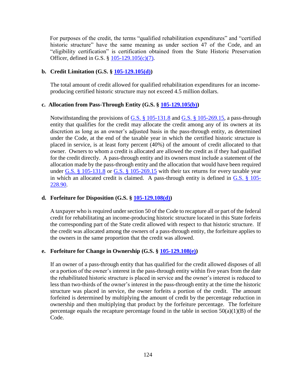For purposes of the credit, the terms "qualified rehabilitation expenditures" and "certified historic structure" have the same meaning as under section 47 of the Code, and an "eligibility certification" is certification obtained from the State Historic Preservation Officer, defined in G.S. § [105-129.105\(c\)\(7\).](http://www.ncga.state.nc.us/EnactedLegislation/Statutes/PDF/BySection/Chapter_105/GS_105-129.105.pdf)

## **b. Credit Limitation (G.S. § [105-129.105\(d\)\)](http://www.ncga.state.nc.us/EnactedLegislation/Statutes/PDF/BySection/Chapter_105/GS_105-129.105.pdf)**

The total amount of credit allowed for qualified rehabilitation expenditures for an incomeproducing certified historic structure may not exceed 4.5 million dollars.

## **c. Allocation from Pass-Through Entity (G.S. § [105-129.105\(b\)\)](http://www.ncga.state.nc.us/EnactedLegislation/Statutes/PDF/BySection/Chapter_105/GS_105-129.105.pdf)**

Notwithstanding the provisions of [G.S. § 105-131.8](http://www.ncga.state.nc.us/EnactedLegislation/Statutes/HTML/BySection/Chapter_105/GS_105-131.8.html) and [G.S. § 105-269.15,](http://www.ncga.state.nc.us/EnactedLegislation/Statutes/HTML/BySection/Chapter_105/GS_105-269.15.html) a pass-through entity that qualifies for the credit may allocate the credit among any of its owners at its discretion as long as an owner's adjusted basis in the pass-through entity, as determined under the Code, at the end of the taxable year in which the certified historic structure is placed in service, is at least forty percent (40%) of the amount of credit allocated to that owner. Owners to whom a credit is allocated are allowed the credit as if they had qualified for the credit directly. A pass-through entity and its owners must include a statement of the allocation made by the pass-through entity and the allocation that would have been required under G.S.  $\S$  105-131.8 or G.S.  $\S$  105-269.15 with their tax returns for every taxable year in which an allocated credit is claimed. A pass-through entity is defined in [G.S. § 105-](http://www.ncga.state.nc.us/EnactedLegislation/Statutes/HTML/BySection/Chapter_105/GS_105-228.90.html) [228.90.](http://www.ncga.state.nc.us/EnactedLegislation/Statutes/HTML/BySection/Chapter_105/GS_105-228.90.html)

# **d. Forfeiture for Disposition (G.S. § [105-129.108\(d\)\)](http://www.ncga.state.nc.us/EnactedLegislation/Statutes/PDF/BySection/Chapter_105/GS_105-129.108.pdf)**

A taxpayer who is required under section 50 of the Code to recapture all or part of the federal credit for rehabilitating an income-producing historic structure located in this State forfeits the corresponding part of the State credit allowed with respect to that historic structure. If the credit was allocated among the owners of a pass-through entity, the forfeiture applies to the owners in the same proportion that the credit was allowed.

# **e. Forfeiture for Change in Ownership (G.S. § [105-129.108\(e\)\)](http://www.ncga.state.nc.us/EnactedLegislation/Statutes/PDF/BySection/Chapter_105/GS_105-129.108.pdf)**

If an owner of a pass-through entity that has qualified for the credit allowed disposes of all or a portion of the owner's interest in the pass-through entity within five years from the date the rehabilitated historic structure is placed in service and the owner's interest is reduced to less than two-thirds of the owner's interest in the pass-through entity at the time the historic structure was placed in service, the owner forfeits a portion of the credit. The amount forfeited is determined by multiplying the amount of credit by the percentage reduction in ownership and then multiplying that product by the forfeiture percentage. The forfeiture percentage equals the recapture percentage found in the table in section  $50(a)(1)(B)$  of the Code.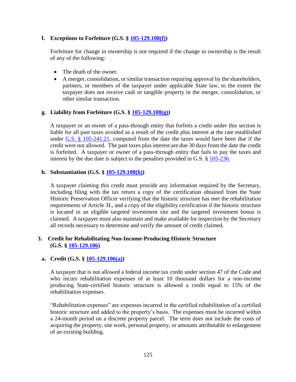## **f. Exceptions to Forfeiture (G.S. § [105-129.108\(f\)\)](http://www.ncga.state.nc.us/EnactedLegislation/Statutes/PDF/BySection/Chapter_105/GS_105-129.108.pdf)**

Forfeiture for change in ownership is not required if the change in ownership is the result of any of the following:

- The death of the owner.
- A merger, consolidation, or similar transaction requiring approval by the shareholders, partners, or members of the taxpayer under applicable State law, to the extent the taxpayer does not receive cash or tangible property in the merger, consolidation, or other similar transaction.

## **g. Liability from Forfeiture (G.S. § [105-129.108\(g\)\)](http://www.ncga.state.nc.us/EnactedLegislation/Statutes/PDF/BySection/Chapter_105/GS_105-129.108.pdf)**

A taxpayer or an owner of a pass-through entity that forfeits a credit under this section is liable for all past taxes avoided as a result of the credit plus interest at the rate established under  $G.S. \S$  105-241.21, computed from the date the taxes would have been due if the credit were not allowed. The past taxes plus interest are due 30 days from the date the credit is forfeited. A taxpayer or owner of a pass-through entity that fails to pay the taxes and interest by the due date is subject to the penalties provided in G.S. § [105-236.](https://www.ncleg.net/gascripts/statutes/statutelookup.pl?statute=105-236)

#### **h. Substantiation (G.S. § [105-129.108\(h\)\)](http://www.ncga.state.nc.us/EnactedLegislation/Statutes/PDF/BySection/Chapter_105/GS_105-129.108.pdf)**

A taxpayer claiming this credit must provide any information required by the Secretary, including filing with the tax return a copy of the certification obtained from the State Historic Preservation Officer verifying that the historic structure has met the rehabilitation requirements of Article 3L, and a copy of the eligibility certification if the historic structure is located in an eligible targeted investment site and the targeted investment bonus is claimed. A taxpayer must also maintain and make available for inspection by the Secretary all records necessary to determine and verify the amount of credit claimed.

# **3. Credit for Rehabilitating Non-Income-Producing Historic Structure (G.S. § [105-129.106\)](http://www.ncga.state.nc.us/EnactedLegislation/Statutes/PDF/BySection/Chapter_105/GS_105-129.106.pdf)**

# **a. Credit (G.S. § [105-129.106\(a\)\)](http://www.ncga.state.nc.us/EnactedLegislation/Statutes/PDF/BySection/Chapter_105/GS_105-129.106.pdf)**

A taxpayer that is not allowed a federal income tax credit under section 47 of the Code and who incurs rehabilitation expenses of at least 10 thousand dollars for a non-income producing State-certified historic structure is allowed a credit equal to 15% of the rehabilitation expenses.

"Rehabilitation expenses" are expenses incurred in the certified rehabilitation of a certified historic structure and added to the property's basis. The expenses must be incurred within a 24-month period on a discrete property parcel. The term does not include the costs of acquiring the property, site work, personal property, or amounts attributable to enlargement of an existing building.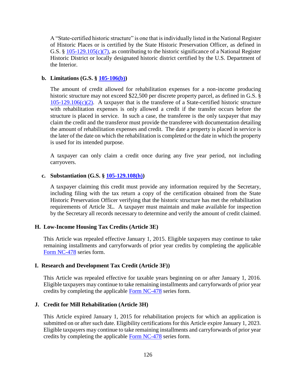A "State-certified historic structure" is one that is individually listed in the National Register of Historic Places or is certified by the State Historic Preservation Officer, as defined in G.S. §  $105-129.105(c)(7)$ , as contributing to the historic significance of a National Register Historic District or locally designated historic district certified by the U.S. Department of the Interior.

## **b. Limitations (G.S. § [105-106\(b\)\)](http://www.ncga.state.nc.us/EnactedLegislation/Statutes/PDF/BySection/Chapter_105/GS_105-129.106.pdf)**

The amount of credit allowed for rehabilitation expenses for a non-income producing historic structure may not exceed \$22,500 per discrete property parcel, as defined in G.S. §  $105-129.106(c)(2)$ . A taxpayer that is the transferee of a State-certified historic structure with rehabilitation expenses is only allowed a credit if the transfer occurs before the structure is placed in service. In such a case, the transferee is the only taxpayer that may claim the credit and the transferor must provide the transferee with documentation detailing the amount of rehabilitation expenses and credit. The date a property is placed in service is the later of the date on which the rehabilitation is completed or the date in which the property is used for its intended purpose.

A taxpayer can only claim a credit once during any five year period, not including carryovers.

## **c. Substantiation (G.S. § [105-129.108\(h\)\)](http://www.ncga.state.nc.us/EnactedLegislation/Statutes/PDF/BySection/Chapter_105/GS_105-129.108.pdf)**

A taxpayer claiming this credit must provide any information required by the Secretary, including filing with the tax return a copy of the certification obtained from the State Historic Preservation Officer verifying that the historic structure has met the rehabilitation requirements of Article 3L. A taxpayer must maintain and make available for inspection by the Secretary all records necessary to determine and verify the amount of credit claimed.

# **H. Low-Income Housing Tax Credits (Article 3E)**

This Article was repealed effective January 1, 2015. Eligible taxpayers may continue to take remaining installments and carryforwards of prior year credits by completing the applicable [Form NC-478](https://www.ncdor.gov/taxes/corporate-income-franchise-tax/corporate-tax-forms-and-instructions) series form.

#### **I. Research and Development Tax Credit (Article 3F))**

This Article was repealed effective for taxable years beginning on or after January 1, 2016. Eligible taxpayers may continue to take remaining installments and carryforwards of prior year credits by completing the applicable [Form NC-478](https://www.ncdor.gov/taxes/corporate-income-franchise-tax/corporate-tax-forms-and-instructions) series form.

#### **J. Credit for Mill Rehabilitation (Article 3H)**

This Article expired January 1, 2015 for rehabilitation projects for which an application is submitted on or after such date. Eligibility certifications for this Article expire January 1, 2023. Eligible taxpayers may continue to take remaining installments and carryforwards of prior year credits by completing the applicable [Form NC-478](https://www.ncdor.gov/taxes/corporate-income-franchise-tax/corporate-tax-forms-and-instructions) series form.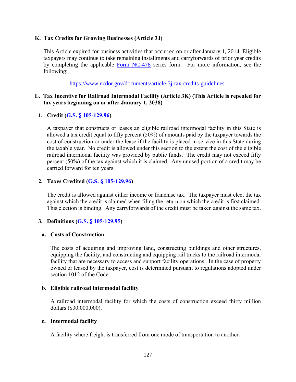## **K. Tax Credits for Growing Businesses (Article 3J)**

This Article expired for business activities that occurred on or after January 1, 2014. Eligible taxpayers may continue to take remaining installments and carryforwards of prior year credits by completing the applicable [Form NC-478](https://www.ncdor.gov/taxes/corporate-income-franchise-tax/corporate-tax-forms-and-instructions) series form. For more information, see the following:

<https://www.ncdor.gov/documents/article-3j-tax-credits-guidelines>

## **L. Tax Incentive for Railroad Intermodal Facility (Article 3K) (This Article is repealed for tax years beginning on or after January 1, 2038)**

# **1. Credit (G.S. § [105-129.96\)](http://www.ncga.state.nc.us/EnactedLegislation/Statutes/HTML/BySection/Chapter_105/GS_105-129.96.html)**

A taxpayer that constructs or leases an eligible railroad intermodal facility in this State is allowed a tax credit equal to fifty percent (50%) of amounts paid by the taxpayer towards the cost of construction or under the lease if the facility is placed in service in this State during the taxable year. No credit is allowed under this section to the extent the cost of the eligible railroad intermodal facility was provided by public funds. The credit may not exceed fifty percent (50%) of the tax against which it is claimed. Any unused portion of a credit may be carried forward for ten years.

# **2. Taxes Credited (G.S. § [105-129.96\)](http://www.ncga.state.nc.us/EnactedLegislation/Statutes/HTML/BySection/Chapter_105/GS_105-129.96.html)**

The credit is allowed against either income or franchise tax. The taxpayer must elect the tax against which the credit is claimed when filing the return on which the credit is first claimed. This election is binding. Any carryforwards of the credit must be taken against the same tax.

# **3. Definitions (G.S. § [105-129.95\)](http://www.ncga.state.nc.us/EnactedLegislation/Statutes/HTML/BySection/Chapter_105/GS_105-129.95.html)**

# **a. Costs of Construction**

The costs of acquiring and improving land, constructing buildings and other structures, equipping the facility, and constructing and equipping rail tracks to the railroad intermodal facility that are necessary to access and support facility operations. In the case of property owned or leased by the taxpayer, cost is determined pursuant to regulations adopted under section 1012 of the Code.

# **b. Eligible railroad intermodal facility**

A railroad intermodal facility for which the costs of construction exceed thirty million dollars (\$30,000,000).

#### **c. Intermodal facility**

A facility where freight is transferred from one mode of transportation to another.